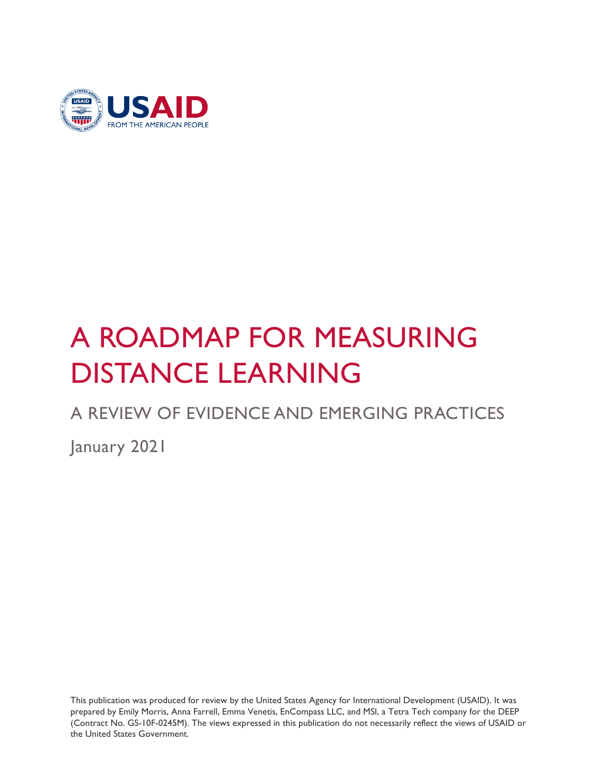

# A ROADMAP FOR MEASURING DISTANCE LEARNING

### A REVIEW OF EVIDENCE AND EMERGING PRACTICES

January 2021

This publication was produced for review by the United States Agency for International Development (USAID). It was prepared by Emily Morris, Anna Farrell, Emma Venetis, EnCompass LLC, and MSI, a Tetra Tech company for the DEEP (Contract No. GS-10F-0245M). The views expressed in this publication do not necessarily reflect the views of USAID or the United States Government.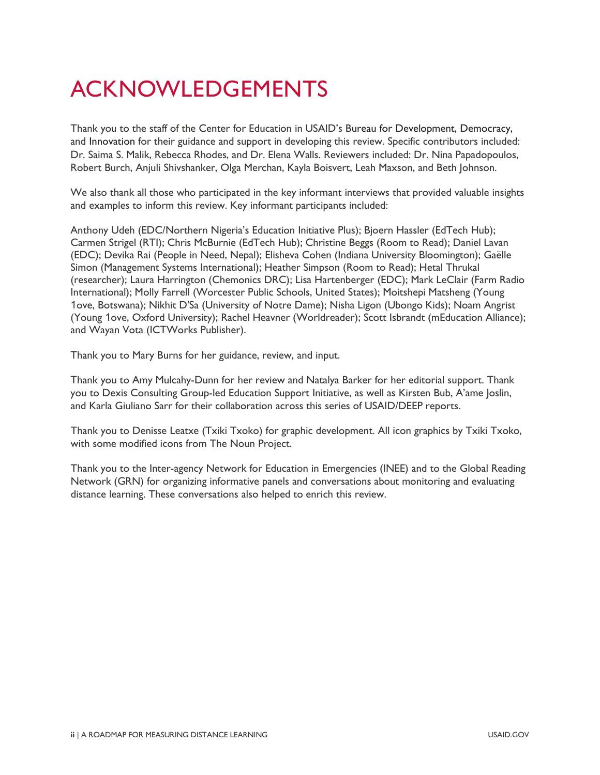## ACKNOWLEDGEMENTS

Thank you to the staff of the Center for Education in USAID's Bureau for Development, Democracy, and Innovation for their guidance and support in developing this review. Specific contributors included: Dr. Saima S. Malik, Rebecca Rhodes, and Dr. Elena Walls. Reviewers included: Dr. Nina Papadopoulos, Robert Burch, Anjuli Shivshanker, Olga Merchan, Kayla Boisvert, Leah Maxson, and Beth Johnson.

We also thank all those who participated in the key informant interviews that provided valuable insights and examples to inform this review. Key informant participants included:

Anthony Udeh (EDC/Northern Nigeria's Education Initiative Plus); Bjoern Hassler (EdTech Hub); Carmen Strigel (RTI); Chris McBurnie (EdTech Hub); Christine Beggs (Room to Read); Daniel Lavan (EDC); Devika Rai (People in Need, Nepal); Elisheva Cohen (Indiana University Bloomington); Gaëlle Simon (Management Systems International); Heather Simpson (Room to Read); Hetal Thrukal (researcher); Laura Harrington (Chemonics DRC); Lisa Hartenberger (EDC); Mark LeClair (Farm Radio International); Molly Farrell (Worcester Public Schools, United States); Moitshepi Matsheng (Young 1ove, Botswana); Nikhit D'Sa (University of Notre Dame); Nisha Ligon (Ubongo Kids); Noam Angrist (Young 1ove, Oxford University); Rachel Heavner (Worldreader); Scott Isbrandt (mEducation Alliance); and Wayan Vota (ICTWorks Publisher).

Thank you to Mary Burns for her guidance, review, and input.

Thank you to Amy Mulcahy-Dunn for her review and Natalya Barker for her editorial support. Thank you to Dexis Consulting Group-led Education Support Initiative, as well as Kirsten Bub, A'ame Joslin, and Karla Giuliano Sarr for their collaboration across this series of USAID/DEEP reports.

Thank you to Denisse Leatxe (Txiki Txoko) for graphic development. All icon graphics by Txiki Txoko, with some modified icons from The Noun Project.

Thank you to the Inter-agency Network for Education in Emergencies (INEE) and to the Global Reading Network (GRN) for organizing informative panels and conversations about monitoring and evaluating distance learning. These conversations also helped to enrich this review.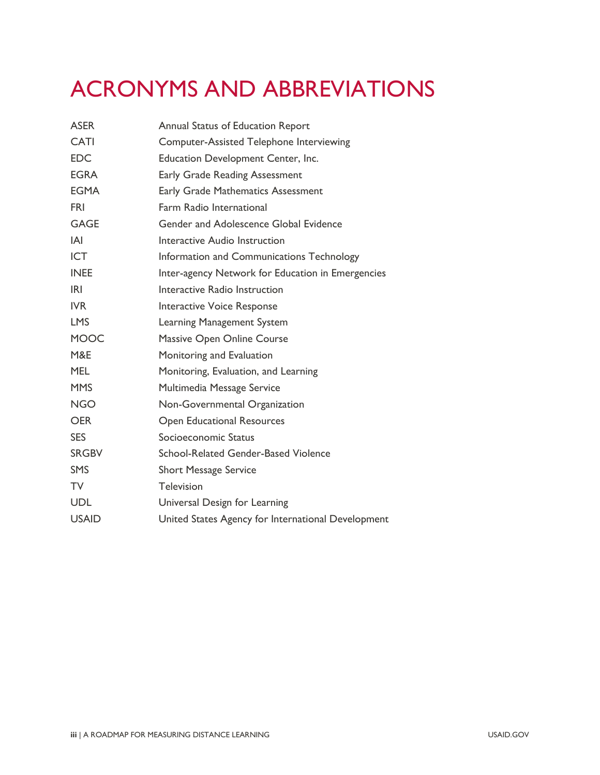## ACRONYMS AND ABBREVIATIONS

| <b>ASER</b>  | Annual Status of Education Report                  |  |  |
|--------------|----------------------------------------------------|--|--|
| <b>CATI</b>  | Computer-Assisted Telephone Interviewing           |  |  |
| <b>EDC</b>   | Education Development Center, Inc.                 |  |  |
| <b>EGRA</b>  | <b>Early Grade Reading Assessment</b>              |  |  |
| <b>EGMA</b>  | Early Grade Mathematics Assessment                 |  |  |
| <b>FRI</b>   | Farm Radio International                           |  |  |
| <b>GAGE</b>  | Gender and Adolescence Global Evidence             |  |  |
| IAI          | Interactive Audio Instruction                      |  |  |
| <b>ICT</b>   | Information and Communications Technology          |  |  |
| <b>INEE</b>  | Inter-agency Network for Education in Emergencies  |  |  |
| <b>IRI</b>   | Interactive Radio Instruction                      |  |  |
| <b>IVR</b>   | Interactive Voice Response                         |  |  |
| <b>LMS</b>   | Learning Management System                         |  |  |
| <b>MOOC</b>  | Massive Open Online Course                         |  |  |
| M&E          | Monitoring and Evaluation                          |  |  |
| <b>MEL</b>   | Monitoring, Evaluation, and Learning               |  |  |
| <b>MMS</b>   | Multimedia Message Service                         |  |  |
| <b>NGO</b>   | Non-Governmental Organization                      |  |  |
| <b>OER</b>   | <b>Open Educational Resources</b>                  |  |  |
| <b>SES</b>   | Socioeconomic Status                               |  |  |
| <b>SRGBV</b> | School-Related Gender-Based Violence               |  |  |
| <b>SMS</b>   | <b>Short Message Service</b>                       |  |  |
| <b>TV</b>    | Television                                         |  |  |
| <b>UDL</b>   | Universal Design for Learning                      |  |  |
| <b>USAID</b> | United States Agency for International Development |  |  |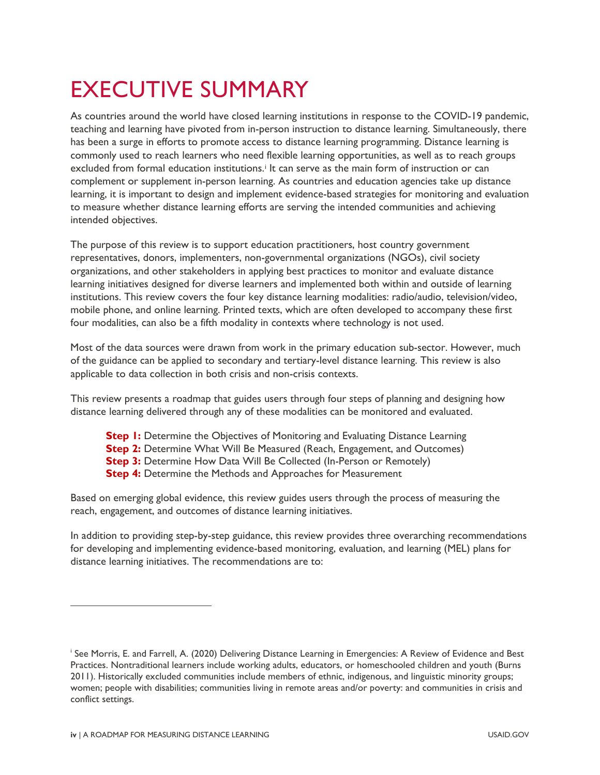## EXECUTIVE SUMMARY

As countries around the world have closed learning institutions in response to the COVID-19 pandemic, teaching and learning have pivoted from in-person instruction to distance learning. Simultaneously, there has been a surge in efforts to promote access to distance learning programming. Distance learning is commonly used to reach learners who need flexible learning opportunities, as well as to reach groups excluded from formal educat[i](#page-4-0)on institutions.<sup>*i*</sup> It can serve as the main form of instruction or can complement or supplement in-person learning. As countries and education agencies take up distance learning, it is important to design and implement evidence-based strategies for monitoring and evaluation to measure whether distance learning efforts are serving the intended communities and achieving intended objectives.

The purpose of this review is to support education practitioners, host country government representatives, donors, implementers, non-governmental organizations (NGOs), civil society organizations, and other stakeholders in applying best practices to monitor and evaluate distance learning initiatives designed for diverse learners and implemented both within and outside of learning institutions. This review covers the four key distance learning modalities: radio/audio, television/video, mobile phone, and online learning. Printed texts, which are often developed to accompany these first four modalities, can also be a fifth modality in contexts where technology is not used.

Most of the data sources were drawn from work in the primary education sub-sector. However, much of the guidance can be applied to secondary and tertiary-level distance learning. This review is also applicable to data collection in both crisis and non-crisis contexts.

This review presents a roadmap that guides users through four steps of planning and designing how distance learning delivered through any of these modalities can be monitored and evaluated.

- **Step I:** Determine the Objectives of Monitoring and Evaluating Distance Learning
- **Step 2:** Determine What Will Be Measured (Reach, Engagement, and Outcomes)
- **Step 3:** Determine How Data Will Be Collected (In-Person or Remotely)
- **Step 4:** Determine the Methods and Approaches for Measurement

Based on emerging global evidence, this review guides users through the process of measuring the reach, engagement, and outcomes of distance learning initiatives.

In addition to providing step-by-step guidance, this review provides three overarching recommendations for developing and implementing evidence-based monitoring, evaluation, and learning (MEL) plans for distance learning initiatives. The recommendations are to:

<span id="page-4-0"></span><sup>i</sup> See Morris, E. and Farrell, A. (2020) Delivering Distance Learning in Emergencies: A Review of Evidence and Best Practices. Nontraditional learners include working adults, educators, or homeschooled children and youth (Burns 2011). Historically excluded communities include members of ethnic, indigenous, and linguistic minority groups; women; people with disabilities; communities living in remote areas and/or poverty: and communities in crisis and conflict settings.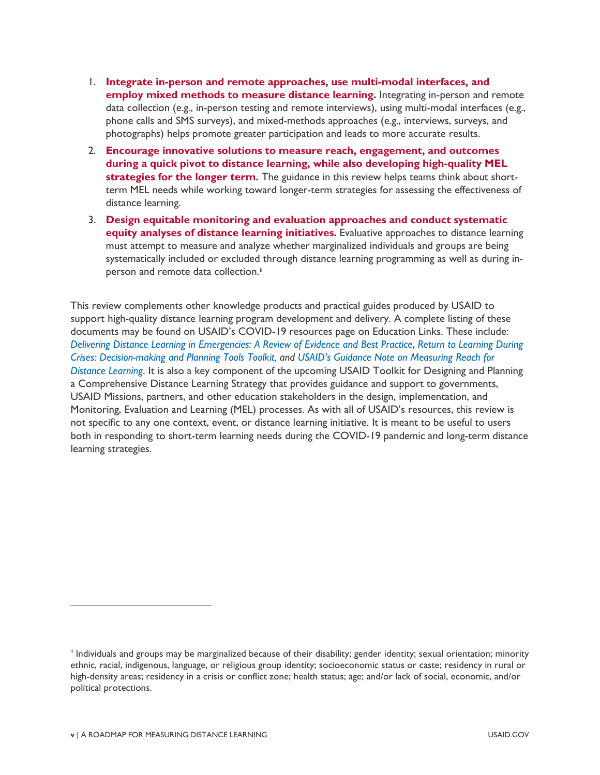- 1. **Integrate in-person and remote approaches, use multi-modal interfaces, and employ mixed methods to measure distance learning.** Integrating in-person and remote data collection (e.g., in-person testing and remote interviews), using multi-modal interfaces (e.g., phone calls and SMS surveys), and mixed-methods approaches (e.g., interviews, surveys, and photographs) helps promote greater participation and leads to more accurate results.
- 2. **Encourage innovative solutions to measure reach, engagement, and outcomes during a quick pivot to distance learning, while also developing high-quality MEL strategies for the longer term.** The guidance in this review helps teams think about shortterm MEL needs while working toward longer-term strategies for assessing the effectiveness of distance learning.
- 3. **Design equitable monitoring and evaluation approaches and conduct systematic equity analyses of distance learning initiatives.** Evaluative approaches to distance learning must attempt to measure and analyze whether marginalized individuals and groups are being systematically included or excluded through distance learning programming as well as during inperson and remote data collection.<sup>[ii](#page-5-0)</sup>

This review complements other knowledge products and practical guides produced by USAID to support high-quality distance learning program development and delivery. A complete listing of these documents may be found on USAID's COVID-19 resources page on Education Links. These include: *Delivering Distance Learning in Emergencies: A Review of Evidence and Best Practice*, *Return to Learning During Crises: Decision-making and Planning Tools Toolkit, and USAID's Guidance Note on Measuring Reach for Distance Learning*. It is also a key component of the upcoming USAID Toolkit for Designing and Planning a Comprehensive Distance Learning Strategy that provides guidance and support to governments, USAID Missions, partners, and other education stakeholders in the design, implementation, and Monitoring, Evaluation and Learning (MEL) processes. As with all of USAID's resources, this review is not specific to any one context, event, or distance learning initiative. It is meant to be useful to users both in responding to short-term learning needs during the COVID-19 pandemic and long-term distance learning strategies.

<span id="page-5-0"></span>ii Individuals and groups may be marginalized because of their disability; gender identity; sexual orientation; minority ethnic, racial, indigenous, language, or religious group identity; socioeconomic status or caste; residency in rural or high-density areas; residency in a crisis or conflict zone; health status; age; and/or lack of social, economic, and/or political protections.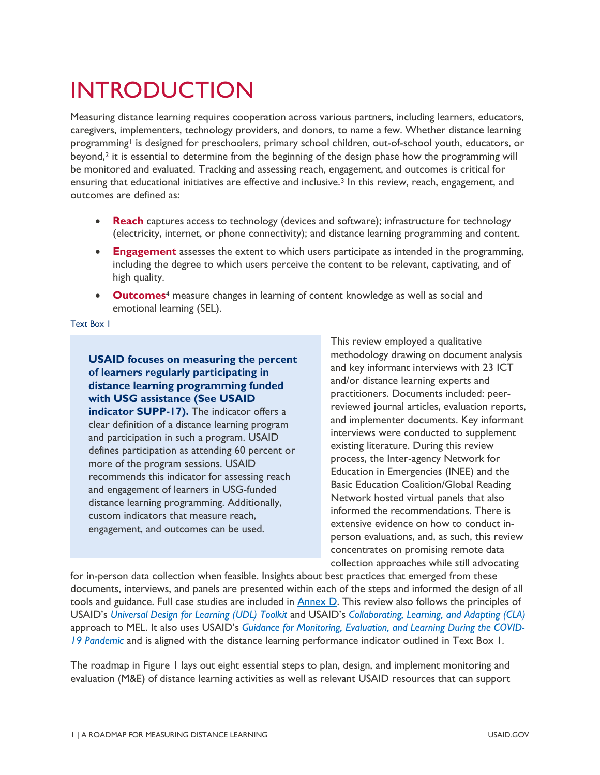## INTRODUCTION

Measuring distance learning requires cooperation across various partners, including learners, educators, caregivers, implementers, technology providers, and donors, to name a few. Whether distance learning programming<sup>[1](#page-81-0)</sup> is designed for preschoolers, primary school children, out-of-school youth, educators, or beyond,[2](#page-81-1) it is essential to determine from the beginning of the design phase how the programming will be monitored and evaluated. Tracking and assessing reach, engagement, and outcomes is critical for ensuring that educational initiatives are effective and inclusive.<sup>[3](#page-81-2)</sup> In this review, reach, engagement, and outcomes are defined as:

- **Reach** captures access to technology (devices and software); infrastructure for technology (electricity, internet, or phone connectivity); and distance learning programming and content.
- **Engagement** assesses the extent to which users participate as intended in the programming, including the degree to which users perceive the content to be relevant, captivating, and of high quality.
- **Outcomes**[4](#page-81-3) measure changes in learning of content knowledge as well as social and emotional learning (SEL).

<span id="page-6-0"></span>Text Box 1

**USAID focuses on measuring the percent of learners regularly participating in distance learning programming funded with USG assistance (See USAID indicator SUPP-17).** The indicator offers a clear definition of a distance learning program and participation in such a program. USAID defines participation as attending 60 percent or more of the program sessions. USAID recommends this indicator for assessing reach and engagement of learners in USG-funded distance learning programming. Additionally, custom indicators that measure reach, engagement, and outcomes can be used.

This review employed a qualitative methodology drawing on document analysis and key informant interviews with 23 ICT and/or distance learning experts and practitioners. Documents included: peerreviewed journal articles, evaluation reports, and implementer documents. Key informant interviews were conducted to supplement existing literature. During this review process, the Inter-agency Network for Education in Emergencies (INEE) and the Basic Education Coalition/Global Reading Network hosted virtual panels that also informed the recommendations. There is extensive evidence on how to conduct inperson evaluations, and, as such, this review concentrates on promising remote data collection approaches while still advocating

for in-person data collection when feasible. Insights about best practices that emerged from these documents, interviews, and panels are presented within each of the steps and informed the design of all tools and guidance. Full case studies are included in [Annex D.](#page-60-0) This review also follows the principles of USAID's *Universal Design for Learning (UDL) Toolkit* and USAID's *Collaborating, Learning, and Adapting (CLA)*  approach to MEL. It also uses USAID's *Guidance for Monitoring, Evaluation, and Learning During the COVID-19 Pandemic* and is aligned with the distance learning performance indicator outlined in [Text Box 1.](#page-6-0)

The roadmap in [Figure 1](#page-7-0) lays out eight essential steps to plan, design, and implement monitoring and evaluation (M&E) of distance learning activities as well as relevant USAID resources that can support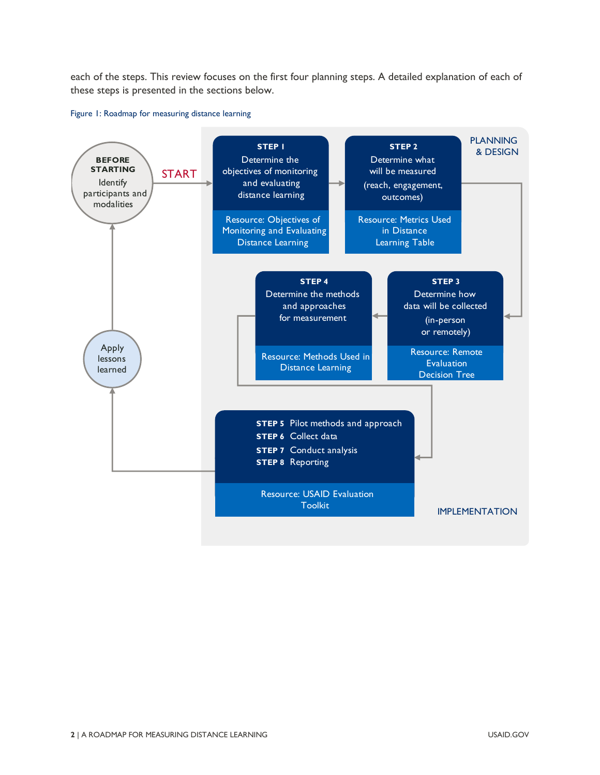each of the steps. This review focuses on the first four planning steps. A detailed explanation of each of these steps is presented in the sections below.

#### <span id="page-7-0"></span>Figure 1: Roadmap for measuring distance learning

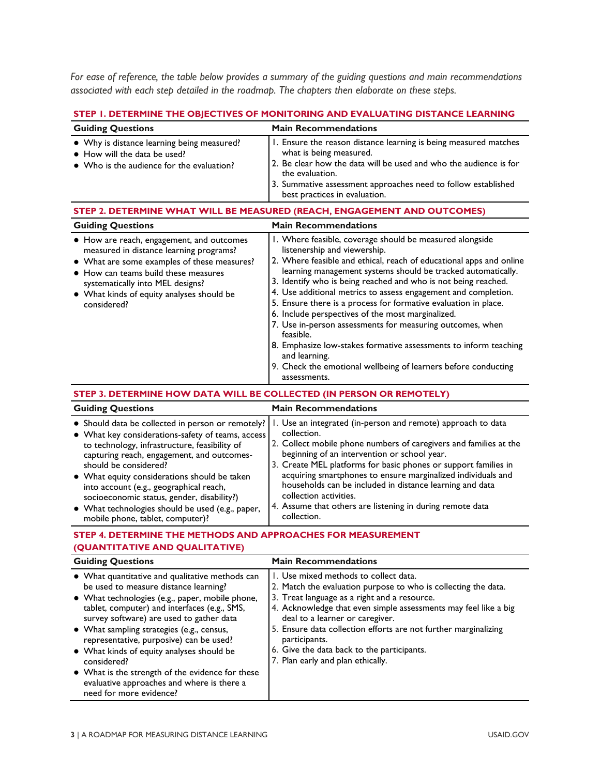*For ease of reference, the table below provides a summary of the guiding questions and main recommendations associated with each step detailed in the roadmap. The chapters then elaborate on these steps.*

|  |  |  |  | STEP I. DETERMINE THE OBJECTIVES OF MONITORING AND EVALUATING DISTANCE LEARNING |  |
|--|--|--|--|---------------------------------------------------------------------------------|--|
|--|--|--|--|---------------------------------------------------------------------------------|--|

| <b>Guiding Questions</b>                                                                                                                                                                                                                                                                                                                                                                                                                                        | <b>Main Recommendations</b>                                                                                                                                                                                                                                                                                                                                                                                                                                                                                                                                                                                                                                                                                                                  |  |  |
|-----------------------------------------------------------------------------------------------------------------------------------------------------------------------------------------------------------------------------------------------------------------------------------------------------------------------------------------------------------------------------------------------------------------------------------------------------------------|----------------------------------------------------------------------------------------------------------------------------------------------------------------------------------------------------------------------------------------------------------------------------------------------------------------------------------------------------------------------------------------------------------------------------------------------------------------------------------------------------------------------------------------------------------------------------------------------------------------------------------------------------------------------------------------------------------------------------------------------|--|--|
| • Why is distance learning being measured?<br>• How will the data be used?<br>• Who is the audience for the evaluation?                                                                                                                                                                                                                                                                                                                                         | I. Ensure the reason distance learning is being measured matches<br>what is being measured.<br>2. Be clear how the data will be used and who the audience is for<br>the evaluation.<br>3. Summative assessment approaches need to follow established<br>best practices in evaluation.                                                                                                                                                                                                                                                                                                                                                                                                                                                        |  |  |
|                                                                                                                                                                                                                                                                                                                                                                                                                                                                 | STEP 2. DETERMINE WHAT WILL BE MEASURED (REACH, ENGAGEMENT AND OUTCOMES)                                                                                                                                                                                                                                                                                                                                                                                                                                                                                                                                                                                                                                                                     |  |  |
| <b>Guiding Questions</b>                                                                                                                                                                                                                                                                                                                                                                                                                                        | <b>Main Recommendations</b>                                                                                                                                                                                                                                                                                                                                                                                                                                                                                                                                                                                                                                                                                                                  |  |  |
| • How are reach, engagement, and outcomes<br>measured in distance learning programs?<br>• What are some examples of these measures?<br>• How can teams build these measures<br>systematically into MEL designs?<br>• What kinds of equity analyses should be<br>considered?                                                                                                                                                                                     | I. Where feasible, coverage should be measured alongside<br>listenership and viewership.<br>2. Where feasible and ethical, reach of educational apps and online<br>learning management systems should be tracked automatically.<br>3. Identify who is being reached and who is not being reached.<br>4. Use additional metrics to assess engagement and completion.<br>5. Ensure there is a process for formative evaluation in place.<br>6. Include perspectives of the most marginalized.<br>7. Use in-person assessments for measuring outcomes, when<br>feasible.<br>8. Emphasize low-stakes formative assessments to inform teaching<br>and learning.<br>9. Check the emotional wellbeing of learners before conducting<br>assessments. |  |  |
| STEP 3. DETERMINE HOW DATA WILL BE COLLECTED (IN PERSON OR REMOTELY)                                                                                                                                                                                                                                                                                                                                                                                            |                                                                                                                                                                                                                                                                                                                                                                                                                                                                                                                                                                                                                                                                                                                                              |  |  |
| <b>Guiding Questions</b>                                                                                                                                                                                                                                                                                                                                                                                                                                        | <b>Main Recommendations</b>                                                                                                                                                                                                                                                                                                                                                                                                                                                                                                                                                                                                                                                                                                                  |  |  |
| · Should data be collected in person or remotely?<br>• What key considerations-safety of teams, access<br>to technology, infrastructure, feasibility of<br>capturing reach, engagement, and outcomes-<br>should be considered?<br>• What equity considerations should be taken<br>into account (e.g., geographical reach,<br>socioeconomic status, gender, disability?)<br>• What technologies should be used (e.g., paper,<br>mobile phone, tablet, computer)? | I. Use an integrated (in-person and remote) approach to data<br>collection.<br>2. Collect mobile phone numbers of caregivers and families at the<br>beginning of an intervention or school year.<br>3. Create MEL platforms for basic phones or support families in<br>acquiring smartphones to ensure marginalized individuals and<br>households can be included in distance learning and data<br>collection activities.<br>4. Assume that others are listening in during remote data<br>collection.                                                                                                                                                                                                                                        |  |  |
| STEP 4. DETERMINE THE METHODS AND APPROACHES FOR MEASUREMENT<br>(QUANTITATIVE AND QUALITATIVE)                                                                                                                                                                                                                                                                                                                                                                  |                                                                                                                                                                                                                                                                                                                                                                                                                                                                                                                                                                                                                                                                                                                                              |  |  |
| <b>Guiding Questions</b>                                                                                                                                                                                                                                                                                                                                                                                                                                        | <b>Main Recommendations</b>                                                                                                                                                                                                                                                                                                                                                                                                                                                                                                                                                                                                                                                                                                                  |  |  |
| • What quantitative and qualitative methods can<br>be used to measure distance learning?<br>· What technologies (e.g., paper, mobile phone,<br>tablet, computer) and interfaces (e.g., SMS,<br>survey software) are used to gather data<br>• What sampling strategies (e.g., census,<br>representative, purposive) can be used?<br>• What kinds of equity analyses should be<br>considered?                                                                     | Use mixed methods to collect data.<br>2. Match the evaluation purpose to who is collecting the data.<br>3. Treat language as a right and a resource.<br>4. Acknowledge that even simple assessments may feel like a big<br>deal to a learner or caregiver.<br>5. Ensure data collection efforts are not further marginalizing<br>participants.<br>6. Give the data back to the participants.<br>7. Plan early and plan ethically.                                                                                                                                                                                                                                                                                                            |  |  |

● What is the strength of the evidence for these evaluative approaches and where is there a

need for more evidence?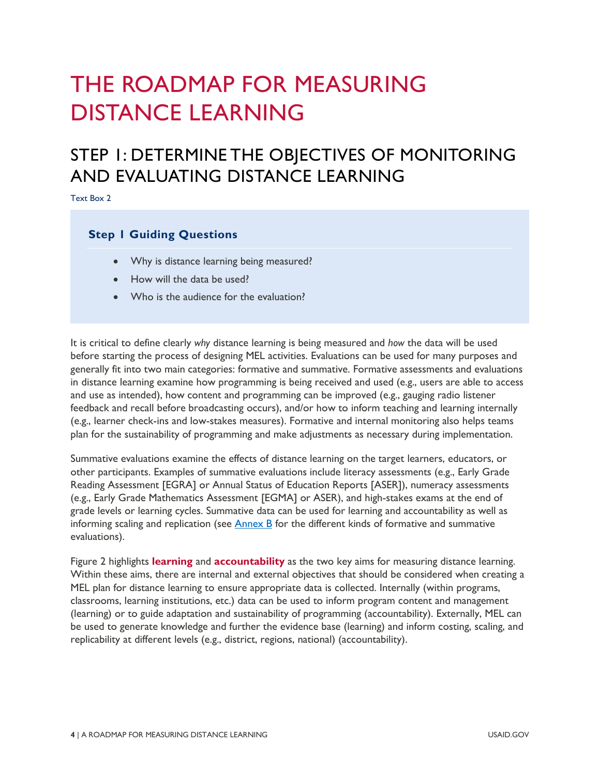## THE ROADMAP FOR MEASURING DISTANCE LEARNING

### STEP 1: DETERMINE THE OBJECTIVES OF MONITORING AND EVALUATING DISTANCE LEARNING

Text Box 2

#### **Step 1 Guiding Questions**

- Why is distance learning being measured?
- How will the data be used?
- Who is the audience for the evaluation?

It is critical to define clearly *why* distance learning is being measured and *how* the data will be used before starting the process of designing MEL activities. Evaluations can be used for many purposes and generally fit into two main categories: formative and summative. Formative assessments and evaluations in distance learning examine how programming is being received and used (e.g., users are able to access and use as intended), how content and programming can be improved (e.g., gauging radio listener feedback and recall before broadcasting occurs), and/or how to inform teaching and learning internally (e.g., learner check-ins and low-stakes measures). Formative and internal monitoring also helps teams plan for the sustainability of programming and make adjustments as necessary during implementation.

Summative evaluations examine the effects of distance learning on the target learners, educators, or other participants. Examples of summative evaluations include literacy assessments (e.g., Early Grade Reading Assessment [EGRA] or Annual Status of Education Reports [ASER]), numeracy assessments (e.g., Early Grade Mathematics Assessment [EGMA] or ASER), and high-stakes exams at the end of grade levels or learning cycles. Summative data can be used for learning and accountability as well as informing scaling and replication (see Annex B for the different kinds of formative and summative evaluations).

[Figure 2](#page-10-0) highlights **learning** and **accountability** as the two key aims for measuring distance learning. Within these aims, there are internal and external objectives that should be considered when creating a MEL plan for distance learning to ensure appropriate data is collected. Internally (within programs, classrooms, learning institutions, etc.) data can be used to inform program content and management (learning) or to guide adaptation and sustainability of programming (accountability). Externally, MEL can be used to generate knowledge and further the evidence base (learning) and inform costing, scaling, and replicability at different levels (e.g., district, regions, national) (accountability).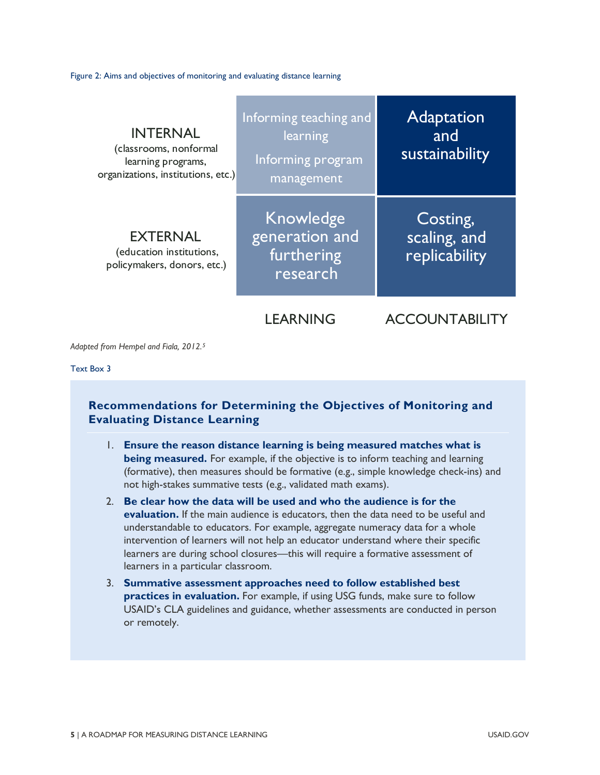<span id="page-10-0"></span>Figure 2: Aims and objectives of monitoring and evaluating distance learning

| <b>INTERNAL</b><br>(classrooms, nonformal<br>learning programs,<br>organizations, institutions, etc.) | Informing teaching and<br>learning<br>Informing program<br>management | <b>Adaptation</b><br>and<br>sustainability |
|-------------------------------------------------------------------------------------------------------|-----------------------------------------------------------------------|--------------------------------------------|
| <b>EXTERNAL</b><br>(education institutions,<br>policymakers, donors, etc.)                            | Knowledge<br>generation and<br>furthering<br>research                 | Costing,<br>scaling, and<br>replicability  |
|                                                                                                       | LEARNING                                                              | OUNTABI                                    |

*Adapted from Hempel and Fiala, 2012.[5](#page-81-4)*

#### Text Box 3

#### **Recommendations for Determining the Objectives of Monitoring and Evaluating Distance Learning**

- 1. **Ensure the reason distance learning is being measured matches what is being measured.** For example, if the objective is to inform teaching and learning (formative), then measures should be formative (e.g., simple knowledge check-ins) and not high-stakes summative tests (e.g., validated math exams).
- 2. **Be clear how the data will be used and who the audience is for the evaluation.** If the main audience is educators, then the data need to be useful and understandable to educators. For example, aggregate numeracy data for a whole intervention of learners will not help an educator understand where their specific learners are during school closures—this will require a formative assessment of learners in a particular classroom.
- 3. **Summative assessment approaches need to follow established best practices in evaluation.** For example, if using USG funds, make sure to follow USAID's CLA guidelines and guidance, whether assessments are conducted in person or remotely.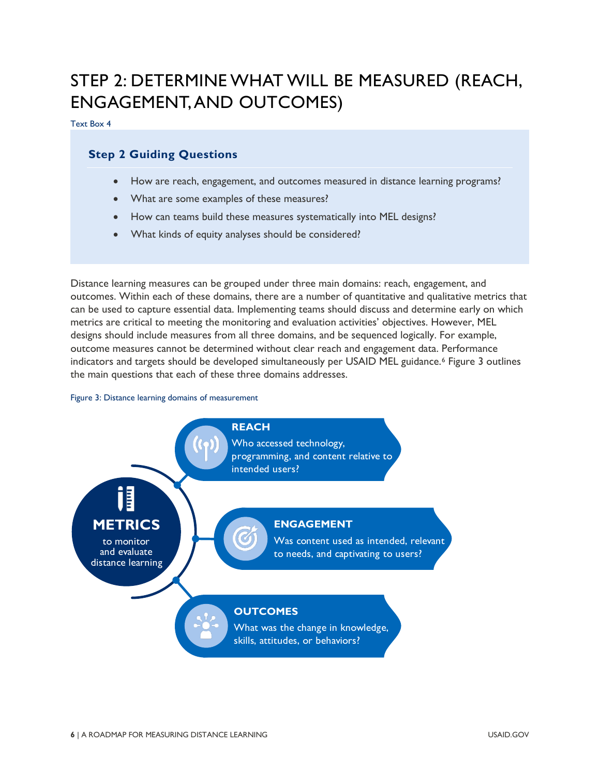### STEP 2: DETERMINE WHAT WILL BE MEASURED (REACH, ENGAGEMENT, AND OUTCOMES)

Text Box 4

#### **Step 2 Guiding Questions**

- How are reach, engagement, and outcomes measured in distance learning programs?
- What are some examples of these measures?
- How can teams build these measures systematically into MEL designs?
- What kinds of equity analyses should be considered?

Distance learning measures can be grouped under three main domains: reach, engagement, and outcomes. Within each of these domains, there are a number of quantitative and qualitative metrics that can be used to capture essential data. Implementing teams should discuss and determine early on which metrics are critical to meeting the monitoring and evaluation activities' objectives. However, MEL designs should include measures from all three domains, and be sequenced logically. For example, outcome measures cannot be determined without clear reach and engagement data. Performance indicators and targets should be developed simultaneously per USAID MEL guidance.<sup>[6](#page-81-5)</sup> Figure 3 outlines the main questions that each of these three domains addresses.

#### Figure 3: Distance learning domains of measurement

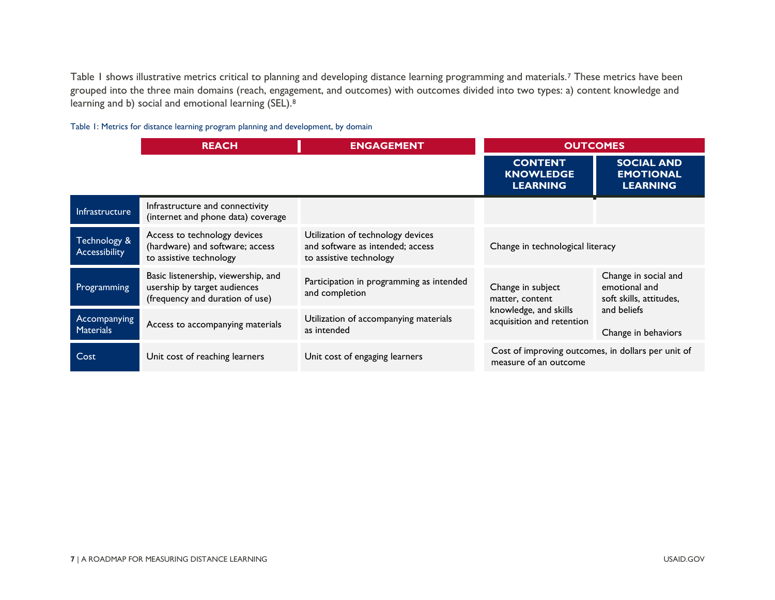[Table 1](#page-12-0) shows illustrative metrics critical to planning and developing distance learning programming and materials.<sup>[7](#page-81-6)</sup> These metrics have been grouped into the three main domains (reach, engagement, and outcomes) with outcomes divided into two types: a) content knowledge and learning and b) social and emotional learning (SEL).[8](#page-81-7)

#### <span id="page-12-0"></span>Table 1: Metrics for distance learning program planning and development, by domain

<span id="page-12-1"></span>

|                                  | <b>REACH</b>                                                                                           | <b>ENGAGEMENT</b>                                                                                | <b>OUTCOMES</b>                                                             |                                                                  |
|----------------------------------|--------------------------------------------------------------------------------------------------------|--------------------------------------------------------------------------------------------------|-----------------------------------------------------------------------------|------------------------------------------------------------------|
|                                  |                                                                                                        |                                                                                                  | <b>CONTENT</b><br><b>KNOWLEDGE</b><br><b>LEARNING</b>                       | <b>SOCIAL AND</b><br><b>EMOTIONAL</b><br><b>LEARNING</b>         |
| <b>Infrastructure</b>            | Infrastructure and connectivity<br>(internet and phone data) coverage                                  |                                                                                                  |                                                                             |                                                                  |
| Technology &<br>Accessibility    | Access to technology devices<br>(hardware) and software; access<br>to assistive technology             | Utilization of technology devices<br>and software as intended; access<br>to assistive technology | Change in technological literacy                                            |                                                                  |
| Programming                      | Basic listenership, viewership, and<br>usership by target audiences<br>(frequency and duration of use) | Participation in programming as intended<br>and completion                                       | Change in subject<br>matter, content                                        | Change in social and<br>emotional and<br>soft skills, attitudes, |
| Accompanying<br><b>Materials</b> | Access to accompanying materials                                                                       | Utilization of accompanying materials<br>as intended                                             | knowledge, and skills<br>acquisition and retention                          | and beliefs<br>Change in behaviors                               |
| Cost                             | Unit cost of reaching learners                                                                         | Unit cost of engaging learners                                                                   | Cost of improving outcomes, in dollars per unit of<br>measure of an outcome |                                                                  |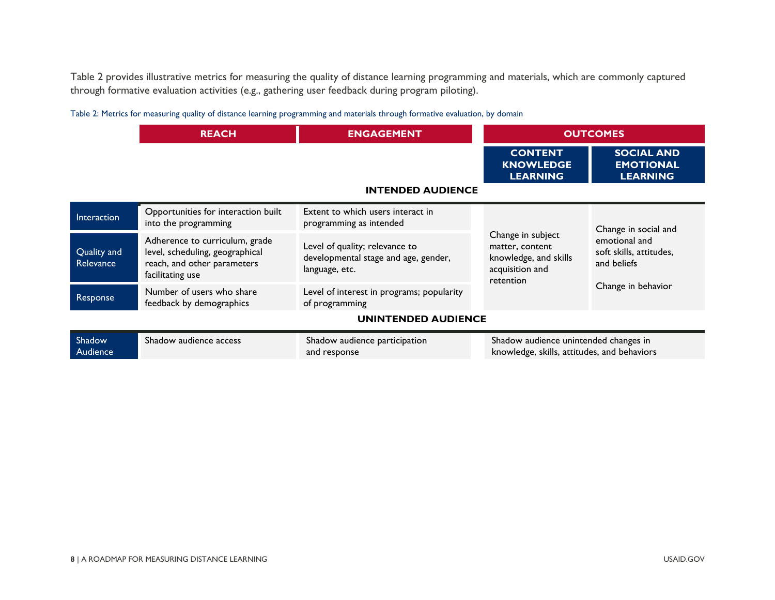[Table 2](#page-13-0) provides illustrative metrics for measuring the quality of distance learning programming and materials, which are commonly captured through formative evaluation activities (e.g., gathering user feedback during program piloting).

<span id="page-13-0"></span>

| Table 2: Metrics for measuring quality of distance learning programming and materials through formative evaluation, by domain |  |  |
|-------------------------------------------------------------------------------------------------------------------------------|--|--|
|-------------------------------------------------------------------------------------------------------------------------------|--|--|

|                            | <b>REACH</b>                                                                                                         | <b>ENGAGEMENT</b>                                                                        | <b>OUTCOMES</b>                                                                               |                                                                               |  |
|----------------------------|----------------------------------------------------------------------------------------------------------------------|------------------------------------------------------------------------------------------|-----------------------------------------------------------------------------------------------|-------------------------------------------------------------------------------|--|
|                            |                                                                                                                      |                                                                                          | <b>CONTENT</b><br><b>KNOWLEDGE</b><br><b>LEARNING</b>                                         | <b>SOCIAL AND</b><br><b>EMOTIONAL</b><br><b>LEARNING</b>                      |  |
| <b>INTENDED AUDIENCE</b>   |                                                                                                                      |                                                                                          |                                                                                               |                                                                               |  |
| Interaction                | Opportunities for interaction built<br>into the programming                                                          | Extent to which users interact in<br>programming as intended                             |                                                                                               | Change in social and                                                          |  |
| Quality and<br>Relevance   | Adherence to curriculum, grade<br>level, scheduling, geographical<br>reach, and other parameters<br>facilitating use | Level of quality; relevance to<br>developmental stage and age, gender,<br>language, etc. | Change in subject<br>matter, content<br>knowledge, and skills<br>acquisition and<br>retention | emotional and<br>soft skills, attitudes,<br>and beliefs<br>Change in behavior |  |
| Response                   | Number of users who share<br>feedback by demographics                                                                | Level of interest in programs; popularity<br>of programming                              |                                                                                               |                                                                               |  |
| <b>UNINTENDED AUDIENCE</b> |                                                                                                                      |                                                                                          |                                                                                               |                                                                               |  |
| Shadow<br>Audience         | Shadow audience access                                                                                               | Shadow audience participation<br>and response                                            | Shadow audience unintended changes in<br>knowledge, skills, attitudes, and behaviors          |                                                                               |  |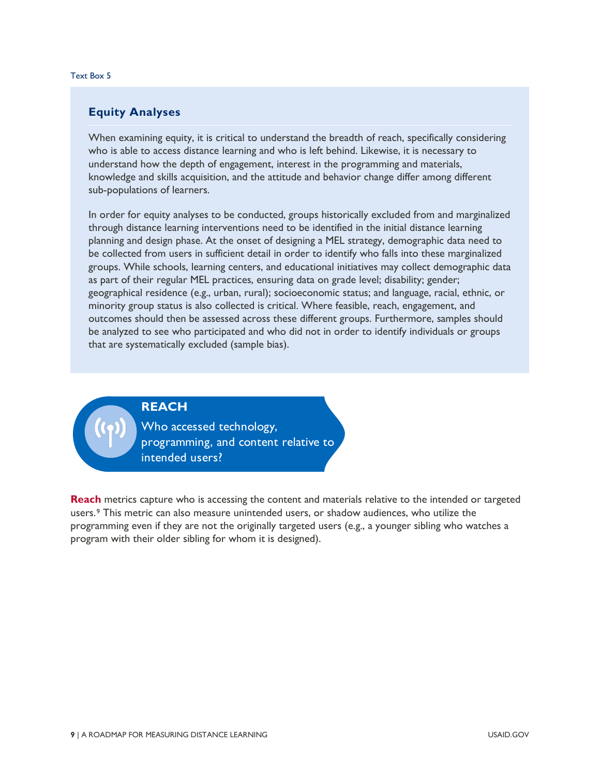#### Text Box 5

#### **Equity Analyses**

When examining equity, it is critical to understand the breadth of reach, specifically considering who is able to access distance learning and who is left behind. Likewise, it is necessary to understand how the depth of engagement, interest in the programming and materials, knowledge and skills acquisition, and the attitude and behavior change differ among different sub-populations of learners.

In order for equity analyses to be conducted, groups historically excluded from and marginalized through distance learning interventions need to be identified in the initial distance learning planning and design phase. At the onset of designing a MEL strategy, demographic data need to be collected from users in sufficient detail in order to identify who falls into these marginalized groups. While schools, learning centers, and educational initiatives may collect demographic data as part of their regular MEL practices, ensuring data on grade level; disability; gender; geographical residence (e.g., urban, rural); socioeconomic status; and language, racial, ethnic, or minority group status is also collected is critical. Where feasible, reach, engagement, and outcomes should then be assessed across these different groups. Furthermore, samples should be analyzed to see who participated and who did not in order to identify individuals or groups that are systematically excluded (sample bias).

#### **REACH**

Who accessed technology, programming, and content relative to intended users?

**Reach** metrics capture who is accessing the content and materials relative to the intended or targeted users.[9](#page-81-8) This metric can also measure unintended users, or shadow audiences, who utilize the programming even if they are not the originally targeted users (e.g., a younger sibling who watches a program with their older sibling for whom it is designed).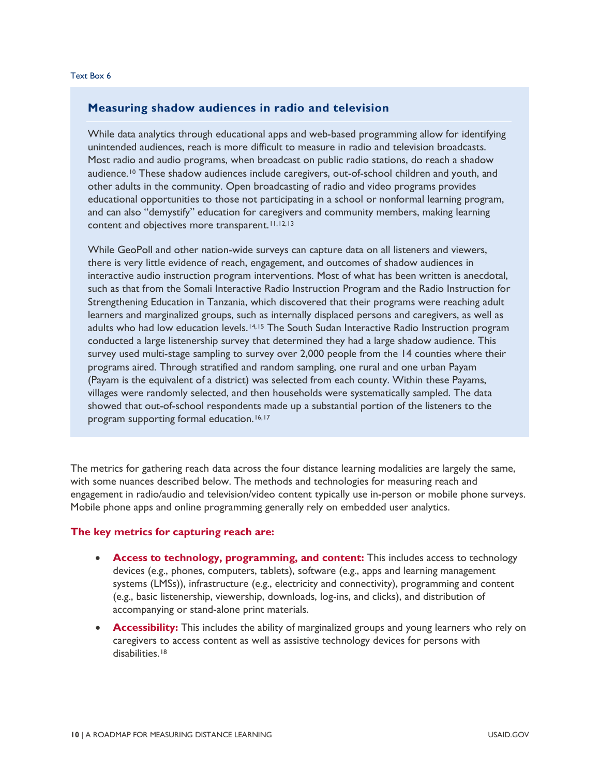#### **Measuring shadow audiences in radio and television**

While data analytics through educational apps and web-based programming allow for identifying unintended audiences, reach is more difficult to measure in radio and television broadcasts. Most radio and audio programs, when broadcast on public radio stations, do reach a shadow audience.[10](#page-81-9) These shadow audiences include caregivers, out-of-school children and youth, and other adults in the community. Open broadcasting of radio and video programs provides educational opportunities to those not participating in a school or nonformal learning program, and can also "demystify" education for caregivers and community members, making learning content and objectives more transparent.<sup>[11](#page-81-10),[12](#page-81-11),[13](#page-81-12)</sup>

While GeoPoll and other nation-wide surveys can capture data on all listeners and viewers, there is very little evidence of reach, engagement, and outcomes of shadow audiences in interactive audio instruction program interventions. Most of what has been written is anecdotal, such as that from the Somali Interactive Radio Instruction Program and the Radio Instruction for Strengthening Education in Tanzania, which discovered that their programs were reaching adult learners and marginalized groups, such as internally displaced persons and caregivers, as well as adults who had low education levels.<sup>[14,](#page-81-13)[15](#page-81-14)</sup> The South Sudan Interactive Radio Instruction program conducted a large listenership survey that determined they had a large shadow audience. This survey used multi-stage sampling to survey over 2,000 people from the 14 counties where their programs aired. Through stratified and random sampling, one rural and one urban Payam (Payam is the equivalent of a district) was selected from each county. Within these Payams, villages were randomly selected, and then households were systematically sampled. The data showed that out-of-school respondents made up a substantial portion of the listeners to the program supporting formal education.<sup>[16,](#page-81-15)[17](#page-81-16)</sup>

The metrics for gathering reach data across the four distance learning modalities are largely the same, with some nuances described below. The methods and technologies for measuring reach and engagement in radio/audio and television/video content typically use in-person or mobile phone surveys. Mobile phone apps and online programming generally rely on embedded user analytics.

#### **The key metrics for capturing reach are:**

- **Access to technology, programming, and content:** This includes access to technology devices (e.g., phones, computers, tablets), software (e.g., apps and learning management systems (LMSs)), infrastructure (e.g., electricity and connectivity), programming and content (e.g., basic listenership, viewership, downloads, log-ins, and clicks), and distribution of accompanying or stand-alone print materials.
- **Accessibility:** This includes the ability of marginalized groups and young learners who rely on caregivers to access content as well as assistive technology devices for persons with disabilities.<sup>[18](#page-81-17)</sup>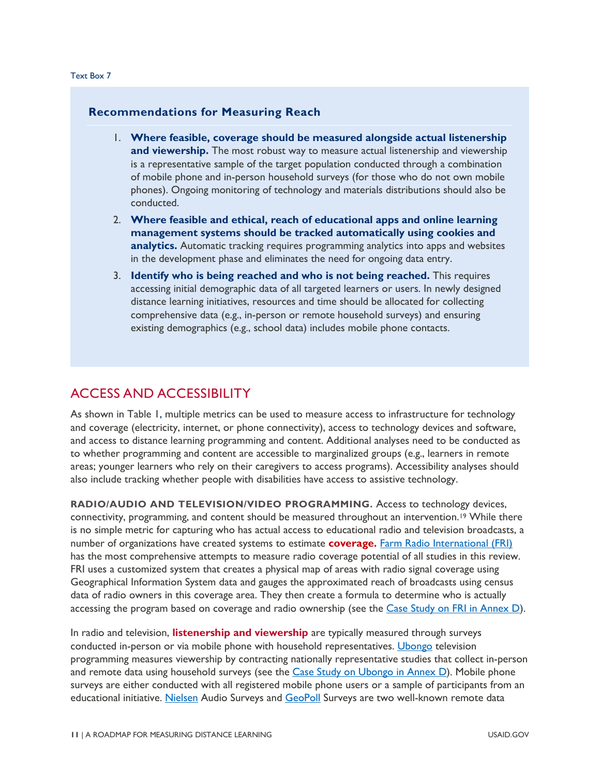#### **Recommendations for Measuring Reach**

- 1. **Where feasible, coverage should be measured alongside actual listenership and viewership.** The most robust way to measure actual listenership and viewership is a representative sample of the target population conducted through a combination of mobile phone and in-person household surveys (for those who do not own mobile phones). Ongoing monitoring of technology and materials distributions should also be conducted.
- 2. **Where feasible and ethical, reach of educational apps and online learning management systems should be tracked automatically using cookies and analytics.** Automatic tracking requires programming analytics into apps and websites in the development phase and eliminates the need for ongoing data entry.
- 3. **Identify who is being reached and who is not being reached.** This requires accessing initial demographic data of all targeted learners or users. In newly designed distance learning initiatives, resources and time should be allocated for collecting comprehensive data (e.g., in-person or remote household surveys) and ensuring existing demographics (e.g., school data) includes mobile phone contacts.

#### ACCESS AND ACCESSIBILITY

As shown in [Table 1,](#page-12-1) multiple metrics can be used to measure access to infrastructure for technology and coverage (electricity, internet, or phone connectivity), access to technology devices and software, and access to distance learning programming and content. Additional analyses need to be conducted as to whether programming and content are accessible to marginalized groups (e.g., learners in remote areas; younger learners who rely on their caregivers to access programs). Accessibility analyses should also include tracking whether people with disabilities have access to assistive technology.

**RADIO/AUDIO AND TELEVISION/VIDEO PROGRAMMING.** Access to technology devices, connectivity, programming, and content should be measured throughout an intervention.<sup>[19](#page-82-0)</sup> While there is no simple metric for capturing who has actual access to educational radio and television broadcasts, a number of organizations have created systems to estimate **coverage.** [Farm Radio International \(FRI\)](https://farmradio.org/) has the most comprehensive attempts to measure radio coverage potential of all studies in this review. FRI uses a customized system that creates a physical map of areas with radio signal coverage using Geographical Information System data and gauges the approximated reach of broadcasts using census data of radio owners in this coverage area. They then create a formula to determine who is actually accessing the program based on coverage and radio ownership (see the [Case Study on FRI in Annex D\)](#page-69-0).

In radio and television, **listenership and viewership** are typically measured through surveys conducted in-person or via mobile phone with household representatives. [Ubongo](https://ubongokids.com/) television programming measures viewership by contracting nationally representative studies that collect in-person and remote data using household surveys (see the [Case Study on Ubongo in Annex D\)](#page-72-0). Mobile phone surveys are either conducted with all registered mobile phone users or a sample of participants from an educational initiative. [Nielsen](https://www.nielsen.com/us/en/solutions/capabilities/audio/) Audio Surveys and [GeoPoll](https://www.geopoll.com/) Surveys are two well-known remote data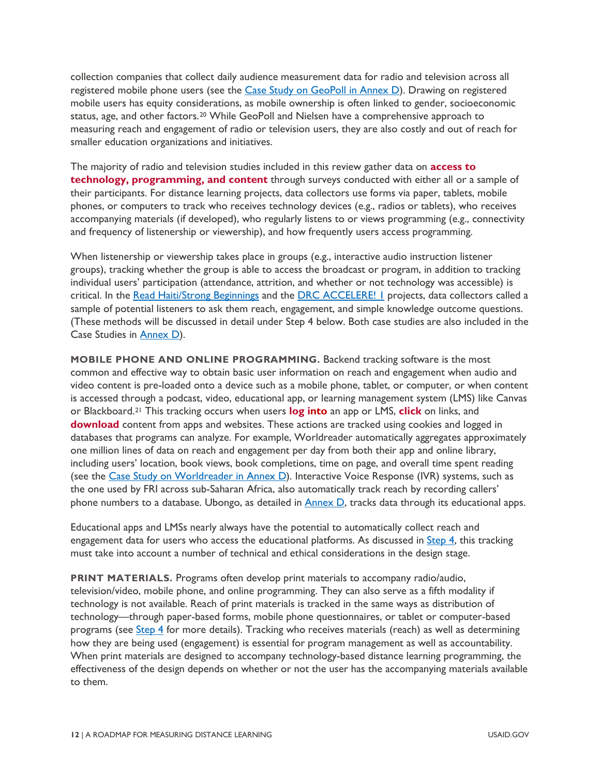collection companies that collect daily audience measurement data for radio and television across all registered mobile phone users (see the [Case Study on GeoPoll in Annex D\)](#page-62-0). Drawing on registered mobile users has equity considerations, as mobile ownership is often linked to gender, socioeconomic status, age, and other factors.[20](#page-82-1) While GeoPoll and Nielsen have a comprehensive approach to measuring reach and engagement of radio or television users, they are also costly and out of reach for smaller education organizations and initiatives.

The majority of radio and television studies included in this review gather data on **access to technology, programming, and content** through surveys conducted with either all or a sample of their participants. For distance learning projects, data collectors use forms via paper, tablets, mobile phones, or computers to track who receives technology devices (e.g., radios or tablets), who receives accompanying materials (if developed), who regularly listens to or views programming (e.g., connectivity and frequency of listenership or viewership), and how frequently users access programming.

When listenership or viewership takes place in groups (e.g., interactive audio instruction listener groups), tracking whether the group is able to access the broadcast or program, in addition to tracking individual users' participation (attendance, attrition, and whether or not technology was accessible) is critical. In the [Read Haiti/Strong Beginnings](#page-65-0) and the DRC ACCELERE! I projects, data collectors called a sample of potential listeners to ask them reach, engagement, and simple knowledge outcome questions. (These methods will be discussed in detail under Step 4 below. Both case studies are also included in the Case Studies in [Annex D\)](#page-60-0).

**MOBILE PHONE AND ONLINE PROGRAMMING.** Backend tracking software is the most common and effective way to obtain basic user information on reach and engagement when audio and video content is pre-loaded onto a device such as a mobile phone, tablet, or computer, or when content is accessed through a podcast, video, educational app, or learning management system (LMS) like Canvas or Blackboard.[21](#page-82-2) This tracking occurs when users **log into** an app or LMS, **click** on links, and **download** content from apps and websites. These actions are tracked using cookies and logged in databases that programs can analyze. For example, Worldreader automatically aggregates approximately one million lines of data on reach and engagement per day from both their app and online library, including users' location, book views, book completions, time on page, and overall time spent reading (see the [Case Study on Worldreader](#page-67-0) in Annex D). Interactive Voice Response (IVR) systems, such as the one used by FRI across sub-Saharan Africa, also automatically track reach by recording callers' phone numbers to a database. Ubongo, as detailed in **Annex D**, tracks data through its educational apps.

Educational apps and LMSs nearly always have the potential to automatically collect reach and engagement data for users who access the educational platforms. As discussed in [Step 4,](#page-32-0) this tracking must take into account a number of technical and ethical considerations in the design stage.

**PRINT MATERIALS.** Programs often develop print materials to accompany radio/audio, television/video, mobile phone, and online programming. They can also serve as a fifth modality if technology is not available. Reach of print materials is tracked in the same ways as distribution of technology—through paper-based forms, mobile phone questionnaires, or tablet or computer-based programs (see [Step 4](#page-32-0) for more details). Tracking who receives materials (reach) as well as determining how they are being used (engagement) is essential for program management as well as accountability. When print materials are designed to accompany technology-based distance learning programming, the effectiveness of the design depends on whether or not the user has the accompanying materials available to them.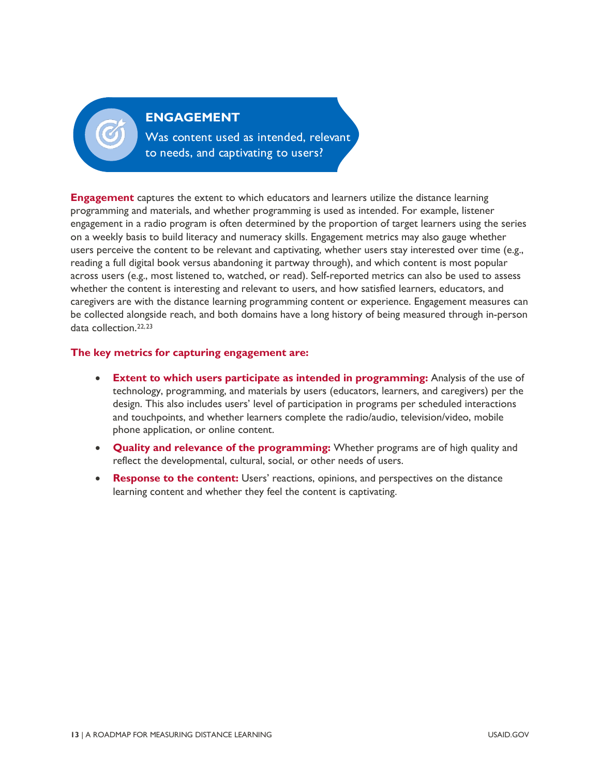

Was content used as intended, relevant to needs, and captivating to users?

**Engagement** captures the extent to which educators and learners utilize the distance learning programming and materials, and whether programming is used as intended. For example, listener engagement in a radio program is often determined by the proportion of target learners using the series on a weekly basis to build literacy and numeracy skills. Engagement metrics may also gauge whether users perceive the content to be relevant and captivating, whether users stay interested over time (e.g., reading a full digital book versus abandoning it partway through), and which content is most popular across users (e.g., most listened to, watched, or read). Self-reported metrics can also be used to assess whether the content is interesting and relevant to users, and how satisfied learners, educators, and caregivers are with the distance learning programming content or experience. Engagement measures can be collected alongside reach, and both domains have a long history of being measured through in-person data collection.[22](#page-82-3),[23](#page-82-4)

#### **The key metrics for capturing engagement are:**

- **Extent to which users participate as intended in programming:** Analysis of the use of technology, programming, and materials by users (educators, learners, and caregivers) per the design. This also includes users' level of participation in programs per scheduled interactions and touchpoints, and whether learners complete the radio/audio, television/video, mobile phone application, or online content.
- **Quality and relevance of the programming:** Whether programs are of high quality and reflect the developmental, cultural, social, or other needs of users.
- **Response to the content:** Users' reactions, opinions, and perspectives on the distance learning content and whether they feel the content is captivating.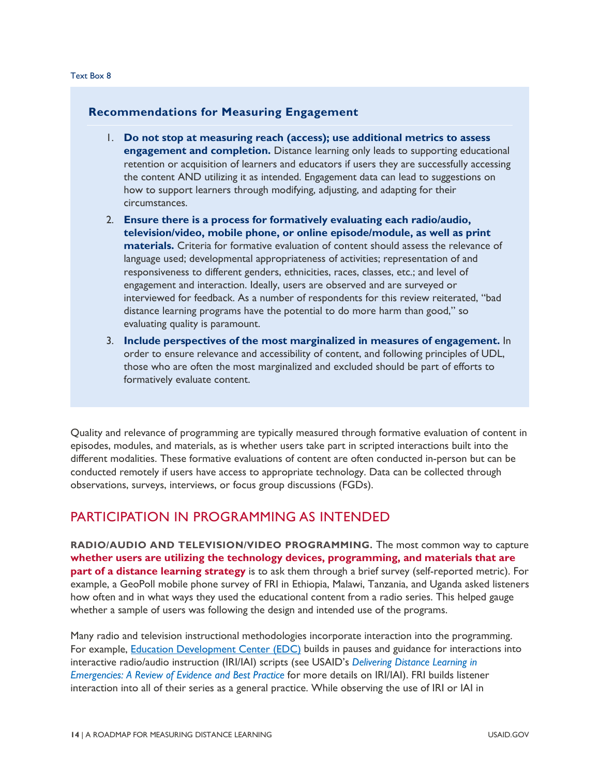#### **Recommendations for Measuring Engagement**

- 1. **Do not stop at measuring reach (access); use additional metrics to assess engagement and completion.** Distance learning only leads to supporting educational retention or acquisition of learners and educators if users they are successfully accessing the content AND utilizing it as intended. Engagement data can lead to suggestions on how to support learners through modifying, adjusting, and adapting for their circumstances.
- 2. **Ensure there is a process for formatively evaluating each radio/audio, television/video, mobile phone, or online episode/module, as well as print materials.** Criteria for formative evaluation of content should assess the relevance of language used; developmental appropriateness of activities; representation of and responsiveness to different genders, ethnicities, races, classes, etc.; and level of engagement and interaction. Ideally, users are observed and are surveyed or interviewed for feedback. As a number of respondents for this review reiterated, "bad distance learning programs have the potential to do more harm than good," so evaluating quality is paramount.
- 3. **Include perspectives of the most marginalized in measures of engagement.** In order to ensure relevance and accessibility of content, and following principles of UDL, those who are often the most marginalized and excluded should be part of efforts to formatively evaluate content.

Quality and relevance of programming are typically measured through formative evaluation of content in episodes, modules, and materials, as is whether users take part in scripted interactions built into the different modalities. These formative evaluations of content are often conducted in-person but can be conducted remotely if users have access to appropriate technology. Data can be collected through observations, surveys, interviews, or focus group discussions (FGDs).

#### PARTICIPATION IN PROGRAMMING AS INTENDED

**RADIO/AUDIO AND TELEVISION/VIDEO PROGRAMMING.** The most common way to capture **whether users are utilizing the technology devices, programming, and materials that are part of a distance learning strategy** is to ask them through a brief survey (self-reported metric). For example, a GeoPoll mobile phone survey of FRI in Ethiopia, Malawi, Tanzania, and Uganda asked listeners how often and in what ways they used the educational content from a radio series. This helped gauge whether a sample of users was following the design and intended use of the programs.

Many radio and television instructional methodologies incorporate interaction into the programming. For example, **Education Development Center (EDC)** builds in pauses and guidance for interactions into interactive radio/audio instruction (IRI/IAI) scripts (see USAID's *Delivering Distance Learning in Emergencies: A Review of Evidence and Best Practice* for more details on IRI/IAI). FRI builds listener interaction into all of their series as a general practice. While observing the use of IRI or IAI in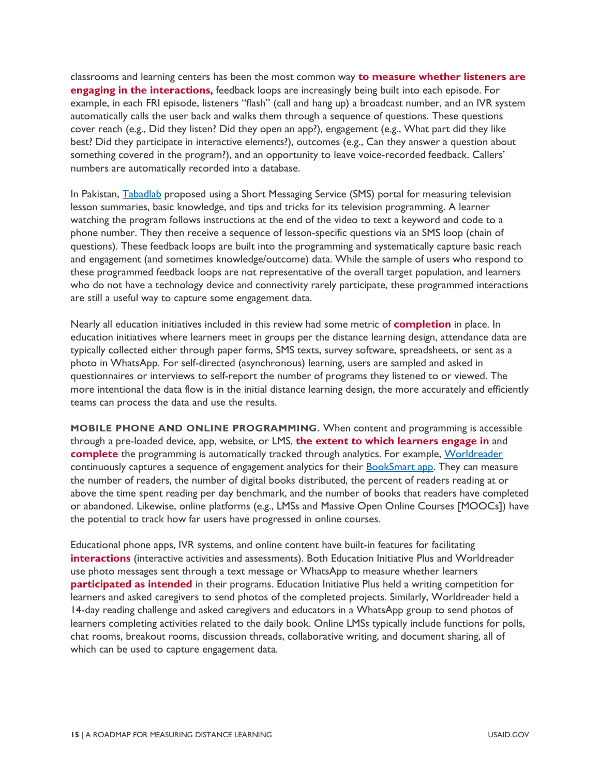classrooms and learning centers has been the most common way **to measure whether listeners are engaging in the interactions,** feedback loops are increasingly being built into each episode. For example, in each FRI episode, listeners "flash" (call and hang up) a broadcast number, and an IVR system automatically calls the user back and walks them through a sequence of questions. These questions cover reach (e.g., Did they listen? Did they open an app?), engagement (e.g., What part did they like best? Did they participate in interactive elements?), outcomes (e.g., Can they answer a question about something covered in the program?), and an opportunity to leave voice-recorded feedback. Callers' numbers are automatically recorded into a database.

In Pakistan, [Tabadlab](#page-71-0) proposed using a Short Messaging Service (SMS) portal for measuring television lesson summaries, basic knowledge, and tips and tricks for its television programming. A learner watching the program follows instructions at the end of the video to text a keyword and code to a phone number. They then receive a sequence of lesson-specific questions via an SMS loop (chain of questions). These feedback loops are built into the programming and systematically capture basic reach and engagement (and sometimes knowledge/outcome) data. While the sample of users who respond to these programmed feedback loops are not representative of the overall target population, and learners who do not have a technology device and connectivity rarely participate, these programmed interactions are still a useful way to capture some engagement data.

Nearly all education initiatives included in this review had some metric of **completion** in place. In education initiatives where learners meet in groups per the distance learning design, attendance data are typically collected either through paper forms, SMS texts, survey software, spreadsheets, or sent as a photo in WhatsApp. For self-directed (asynchronous) learning, users are sampled and asked in questionnaires or interviews to self-report the number of programs they listened to or viewed. The more intentional the data flow is in the initial distance learning design, the more accurately and efficiently teams can process the data and use the results.

**MOBILE PHONE AND ONLINE PROGRAMMING.** When content and programming is accessible through a pre-loaded device, app, website, or LMS, **the extent to which learners engage in** and **complete** the programming is automatically tracked through analytics. For example, [Worldreader](https://www.worldreader.org/) continuously captures a sequence of engagement analytics for their [BookSmart app.](https://www.worldreader.org/booksmart-app/) They can measure the number of readers, the number of digital books distributed, the percent of readers reading at or above the time spent reading per day benchmark, and the number of books that readers have completed or abandoned. Likewise, online platforms (e.g., LMSs and Massive Open Online Courses [MOOCs]) have the potential to track how far users have progressed in online courses.

Educational phone apps, IVR systems, and online content have built-in features for facilitating **interactions** (interactive activities and assessments). Both Education Initiative Plus and Worldreader use photo messages sent through a text message or WhatsApp to measure whether learners **participated as intended** in their programs. Education Initiative Plus held a writing competition for learners and asked caregivers to send photos of the completed projects. Similarly, Worldreader held a 14-day reading challenge and asked caregivers and educators in a WhatsApp group to send photos of learners completing activities related to the daily book. Online LMSs typically include functions for polls, chat rooms, breakout rooms, discussion threads, collaborative writing, and document sharing, all of which can be used to capture engagement data.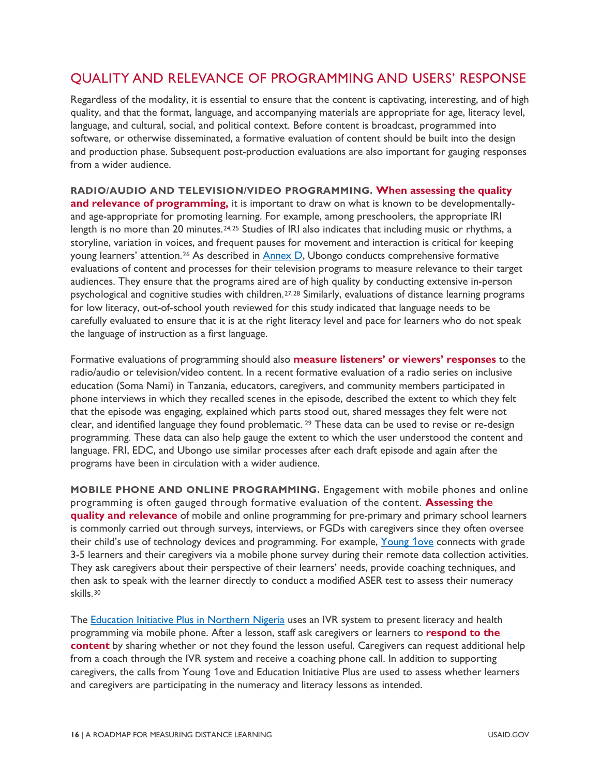#### QUALITY AND RELEVANCE OF PROGRAMMING AND USERS' RESPONSE

Regardless of the modality, it is essential to ensure that the content is captivating, interesting, and of high quality, and that the format, language, and accompanying materials are appropriate for age, literacy level, language, and cultural, social, and political context. Before content is broadcast, programmed into software, or otherwise disseminated, a formative evaluation of content should be built into the design and production phase. Subsequent post-production evaluations are also important for gauging responses from a wider audience.

**RADIO/AUDIO AND TELEVISION/VIDEO PROGRAMMING. When assessing the quality and relevance of programming,** it is important to draw on what is known to be developmentallyand age-appropriate for promoting learning. For example, among preschoolers, the appropriate IRI length is no more than 20 minutes.<sup>[24](#page-82-5),[25](#page-82-6)</sup> Studies of IRI also indicates that including music or rhythms, a storyline, variation in voices, and frequent pauses for movement and interaction is critical for keeping young learners' attention.[26](#page-82-7) As described in [Annex D,](#page-60-0) Ubongo conducts comprehensive formative evaluations of content and processes for their television programs to measure relevance to their target audiences. They ensure that the programs aired are of high quality by conducting extensive in-person psychological and cognitive studies with children.[27](#page-82-8),[28](#page-82-9) Similarly, evaluations of distance learning programs for low literacy, out-of-school youth reviewed for this study indicated that language needs to be carefully evaluated to ensure that it is at the right literacy level and pace for learners who do not speak the language of instruction as a first language.

Formative evaluations of programming should also **measure listeners' or viewers' responses** to the radio/audio or television/video content. In a recent formative evaluation of a radio series on inclusive education (Soma Nami) in Tanzania, educators, caregivers, and community members participated in phone interviews in which they recalled scenes in the episode, described the extent to which they felt that the episode was engaging, explained which parts stood out, shared messages they felt were not clear, and identified language they found problematic. [29](#page-82-10) These data can be used to revise or re-design programming. These data can also help gauge the extent to which the user understood the content and language. FRI, EDC, and Ubongo use similar processes after each draft episode and again after the programs have been in circulation with a wider audience.

**MOBILE PHONE AND ONLINE PROGRAMMING.** Engagement with mobile phones and online programming is often gauged through formative evaluation of the content. **Assessing the quality and relevance** of mobile and online programming for pre-primary and primary school learners is commonly carried out through surveys, interviews, or FGDs with caregivers since they often oversee their child's use of technology devices and programming. For example, [Young](#page-68-0) 1ove connects with grade 3-5 learners and their caregivers via a mobile phone survey during their remote data collection activities. They ask caregivers about their perspective of their learners' needs, provide coaching techniques, and then ask to speak with the learner directly to conduct a modified ASER test to assess their numeracy skills.[30](#page-82-11) 

The [Education Initiative Plus in Northern Nigeria](#page-64-0) uses an IVR system to present literacy and health programming via mobile phone. After a lesson, staff ask caregivers or learners to **respond to the content** by sharing whether or not they found the lesson useful. Caregivers can request additional help from a coach through the IVR system and receive a coaching phone call. In addition to supporting caregivers, the calls from Young 1ove and Education Initiative Plus are used to assess whether learners and caregivers are participating in the numeracy and literacy lessons as intended.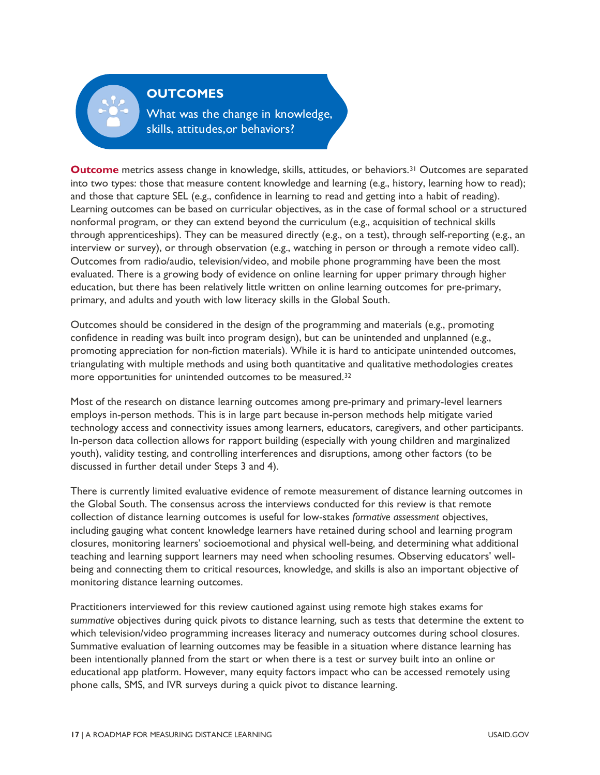

#### **OUTCOMES**

What was the change in knowledge, skills, attitudes, or behaviors?

**Outcome** metrics assess change in knowledge, skills, attitudes, or behaviors.<sup>[31](#page-82-12)</sup> Outcomes are separated into two types: those that measure content knowledge and learning (e.g., history, learning how to read); and those that capture SEL (e.g., confidence in learning to read and getting into a habit of reading). Learning outcomes can be based on curricular objectives, as in the case of formal school or a structured nonformal program, or they can extend beyond the curriculum (e.g., acquisition of technical skills through apprenticeships). They can be measured directly (e.g., on a test), through self-reporting (e.g., an interview or survey), or through observation (e.g., watching in person or through a remote video call). Outcomes from radio/audio, television/video, and mobile phone programming have been the most evaluated. There is a growing body of evidence on online learning for upper primary through higher education, but there has been relatively little written on online learning outcomes for pre-primary, primary, and adults and youth with low literacy skills in the Global South.

Outcomes should be considered in the design of the programming and materials (e.g., promoting confidence in reading was built into program design), but can be unintended and unplanned (e.g., promoting appreciation for non-fiction materials). While it is hard to anticipate unintended outcomes, triangulating with multiple methods and using both quantitative and qualitative methodologies creates more opportunities for unintended outcomes to be measured.[32](#page-82-13) 

Most of the research on distance learning outcomes among pre-primary and primary-level learners employs in-person methods. This is in large part because in-person methods help mitigate varied technology access and connectivity issues among learners, educators, caregivers, and other participants. In-person data collection allows for rapport building (especially with young children and marginalized youth), validity testing, and controlling interferences and disruptions, among other factors (to be discussed in further detail under Steps 3 and 4).

There is currently limited evaluative evidence of remote measurement of distance learning outcomes in the Global South. The consensus across the interviews conducted for this review is that remote collection of distance learning outcomes is useful for low-stakes *formative assessment* objectives, including gauging what content knowledge learners have retained during school and learning program closures, monitoring learners' socioemotional and physical well-being, and determining what additional teaching and learning support learners may need when schooling resumes. Observing educators' wellbeing and connecting them to critical resources, knowledge, and skills is also an important objective of monitoring distance learning outcomes.

Practitioners interviewed for this review cautioned against using remote high stakes exams for *summative* objectives during quick pivots to distance learning, such as tests that determine the extent to which television/video programming increases literacy and numeracy outcomes during school closures. Summative evaluation of learning outcomes may be feasible in a situation where distance learning has been intentionally planned from the start or when there is a test or survey built into an online or educational app platform. However, many equity factors impact who can be accessed remotely using phone calls, SMS, and IVR surveys during a quick pivot to distance learning.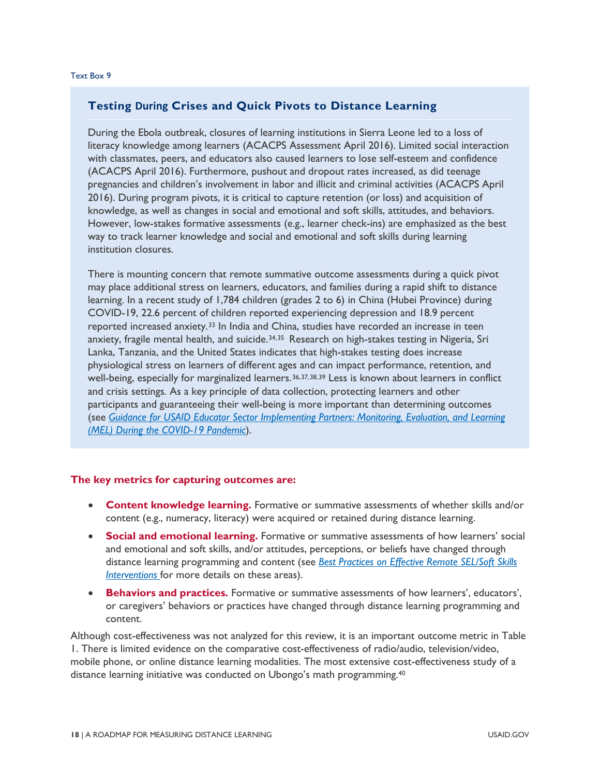#### **Testing During Crises and Quick Pivots to Distance Learning**

During the Ebola outbreak, closures of learning institutions in Sierra Leone led to a loss of literacy knowledge among learners (ACACPS Assessment April 2016). Limited social interaction with classmates, peers, and educators also caused learners to lose self-esteem and confidence (ACACPS April 2016). Furthermore, pushout and dropout rates increased, as did teenage pregnancies and children's involvement in labor and illicit and criminal activities (ACACPS April 2016). During program pivots, it is critical to capture retention (or loss) and acquisition of knowledge, as well as changes in social and emotional and soft skills, attitudes, and behaviors. However, low-stakes formative assessments (e.g., learner check-ins) are emphasized as the best way to track learner knowledge and social and emotional and soft skills during learning institution closures.

There is mounting concern that remote summative outcome assessments during a quick pivot may place additional stress on learners, educators, and families during a rapid shift to distance learning. In a recent study of 1,784 children (grades 2 to 6) in China (Hubei Province) during COVID-19, 22.6 percent of children reported experiencing depression and 18.9 percent reported increased anxiety.<sup>[33](#page-82-14)</sup> In India and China, studies have recorded an increase in teen anxiety, fragile mental health, and suicide.<sup>[34](#page-82-15),[35](#page-82-16)</sup> Research on high-stakes testing in Nigeria, Sri Lanka, Tanzania, and the United States indicates that high-stakes testing does increase physiological stress on learners of different ages and can impact performance, retention, and well-being, especially for marginalized learners.<sup>[36](#page-82-17),[37](#page-82-18),[38](#page-82-19),[39](#page-82-20)</sup> Less is known about learners in conflict and crisis settings. As a key principle of data collection, protecting learners and other participants and guaranteeing their well-being is more important than determining outcomes (see *Guidance for USAID Educator Sector Implementing Partners: Monitoring, Evaluation, and Learning (MEL) During the COVID-19 Pandemic*).

#### **The key metrics for capturing outcomes are:**

- **Content knowledge learning.** Formative or summative assessments of whether skills and/or content (e.g., numeracy, literacy) were acquired or retained during distance learning.
- **Social and emotional learning.** Formative or summative assessments of how learners' social and emotional and soft skills, and/or attitudes, perceptions, or beliefs have changed through distance learning programming and content (see *Best Practices on Effective Remote SEL/Soft Skills Interventions* for more details on these areas).
- **Behaviors and practices.** Formative or summative assessments of how learners', educators', or caregivers' behaviors or practices have changed through distance learning programming and content.

Although cost-effectiveness was not analyzed for this review, it is an important outcome metric in [Table](#page-12-1)  [1.](#page-12-1) There is limited evidence on the comparative cost-effectiveness of radio/audio, television/video, mobile phone, or online distance learning modalities. The most extensive cost-effectiveness study of a distance learning initiative was conducted on Ubongo's math programming.[40](#page-83-0)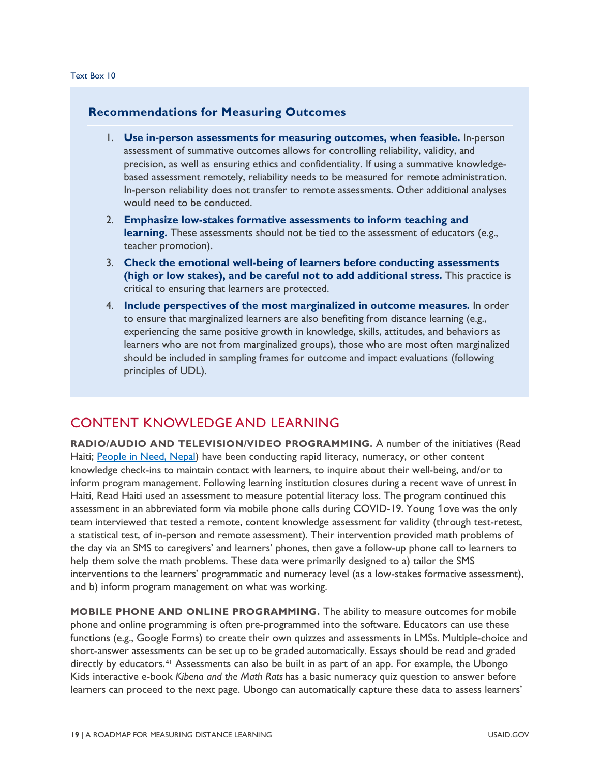#### **Recommendations for Measuring Outcomes**

- 1. **Use in-person assessments for measuring outcomes, when feasible.** In-person assessment of summative outcomes allows for controlling reliability, validity, and precision, as well as ensuring ethics and confidentiality. If using a summative knowledgebased assessment remotely, reliability needs to be measured for remote administration. In-person reliability does not transfer to remote assessments. Other additional analyses would need to be conducted.
- 2. **Emphasize low-stakes formative assessments to inform teaching and learning.** These assessments should not be tied to the assessment of educators (e.g., teacher promotion).
- 3. **Check the emotional well-being of learners before conducting assessments (high or low stakes), and be careful not to add additional stress.** This practice is critical to ensuring that learners are protected.
- 4. **Include perspectives of the most marginalized in outcome measures.** In order to ensure that marginalized learners are also benefiting from distance learning (e.g., experiencing the same positive growth in knowledge, skills, attitudes, and behaviors as learners who are not from marginalized groups), those who are most often marginalized should be included in sampling frames for outcome and impact evaluations (following principles of UDL).

#### CONTENT KNOWLEDGE AND LEARNING

**RADIO/AUDIO AND TELEVISION/VIDEO PROGRAMMING.** A number of the initiatives (Read Haiti; [People in Need, Nepal\)](#page-63-0) have been conducting rapid literacy, numeracy, or other content knowledge check-ins to maintain contact with learners, to inquire about their well-being, and/or to inform program management. Following learning institution closures during a recent wave of unrest in Haiti, Read Haiti used an assessment to measure potential literacy loss. The program continued this assessment in an abbreviated form via mobile phone calls during COVID-19. Young 1ove was the only team interviewed that tested a remote, content knowledge assessment for validity (through test-retest, a statistical test, of in-person and remote assessment). Their intervention provided math problems of the day via an SMS to caregivers' and learners' phones, then gave a follow-up phone call to learners to help them solve the math problems. These data were primarily designed to a) tailor the SMS interventions to the learners' programmatic and numeracy level (as a low-stakes formative assessment), and b) inform program management on what was working.

**MOBILE PHONE AND ONLINE PROGRAMMING.** The ability to measure outcomes for mobile phone and online programming is often pre-programmed into the software. Educators can use these functions (e.g., Google Forms) to create their own quizzes and assessments in LMSs. Multiple-choice and short-answer assessments can be set up to be graded automatically. Essays should be read and graded directly by educators.<sup>[41](#page-83-1)</sup> Assessments can also be built in as part of an app. For example, the Ubongo Kids interactive e-book *Kibena and the Math Rats* has a basic numeracy quiz question to answer before learners can proceed to the next page. Ubongo can automatically capture these data to assess learners'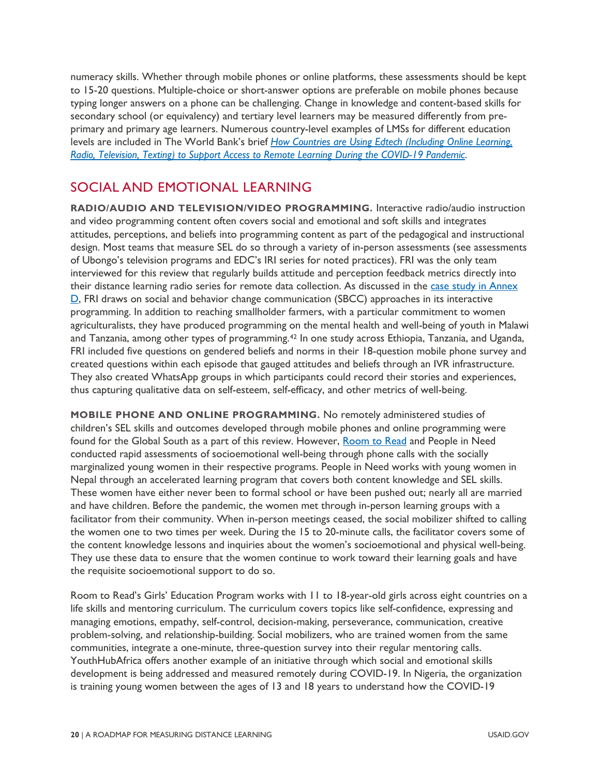numeracy skills. Whether through mobile phones or online platforms, these assessments should be kept to 15-20 questions. Multiple-choice or short-answer options are preferable on mobile phones because typing longer answers on a phone can be challenging. Change in knowledge and content-based skills for secondary school (or equivalency) and tertiary level learners may be measured differently from preprimary and primary age learners. Numerous country-level examples of LMSs for different education levels are included in The World Bank's brief *[How Countries are Using Edtech \(Including Online Learning,](https://www.worldbank.org/en/topic/edutech/brief/how-countries-are-using-edtech-to-support-remote-learning-during-the-covid-19-pandemic)  [Radio, Television, Texting\) to Support Access to Remote Learning During the COVID-19 Pandemic](https://www.worldbank.org/en/topic/edutech/brief/how-countries-are-using-edtech-to-support-remote-learning-during-the-covid-19-pandemic)*.

#### SOCIAL AND EMOTIONAL LEARNING

**RADIO/AUDIO AND TELEVISION/VIDEO PROGRAMMING.** Interactive radio/audio instruction and video programming content often covers social and emotional and soft skills and integrates attitudes, perceptions, and beliefs into programming content as part of the pedagogical and instructional design. Most teams that measure SEL do so through a variety of in-person assessments (see assessments of Ubongo's television programs and EDC's IRI series for noted practices). FRI was the only team interviewed for this review that regularly builds attitude and perception feedback metrics directly into their distance learning radio series for remote data collection. As discussed in the [case study in Annex](#page-69-0)  [D,](#page-69-0) FRI draws on social and behavior change communication (SBCC) approaches in its interactive programming. In addition to reaching smallholder farmers, with a particular commitment to women agriculturalists, they have produced programming on the mental health and well-being of youth in Malawi and Tanzania, among other types of programming.[42](#page-83-2) In one study across Ethiopia, Tanzania, and Uganda, FRI included five questions on gendered beliefs and norms in their 18-question mobile phone survey and created questions within each episode that gauged attitudes and beliefs through an IVR infrastructure. They also created WhatsApp groups in which participants could record their stories and experiences, thus capturing qualitative data on self-esteem, self-efficacy, and other metrics of well-being.

**MOBILE PHONE AND ONLINE PROGRAMMING.** No remotely administered studies of children's SEL skills and outcomes developed through mobile phones and online programming were found for the Global South as a part of this review. However, [Room to Read](#page-61-0) and [People in Need](https://www.clovekvtisni.cz/en/) conducted rapid assessments of socioemotional well-being through phone calls with the socially marginalized young women in their respective programs. People in Need works with young women in Nepal through an accelerated learning program that covers both content knowledge and SEL skills. These women have either never been to formal school or have been pushed out; nearly all are married and have children. Before the pandemic, the women met through in-person learning groups with a facilitator from their community. When in-person meetings ceased, the social mobilizer shifted to calling the women one to two times per week. During the 15 to 20-minute calls, the facilitator covers some of the content knowledge lessons and inquiries about the women's socioemotional and physical well-being. They use these data to ensure that the women continue to work toward their learning goals and have the requisite socioemotional support to do so.

Room to Read's Girls' Education Program works with 11 to 18-year-old girls across eight countries on a life skills and mentoring curriculum. The curriculum covers topics like self-confidence, expressing and managing emotions, empathy, self-control, decision-making, perseverance, communication, creative problem-solving, and relationship-building. Social mobilizers, who are trained women from the same communities, integrate a one-minute, three-question survey into their regular mentoring calls. YouthHubAfrica offers another example of an initiative through which social and emotional skills development is being addressed and measured remotely during COVID-19. In Nigeria, the organization is training young women between the ages of 13 and 18 years to understand how the COVID-19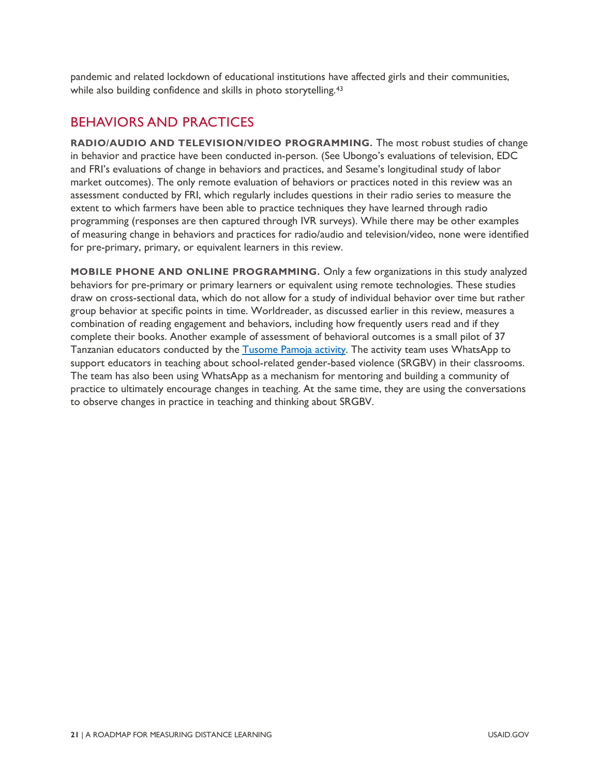pandemic and related lockdown of educational institutions have affected girls and their communities, while also building confidence and skills in photo storytelling.<sup>[43](#page-83-3)</sup>

#### BEHAVIORS AND PRACTICES

**RADIO/AUDIO AND TELEVISION/VIDEO PROGRAMMING.** The most robust studies of change in behavior and practice have been conducted in-person. (See Ubongo's evaluations of television, EDC and FRI's evaluations of change in behaviors and practices, and Sesame's longitudinal study of labor market outcomes). The only remote evaluation of behaviors or practices noted in this review was an assessment conducted by FRI, which regularly includes questions in their radio series to measure the extent to which farmers have been able to practice techniques they have learned through radio programming (responses are then captured through IVR surveys). While there may be other examples of measuring change in behaviors and practices for radio/audio and television/video, none were identified for pre-primary, primary, or equivalent learners in this review.

**MOBILE PHONE AND ONLINE PROGRAMMING.** Only a few organizations in this study analyzed behaviors for pre-primary or primary learners or equivalent using remote technologies. These studies draw on cross-sectional data, which do not allow for a study of individual behavior over time but rather group behavior at specific points in time. Worldreader, as discussed earlier in this review, measures a combination of reading engagement and behaviors, including how frequently users read and if they complete their books. Another example of assessment of behavioral outcomes is a small pilot of 37 Tanzanian educators conducted by the [Tusome Pamoja activity.](#page-74-0) The activity team uses WhatsApp to support educators in teaching about school-related gender-based violence (SRGBV) in their classrooms. The team has also been using WhatsApp as a mechanism for mentoring and building a community of practice to ultimately encourage changes in teaching. At the same time, they are using the conversations to observe changes in practice in teaching and thinking about SRGBV.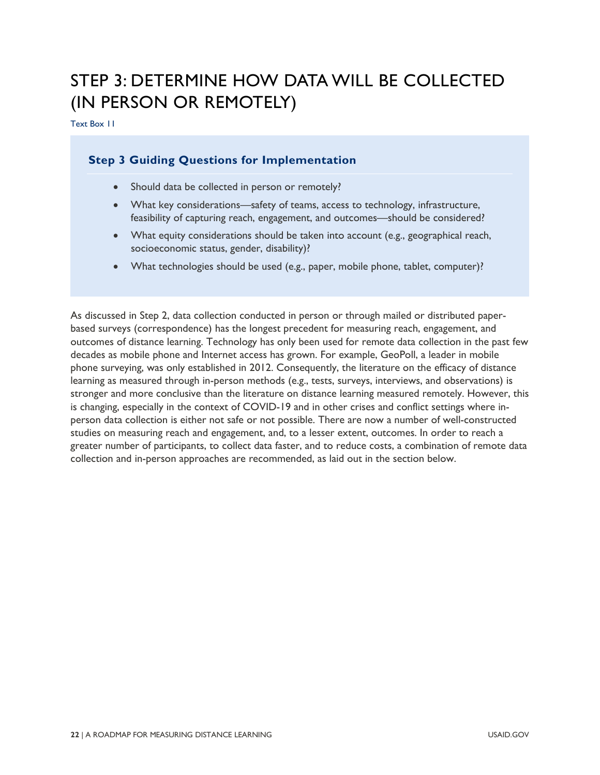### STEP 3: DETERMINE HOW DATA WILL BE COLLECTED (IN PERSON OR REMOTELY)

Text Box 11

#### **Step 3 Guiding Questions for Implementation**

- Should data be collected in person or remotely?
- What key considerations—safety of teams, access to technology, infrastructure, feasibility of capturing reach, engagement, and outcomes—should be considered?
- What equity considerations should be taken into account (e.g., geographical reach, socioeconomic status, gender, disability)?
- What technologies should be used (e.g., paper, mobile phone, tablet, computer)?

As discussed in Step 2, data collection conducted in person or through mailed or distributed paperbased surveys (correspondence) has the longest precedent for measuring reach, engagement, and outcomes of distance learning. Technology has only been used for remote data collection in the past few decades as mobile phone and Internet access has grown. For example, GeoPoll, a leader in mobile phone surveying, was only established in 2012. Consequently, the literature on the efficacy of distance learning as measured through in-person methods (e.g., tests, surveys, interviews, and observations) is stronger and more conclusive than the literature on distance learning measured remotely. However, this is changing, especially in the context of COVID-19 and in other crises and conflict settings where inperson data collection is either not safe or not possible. There are now a number of well-constructed studies on measuring reach and engagement, and, to a lesser extent, outcomes. In order to reach a greater number of participants, to collect data faster, and to reduce costs, a combination of remote data collection and in-person approaches are recommended, as laid out in the section below.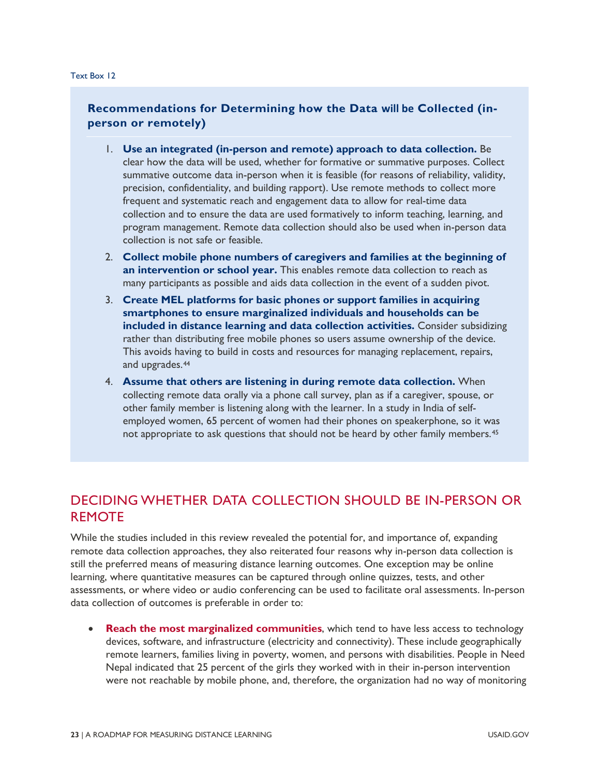#### **Recommendations for Determining how the Data will be Collected (inperson or remotely)**

- 1. **Use an integrated (in-person and remote) approach to data collection.** Be clear how the data will be used, whether for formative or summative purposes. Collect summative outcome data in-person when it is feasible (for reasons of reliability, validity, precision, confidentiality, and building rapport). Use remote methods to collect more frequent and systematic reach and engagement data to allow for real-time data collection and to ensure the data are used formatively to inform teaching, learning, and program management. Remote data collection should also be used when in-person data collection is not safe or feasible.
- 2. **Collect mobile phone numbers of caregivers and families at the beginning of an intervention or school year.** This enables remote data collection to reach as many participants as possible and aids data collection in the event of a sudden pivot.
- 3. **Create MEL platforms for basic phones or support families in acquiring smartphones to ensure marginalized individuals and households can be included in distance learning and data collection activities.** Consider subsidizing rather than distributing free mobile phones so users assume ownership of the device. This avoids having to build in costs and resources for managing replacement, repairs, and upgrades.<sup>[44](#page-83-4)</sup>
- 4. **Assume that others are listening in during remote data collection.** When collecting remote data orally via a phone call survey, plan as if a caregiver, spouse, or other family member is listening along with the learner. In a study in India of selfemployed women, 65 percent of women had their phones on speakerphone, so it was not appropriate to ask questions that should not be heard by other family members.[45](#page-83-5)

#### DECIDING WHETHER DATA COLLECTION SHOULD BE IN-PERSON OR REMOTE

While the studies included in this review revealed the potential for, and importance of, expanding remote data collection approaches, they also reiterated four reasons why in-person data collection is still the preferred means of measuring distance learning outcomes. One exception may be online learning, where quantitative measures can be captured through online quizzes, tests, and other assessments, or where video or audio conferencing can be used to facilitate oral assessments. In-person data collection of outcomes is preferable in order to:

**Reach the most marginalized communities**, which tend to have less access to technology devices, software, and infrastructure (electricity and connectivity). These include geographically remote learners, families living in poverty, women, and persons with disabilities. People in Need Nepal indicated that 25 percent of the girls they worked with in their in-person intervention were not reachable by mobile phone, and, therefore, the organization had no way of monitoring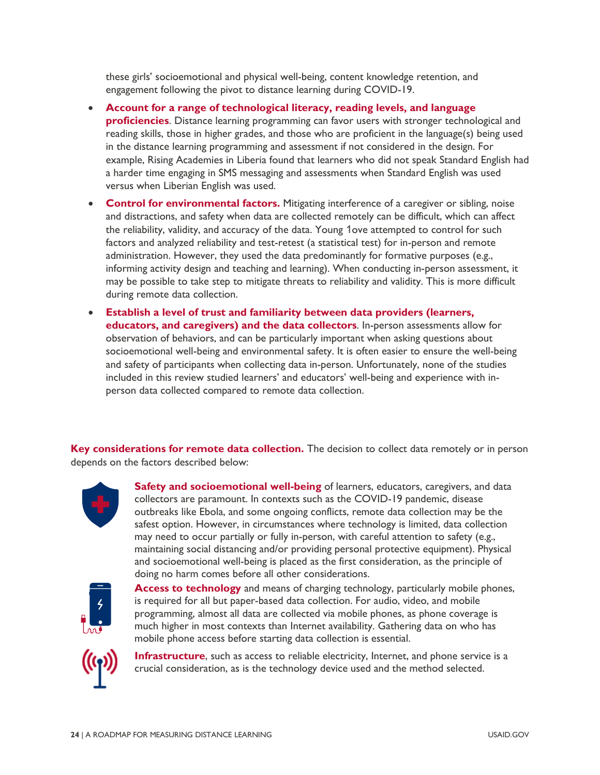these girls' socioemotional and physical well-being, content knowledge retention, and engagement following the pivot to distance learning during COVID-19.

- **Account for a range of technological literacy, reading levels, and language proficiencies**. Distance learning programming can favor users with stronger technological and reading skills, those in higher grades, and those who are proficient in the language(s) being used in the distance learning programming and assessment if not considered in the design. For example, Rising Academies in Liberia found that learners who did not speak Standard English had a harder time engaging in SMS messaging and assessments when Standard English was used versus when Liberian English was used.
- **Control for environmental factors.** Mitigating interference of a caregiver or sibling, noise and distractions, and safety when data are collected remotely can be difficult, which can affect the reliability, validity, and accuracy of the data. Young 1ove attempted to control for such factors and analyzed reliability and test-retest (a statistical test) for in-person and remote administration. However, they used the data predominantly for formative purposes (e.g., informing activity design and teaching and learning). When conducting in-person assessment, it may be possible to take step to mitigate threats to reliability and validity. This is more difficult during remote data collection.
- **Establish a level of trust and familiarity between data providers (learners, educators, and caregivers) and the data collectors**. In-person assessments allow for observation of behaviors, and can be particularly important when asking questions about socioemotional well-being and environmental safety. It is often easier to ensure the well-being and safety of participants when collecting data in-person. Unfortunately, none of the studies included in this review studied learners' and educators' well-being and experience with inperson data collected compared to remote data collection.

**Key considerations for remote data collection.** The decision to collect data remotely or in person depends on the factors described below:



**Safety and socioemotional well-being** of learners, educators, caregivers, and data collectors are paramount. In contexts such as the COVID-19 pandemic, disease outbreaks like Ebola, and some ongoing conflicts, remote data collection may be the safest option. However, in circumstances where technology is limited, data collection may need to occur partially or fully in-person, with careful attention to safety (e.g., maintaining social distancing and/or providing personal protective equipment). Physical and socioemotional well-being is placed as the first consideration, as the principle of doing no harm comes before all other considerations.



**Access to technology** and means of charging technology, particularly mobile phones, is required for all but paper-based data collection. For audio, video, and mobile programming, almost all data are collected via mobile phones, as phone coverage is much higher in most contexts than Internet availability. Gathering data on who has mobile phone access before starting data collection is essential.



**Infrastructure**, such as access to reliable electricity, Internet, and phone service is a crucial consideration, as is the technology device used and the method selected.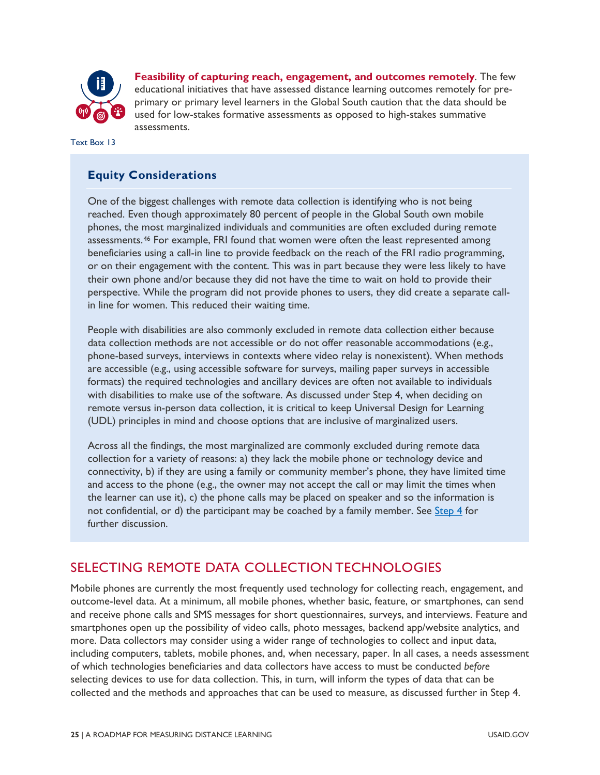

**Feasibility of capturing reach, engagement, and outcomes remotely**. The few educational initiatives that have assessed distance learning outcomes remotely for preprimary or primary level learners in the Global South caution that the data should be used for low-stakes formative assessments as opposed to high-stakes summative assessments.

Text Box 13

#### **Equity Considerations**

One of the biggest challenges with remote data collection is identifying who is not being reached. Even though approximately 80 percent of people in the Global South own mobile phones, the most marginalized individuals and communities are often excluded during remote assessments.[46](#page-83-6) For example, FRI found that women were often the least represented among beneficiaries using a call-in line to provide feedback on the reach of the FRI radio programming, or on their engagement with the content. This was in part because they were less likely to have their own phone and/or because they did not have the time to wait on hold to provide their perspective. While the program did not provide phones to users, they did create a separate callin line for women. This reduced their waiting time.

People with disabilities are also commonly excluded in remote data collection either because data collection methods are not accessible or do not offer reasonable accommodations (e.g., phone-based surveys, interviews in contexts where video relay is nonexistent). When methods are accessible (e.g., using accessible software for surveys, mailing paper surveys in accessible formats) the required technologies and ancillary devices are often not available to individuals with disabilities to make use of the software. As discussed under Step 4, when deciding on remote versus in-person data collection, it is critical to keep Universal Design for Learning (UDL) principles in mind and choose options that are inclusive of marginalized users.

Across all the findings, the most marginalized are commonly excluded during remote data collection for a variety of reasons: a) they lack the mobile phone or technology device and connectivity, b) if they are using a family or community member's phone, they have limited time and access to the phone (e.g., the owner may not accept the call or may limit the times when the learner can use it), c) the phone calls may be placed on speaker and so the information is not confidential, or d) the participant may be coached by a family member. See [Step 4](#page-32-0) for further discussion.

#### SELECTING REMOTE DATA COLLECTION TECHNOLOGIES

Mobile phones are currently the most frequently used technology for collecting reach, engagement, and outcome-level data. At a minimum, all mobile phones, whether basic, feature, or smartphones, can send and receive phone calls and SMS messages for short questionnaires, surveys, and interviews. Feature and smartphones open up the possibility of video calls, photo messages, backend app/website analytics, and more. Data collectors may consider using a wider range of technologies to collect and input data, including computers, tablets, mobile phones, and, when necessary, paper. In all cases, a needs assessment of which technologies beneficiaries and data collectors have access to must be conducted *before* selecting devices to use for data collection. This, in turn, will inform the types of data that can be collected and the methods and approaches that can be used to measure, as discussed further in Step 4.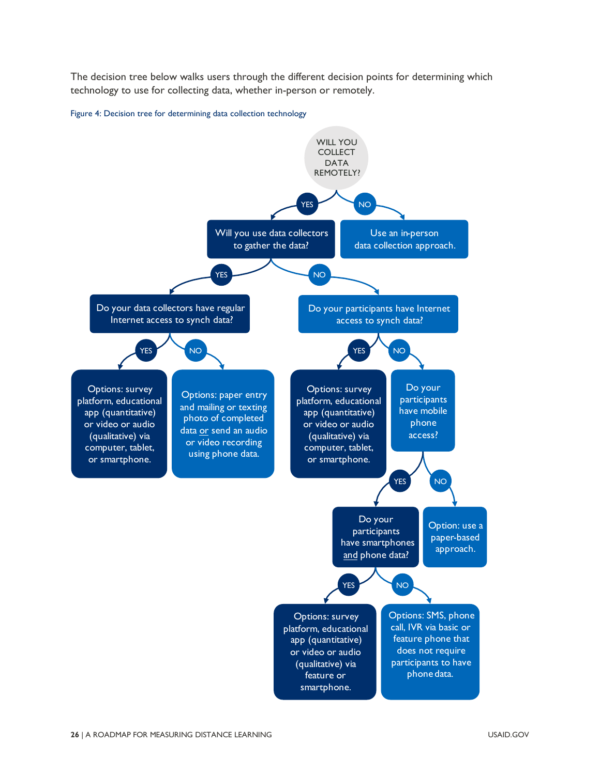The decision tree below walks users through the different decision points for determining which technology to use for collecting data, whether in-person or remotely.

Figure 4: Decision tree for determining data collection technology

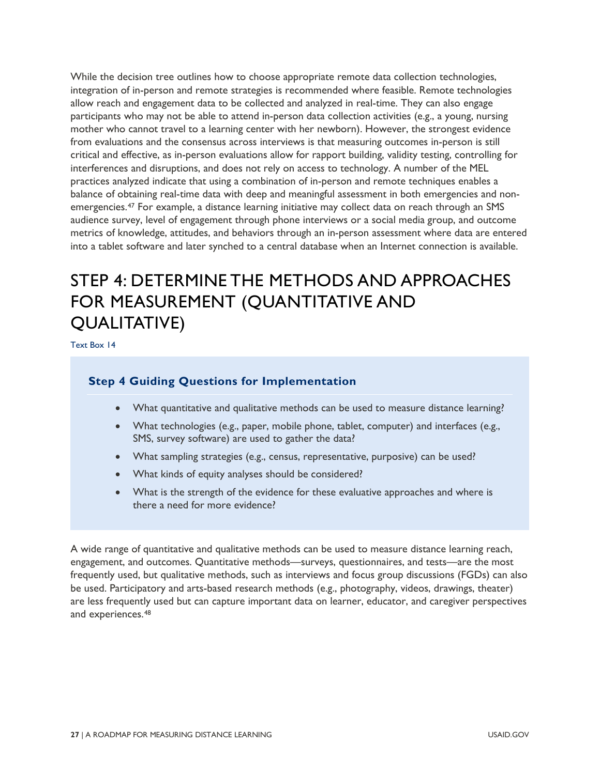While the decision tree outlines how to choose appropriate remote data collection technologies, integration of in-person and remote strategies is recommended where feasible. Remote technologies allow reach and engagement data to be collected and analyzed in real-time. They can also engage participants who may not be able to attend in-person data collection activities (e.g., a young, nursing mother who cannot travel to a learning center with her newborn). However, the strongest evidence from evaluations and the consensus across interviews is that measuring outcomes in-person is still critical and effective, as in-person evaluations allow for rapport building, validity testing, controlling for interferences and disruptions, and does not rely on access to technology. A number of the MEL practices analyzed indicate that using a combination of in-person and remote techniques enables a balance of obtaining real-time data with deep and meaningful assessment in both emergencies and nonemergencies[.47](#page-83-7) For example, a distance learning initiative may collect data on reach through an SMS audience survey, level of engagement through phone interviews or a social media group, and outcome metrics of knowledge, attitudes, and behaviors through an in-person assessment where data are entered into a tablet software and later synched to a central database when an Internet connection is available.

### <span id="page-32-0"></span>STEP 4: DETERMINE THE METHODS AND APPROACHES FOR MEASUREMENT (QUANTITATIVE AND QUALITATIVE)

Text Box 14

#### **Step 4 Guiding Questions for Implementation**

- What quantitative and qualitative methods can be used to measure distance learning?
- What technologies (e.g., paper, mobile phone, tablet, computer) and interfaces (e.g., SMS, survey software) are used to gather the data?
- What sampling strategies (e.g., census, representative, purposive) can be used?
- What kinds of equity analyses should be considered?
- What is the strength of the evidence for these evaluative approaches and where is there a need for more evidence?

A wide range of quantitative and qualitative methods can be used to measure distance learning reach, engagement, and outcomes. Quantitative methods—surveys, questionnaires, and tests—are the most frequently used, but qualitative methods, such as interviews and focus group discussions (FGDs) can also be used. Participatory and arts-based research methods (e.g., photography, videos, drawings, theater) are less frequently used but can capture important data on learner, educator, and caregiver perspectives and experiences.[48](#page-83-8)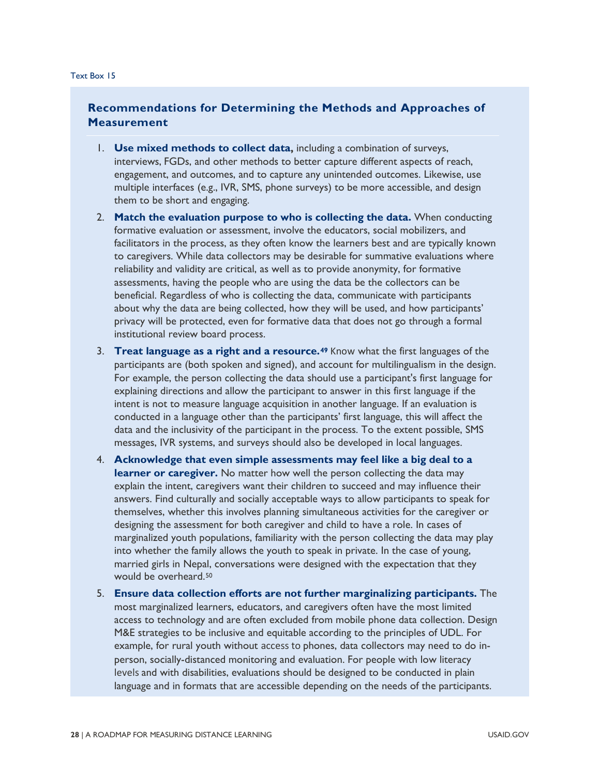#### **Recommendations for Determining the Methods and Approaches of Measurement**

- 1. **Use mixed methods to collect data,** including a combination of surveys, interviews, FGDs, and other methods to better capture different aspects of reach, engagement, and outcomes, and to capture any unintended outcomes. Likewise, use multiple interfaces (e.g., IVR, SMS, phone surveys) to be more accessible, and design them to be short and engaging.
- 2. **Match the evaluation purpose to who is collecting the data.** When conducting formative evaluation or assessment, involve the educators, social mobilizers, and facilitators in the process, as they often know the learners best and are typically known to caregivers. While data collectors may be desirable for summative evaluations where reliability and validity are critical, as well as to provide anonymity, for formative assessments, having the people who are using the data be the collectors can be beneficial. Regardless of who is collecting the data, communicate with participants about why the data are being collected, how they will be used, and how participants' privacy will be protected, even for formative data that does not go through a formal institutional review board process.
- 3. **Treat language as a right and a resource.[49](#page-83-9)** Know what the first languages of the participants are (both spoken and signed), and account for multilingualism in the design. For example, the person collecting the data should use a participant's first language for explaining directions and allow the participant to answer in this first language if the intent is not to measure language acquisition in another language. If an evaluation is conducted in a language other than the participants' first language, this will affect the data and the inclusivity of the participant in the process. To the extent possible, SMS messages, IVR systems, and surveys should also be developed in local languages.
- 4. **Acknowledge that even simple assessments may feel like a big deal to a learner or caregiver.** No matter how well the person collecting the data may explain the intent, caregivers want their children to succeed and may influence their answers. Find culturally and socially acceptable ways to allow participants to speak for themselves, whether this involves planning simultaneous activities for the caregiver or designing the assessment for both caregiver and child to have a role. In cases of marginalized youth populations, familiarity with the person collecting the data may play into whether the family allows the youth to speak in private. In the case of young, married girls in Nepal, conversations were designed with the expectation that they would be overheard.[50](#page-83-10)
- 5. **Ensure data collection efforts are not further marginalizing participants.** The most marginalized learners, educators, and caregivers often have the most limited access to technology and are often excluded from mobile phone data collection. Design M&E strategies to be inclusive and equitable according to the principles of UDL. For example, for rural youth without access to phones, data collectors may need to do inperson, socially-distanced monitoring and evaluation. For people with low literacy levels and with disabilities, evaluations should be designed to be conducted in plain language and in formats that are accessible depending on the needs of the participants.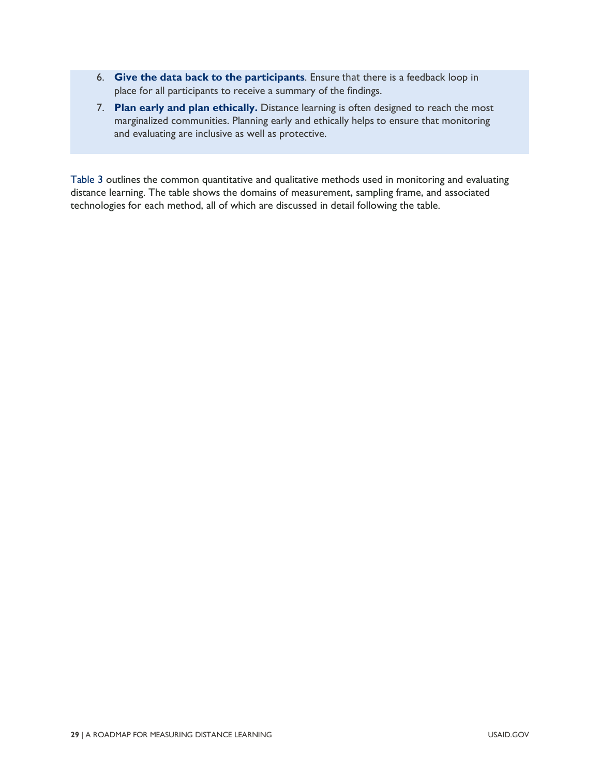- 6. **Give the data back to the participants**. Ensure that there is a feedback loop in place for all participants to receive a summary of the findings.
- 7. **Plan early and plan ethically.** Distance learning is often designed to reach the most marginalized communities. Planning early and ethically helps to ensure that monitoring and evaluating are inclusive as well as protective.

[Table 3](#page-35-0) outlines the common quantitative and qualitative methods used in monitoring and evaluating distance learning. The table shows the domains of measurement, sampling frame, and associated technologies for each method, all of which are discussed in detail following the table.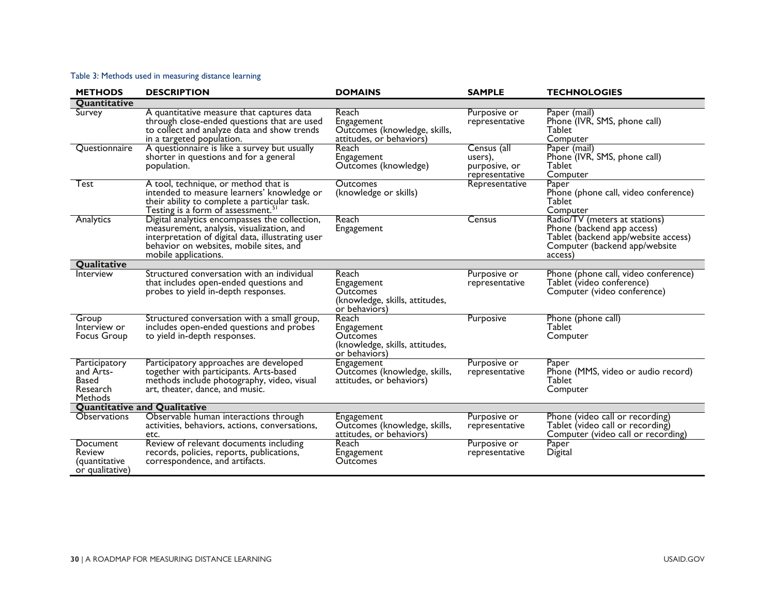#### Table 3: Methods used in measuring distance learning

<span id="page-35-0"></span>

| <b>METHODS</b>                                                           | <b>DESCRIPTION</b>                                                                                                                                                                                                 | <b>DOMAINS</b>                                                                            | <b>SAMPLE</b>                                             | <b>TECHNOLOGIES</b>                                                                                                                            |
|--------------------------------------------------------------------------|--------------------------------------------------------------------------------------------------------------------------------------------------------------------------------------------------------------------|-------------------------------------------------------------------------------------------|-----------------------------------------------------------|------------------------------------------------------------------------------------------------------------------------------------------------|
| Quantitative                                                             |                                                                                                                                                                                                                    |                                                                                           |                                                           |                                                                                                                                                |
| Survey                                                                   | A quantitative measure that captures data<br>through close-ended questions that are used<br>to collect and analyze data and show trends<br>in a targeted population.                                               | Reach<br>Engagement<br>Outcomes (knowledge, skills,<br>attitudes, or behaviors)           | Purposive or<br>representative                            | Paper (mail)<br>Phone (IVR, SMS, phone call)<br><b>Tablet</b><br>Computer                                                                      |
| Questionnaire                                                            | A questionnaire is like a survey but usually<br>shorter in questions and for a general<br>population.                                                                                                              | Reach<br>Engagement<br>Outcomes (knowledge)                                               | Census (all<br>users),<br>purposive, or<br>representative | Paper (mail)<br>Phone (IVR, SMS, phone call)<br>Tablet<br>Computer                                                                             |
| Test                                                                     | A tool, technique, or method that is<br>intended to measure learners' knowledge or<br>their ability to complete a particular task.<br>Testing is a form of assessment. <sup>5</sup>                                | <b>Outcomes</b><br>(knowledge or skills)                                                  | Representative                                            | Paper<br>Phone (phone call, video conference)<br><b>Tablet</b><br>Computer                                                                     |
| Analytics                                                                | Digital analytics encompasses the collection,<br>measurement, analysis, visualization, and<br>interpretation of digital data, illustrating user<br>behavior on websites, mobile sites, and<br>mobile applications. | Reach<br>Engagement                                                                       | Census                                                    | Radio/TV (meters at stations)<br>Phone (backend app access)<br>Tablet (backend app/website access)<br>Computer (backend app/website<br>access) |
| Qualitative                                                              |                                                                                                                                                                                                                    |                                                                                           |                                                           |                                                                                                                                                |
| Interview                                                                | Structured conversation with an individual<br>that includes open-ended questions and<br>probes to yield in-depth responses.                                                                                        | Reach<br>Engagement<br><b>Outcomes</b><br>(knowledge, skills, attitudes,<br>or behaviors) | Purposive or<br>representative                            | Phone (phone call, video conference)<br>Tablet (video conference)<br>Computer (video conference)                                               |
| Group<br>Interview or<br><b>Focus Group</b>                              | Structured conversation with a small group,<br>includes open-ended questions and probes<br>to yield in-depth responses.                                                                                            | Reach<br>Engagement<br><b>Outcomes</b><br>(knowledge, skills, attitudes,<br>or behaviors) | Purposive                                                 | Phone (phone call)<br><b>Tablet</b><br>Computer                                                                                                |
| Participatory<br>and Arts-<br><b>Based</b><br>Research<br><b>Methods</b> | Participatory approaches are developed<br>together with participants. Arts-based<br>methods include photography, video, visual<br>art, theater, dance, and music.                                                  | Engagement<br>Outcomes (knowledge, skills,<br>attitudes, or behaviors)                    | Purposive or<br>representative                            | Paper<br>Phone (MMS, video or audio record)<br><b>Tablet</b><br>Computer                                                                       |
| <b>Quantitative and Qualitative</b>                                      |                                                                                                                                                                                                                    |                                                                                           |                                                           |                                                                                                                                                |
| <b>Observations</b>                                                      | Observable human interactions through<br>activities, behaviors, actions, conversations,<br>etc.                                                                                                                    | <b>Engagement</b><br>Outcomes (knowledge, skills,<br>attitudes, or behaviors)             | Purposive or<br>representative                            | Phone (video call or recording)<br>Tablet (video call or recording)<br>Computer (video call or recording)                                      |
| Document<br>Review<br>(quantitative<br>or qualitative)                   | Review of relevant documents including<br>records, policies, reports, publications,<br>correspondence, and artifacts.                                                                                              | Reach<br>Engagement<br><b>Outcomes</b>                                                    | Purposive or<br>representative                            | Paper<br>Digital                                                                                                                               |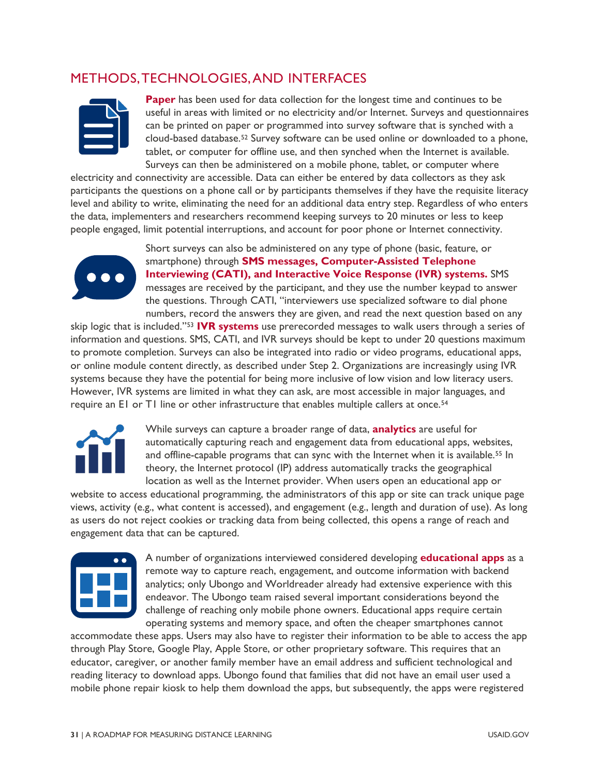### METHODS, TECHNOLOGIES, AND INTERFACES



**Paper** has been used for data collection for the longest time and continues to be useful in areas with limited or no electricity and/or Internet. Surveys and questionnaires can be printed on paper or programmed into survey software that is synched with a cloud-based database.[52](#page-83-0) Survey software can be used online or downloaded to a phone, tablet, or computer for offline use, and then synched when the Internet is available. Surveys can then be administered on a mobile phone, tablet, or computer where

electricity and connectivity are accessible. Data can either be entered by data collectors as they ask participants the questions on a phone call or by participants themselves if they have the requisite literacy level and ability to write, eliminating the need for an additional data entry step. Regardless of who enters the data, implementers and researchers recommend keeping surveys to 20 minutes or less to keep people engaged, limit potential interruptions, and account for poor phone or Internet connectivity.



Short surveys can also be administered on any type of phone (basic, feature, or smartphone) through **SMS messages, Computer-Assisted Telephone Interviewing (CATI), and Interactive Voice Response (IVR) systems.** SMS messages are received by the participant, and they use the number keypad to answer the questions. Through CATI, "interviewers use specialized software to dial phone numbers, record the answers they are given, and read the next question based on any

skip logic that is included."[53](#page-83-1) **IVR systems** use prerecorded messages to walk users through a series of information and questions. SMS, CATI, and IVR surveys should be kept to under 20 questions maximum to promote completion. Surveys can also be integrated into radio or video programs, educational apps, or online module content directly, as described under Step 2. Organizations are increasingly using IVR systems because they have the potential for being more inclusive of low vision and low literacy users. However, IVR systems are limited in what they can ask, are most accessible in major languages, and require an E1 or T1 line or other infrastructure that enables multiple callers at once.<sup>[54](#page-83-2)</sup>



While surveys can capture a broader range of data, **analytics** are useful for automatically capturing reach and engagement data from educational apps, websites, and offline-capable programs that can sync with the Internet when it is available.<sup>55</sup> In theory, the Internet protocol (IP) address automatically tracks the geographical location as well as the Internet provider. When users open an educational app or

website to access educational programming, the administrators of this app or site can track unique page views, activity (e.g., what content is accessed), and engagement (e.g., length and duration of use). As long as users do not reject cookies or tracking data from being collected, this opens a range of reach and engagement data that can be captured.



A number of organizations interviewed considered developing **educational apps** as a remote way to capture reach, engagement, and outcome information with backend analytics; only Ubongo and Worldreader already had extensive experience with this endeavor. The Ubongo team raised several important considerations beyond the challenge of reaching only mobile phone owners. Educational apps require certain operating systems and memory space, and often the cheaper smartphones cannot

accommodate these apps. Users may also have to register their information to be able to access the app through Play Store, Google Play, Apple Store, or other proprietary software. This requires that an educator, caregiver, or another family member have an email address and sufficient technological and reading literacy to download apps. Ubongo found that families that did not have an email user used a mobile phone repair kiosk to help them download the apps, but subsequently, the apps were registered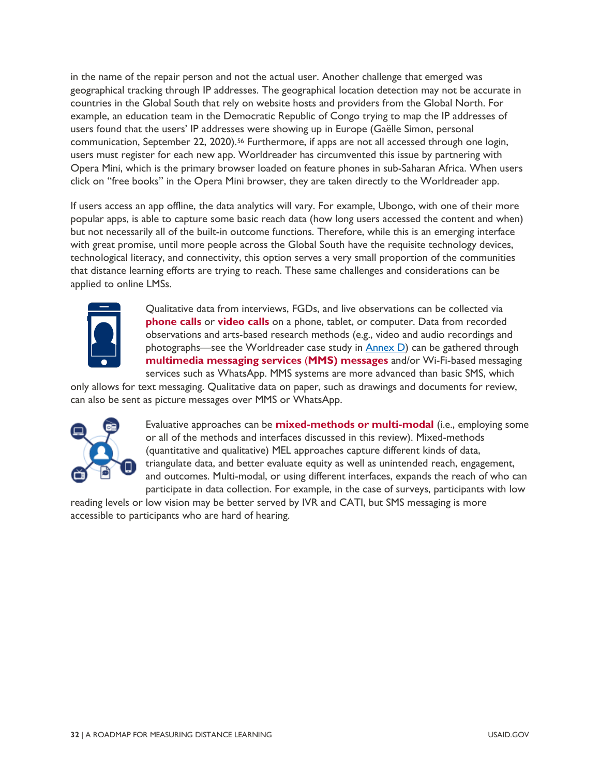in the name of the repair person and not the actual user. Another challenge that emerged was geographical tracking through IP addresses. The geographical location detection may not be accurate in countries in the Global South that rely on website hosts and providers from the Global North. For example, an education team in the Democratic Republic of Congo trying to map the IP addresses of users found that the users' IP addresses were showing up in Europe (Gaëlle Simon, personal communication, September 22, 2020).<sup>[56](#page-83-4)</sup> Furthermore, if apps are not all accessed through one login, users must register for each new app. Worldreader has circumvented this issue by partnering with Opera Mini, which is the primary browser loaded on feature phones in sub-Saharan Africa. When users click on "free books" in the Opera Mini browser, they are taken directly to the Worldreader app.

If users access an app offline, the data analytics will vary. For example, Ubongo, with one of their more popular apps, is able to capture some basic reach data (how long users accessed the content and when) but not necessarily all of the built-in outcome functions. Therefore, while this is an emerging interface with great promise, until more people across the Global South have the requisite technology devices, technological literacy, and connectivity, this option serves a very small proportion of the communities that distance learning efforts are trying to reach. These same challenges and considerations can be applied to online LMSs.



Qualitative data from interviews, FGDs, and live observations can be collected via **phone calls** or **video calls** on a phone, tablet, or computer. Data from recorded observations and arts-based research methods (e.g., video and audio recordings and photographs—see the Worldreader case study in  $Annex D$ ) can be gathered through **multimedia messaging services** (**MMS) messages** and/or Wi-Fi-based messaging services such as WhatsApp. MMS systems are more advanced than basic SMS, which

only allows for text messaging. Qualitative data on paper, such as drawings and documents for review, can also be sent as picture messages over MMS or WhatsApp.



Evaluative approaches can be **mixed-methods or multi-modal** (i.e., employing some or all of the methods and interfaces discussed in this review). Mixed-methods (quantitative and qualitative) MEL approaches capture different kinds of data, triangulate data, and better evaluate equity as well as unintended reach, engagement, and outcomes. Multi-modal, or using different interfaces, expands the reach of who can participate in data collection. For example, in the case of surveys, participants with low

reading levels or low vision may be better served by IVR and CATI, but SMS messaging is more accessible to participants who are hard of hearing.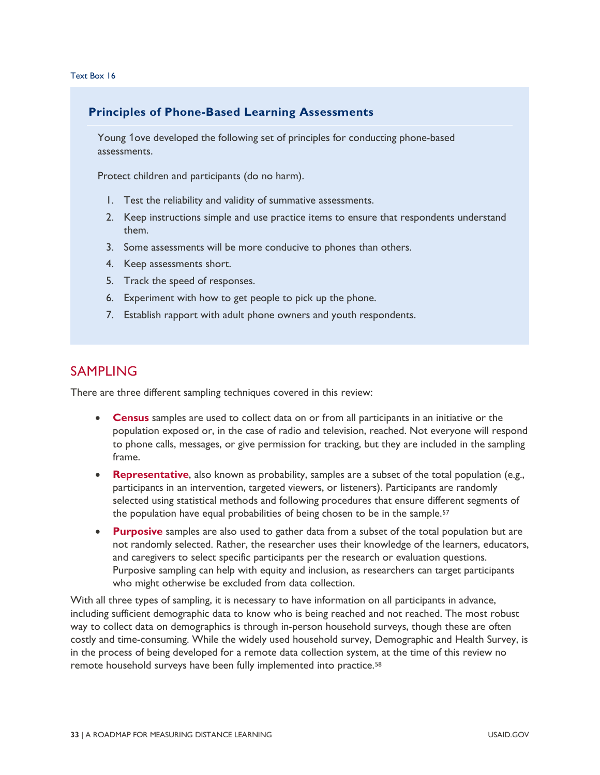### **Principles of Phone-Based Learning Assessments**

Young 1ove developed the following set of principles for conducting phone-based assessments.

Protect children and participants (do no harm).

- 1. Test the reliability and validity of summative assessments.
- 2. Keep instructions simple and use practice items to ensure that respondents understand them.
- 3. Some assessments will be more conducive to phones than others.
- 4. Keep assessments short.
- 5. Track the speed of responses.
- 6. Experiment with how to get people to pick up the phone.
- 7. Establish rapport with adult phone owners and youth respondents.

### SAMPLING

There are three different sampling techniques covered in this review:

- **Census** samples are used to collect data on or from all participants in an initiative or the population exposed or, in the case of radio and television, reached. Not everyone will respond to phone calls, messages, or give permission for tracking, but they are included in the sampling frame.
- **Representative**, also known as probability, samples are a subset of the total population (e.g., participants in an intervention, targeted viewers, or listeners). Participants are randomly selected using statistical methods and following procedures that ensure different segments of the population have equal probabilities of being chosen to be in the sample.<sup>57</sup>
- **Purposive** samples are also used to gather data from a subset of the total population but are not randomly selected. Rather, the researcher uses their knowledge of the learners, educators, and caregivers to select specific participants per the research or evaluation questions. Purposive sampling can help with equity and inclusion, as researchers can target participants who might otherwise be excluded from data collection.

With all three types of sampling, it is necessary to have information on all participants in advance, including sufficient demographic data to know who is being reached and not reached. The most robust way to collect data on demographics is through in-person household surveys, though these are often costly and time-consuming. While the widely used household survey, Demographic and Health Survey, is in the process of being developed for a remote data collection system, at the time of this review no remote household surveys have been fully implemented into practice.<sup>[58](#page-83-6)</sup>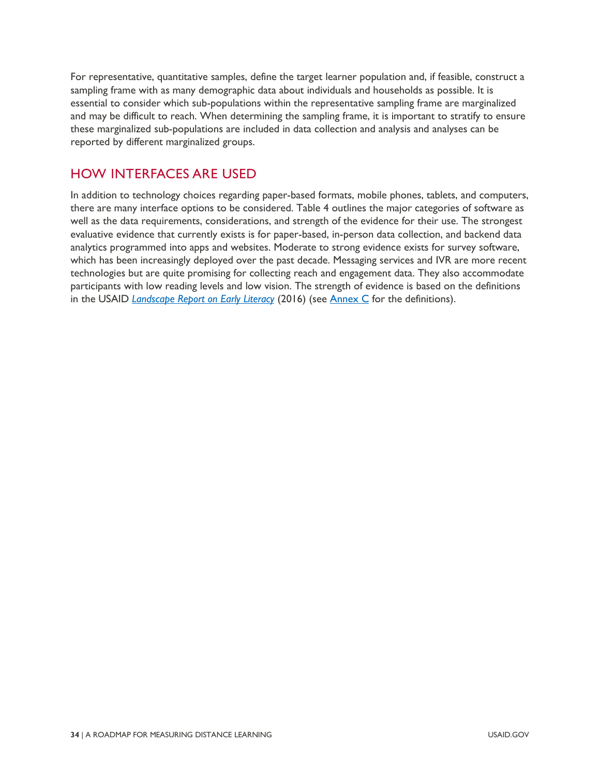For representative, quantitative samples, define the target learner population and, if feasible, construct a sampling frame with as many demographic data about individuals and households as possible. It is essential to consider which sub-populations within the representative sampling frame are marginalized and may be difficult to reach. When determining the sampling frame, it is important to stratify to ensure these marginalized sub-populations are included in data collection and analysis and analyses can be reported by different marginalized groups.

### HOW INTERFACES ARE USED

In addition to technology choices regarding paper-based formats, mobile phones, tablets, and computers, there are many interface options to be considered. [Table 4](#page-40-0) outlines the major categories of software as well as the data requirements, considerations, and strength of the evidence for their use. The strongest evaluative evidence that currently exists is for paper-based, in-person data collection, and backend data analytics programmed into apps and websites. Moderate to strong evidence exists for survey software, which has been increasingly deployed over the past decade. Messaging services and IVR are more recent technologies but are quite promising for collecting reach and engagement data. They also accommodate participants with low reading levels and low vision. The strength of evidence is based on the definitions in the USAID *[Landscape Report on Early Literacy](https://allchildrenreading.org/wp-content/uploads/2019/07/USAID-Landscape-Report-on-Early-Grade-Literacy.pdf)* (2016) (see [Annex C](#page-59-0) for the definitions).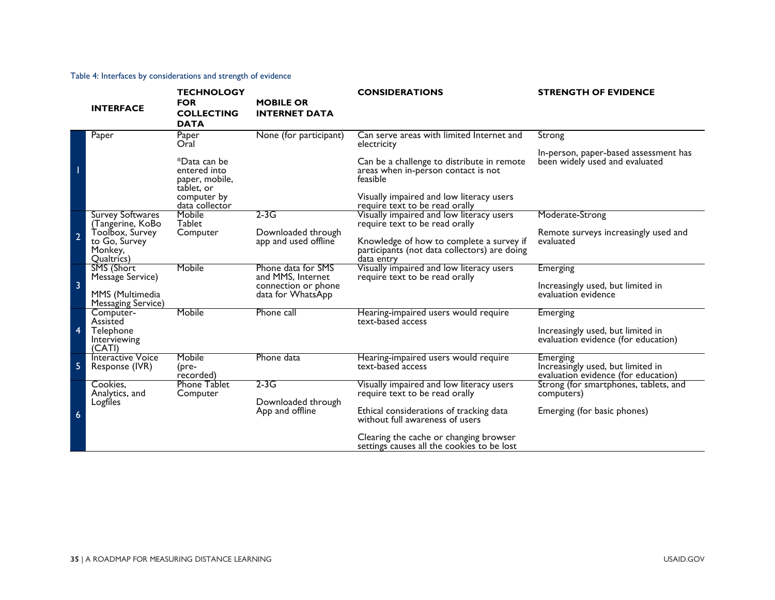#### Table 4: Interfaces by considerations and strength of evidence

<span id="page-40-0"></span>

|                | <b>INTERFACE</b>                                                                                         | <b>TECHNOLOGY</b><br><b>FOR</b><br><b>COLLECTING</b><br><b>DATA</b> | <b>MOBILE OR</b><br><b>INTERNET DATA</b>                                            | <b>CONSIDERATIONS</b>                                                                                                                                                                | <b>STRENGTH OF EVIDENCE</b>                                                          |
|----------------|----------------------------------------------------------------------------------------------------------|---------------------------------------------------------------------|-------------------------------------------------------------------------------------|--------------------------------------------------------------------------------------------------------------------------------------------------------------------------------------|--------------------------------------------------------------------------------------|
|                | Paper                                                                                                    | Paper<br>Oral<br>*Data can be<br>entered into                       | None (for participant)                                                              | Can serve areas with limited Internet and<br>electricity<br>Can be a challenge to distribute in remote<br>areas when in-person contact is not                                        | Strong<br>In-person, paper-based assessment has<br>been widely used and evaluated    |
|                |                                                                                                          | paper, mobile,<br>tablet, or<br>computer by<br>data collector       |                                                                                     | feasible<br>Visually impaired and low literacy users<br>require text to be read orally                                                                                               |                                                                                      |
| $\overline{2}$ | <b>Survey Softwares</b><br>(Tangerine, KoBo<br>Toolbox, Survey<br>to Go, Survey<br>Monkey,<br>Qualtrics) | Mobile<br><b>Tablet</b><br>Computer                                 | $2-3G$<br>Downloaded through<br>app and used offline                                | Visually impaired and low literacy users<br>require text to be read orally<br>Knowledge of how to complete a survey if<br>participants (not data collectors) are doing<br>data entry | Moderate-Strong<br>Remote surveys increasingly used and<br>evaluated                 |
| $\overline{3}$ | SMS (Short<br>Message Service)<br>MMS (Multimedia<br>Messaging Service)                                  | Mobile                                                              | Phone data for SMS<br>and MMS, Internet<br>connection or phone<br>data for WhatsApp | Visually impaired and low literacy users<br>require text to be read orally                                                                                                           | <b>Emerging</b><br>Increasingly used, but limited in<br>evaluation evidence          |
| $\overline{4}$ | Computer-<br>Assisted<br>Telephone<br>Interviewing<br>(CATI)                                             | Mobile                                                              | Phone call                                                                          | Hearing-impaired users would require<br>text-based access                                                                                                                            | Emerging<br>Increasingly used, but limited in<br>evaluation evidence (for education) |
| 5              | Interactive Voice<br>Response (IVR)                                                                      | Mobile<br>(pre-<br>recorded)                                        | Phone data                                                                          | Hearing-impaired users would require<br>text-based access                                                                                                                            | Emerging<br>Increasingly used, but limited in<br>evaluation evidence (for education) |
| $6\phantom{a}$ | Cookies.<br>Analytics, and<br>Logfiles                                                                   | <b>Phone Tablet</b><br>Computer                                     | $2-3G$<br>Downloaded through<br>App and offline                                     | Visually impaired and low literacy users<br>require text to be read orally<br>Ethical considerations of tracking data<br>without full awareness of users                             | Strong (for smartphones, tablets, and<br>computers)<br>Emerging (for basic phones)   |
|                |                                                                                                          |                                                                     |                                                                                     | Clearing the cache or changing browser<br>settings causes all the cookies to be lost                                                                                                 |                                                                                      |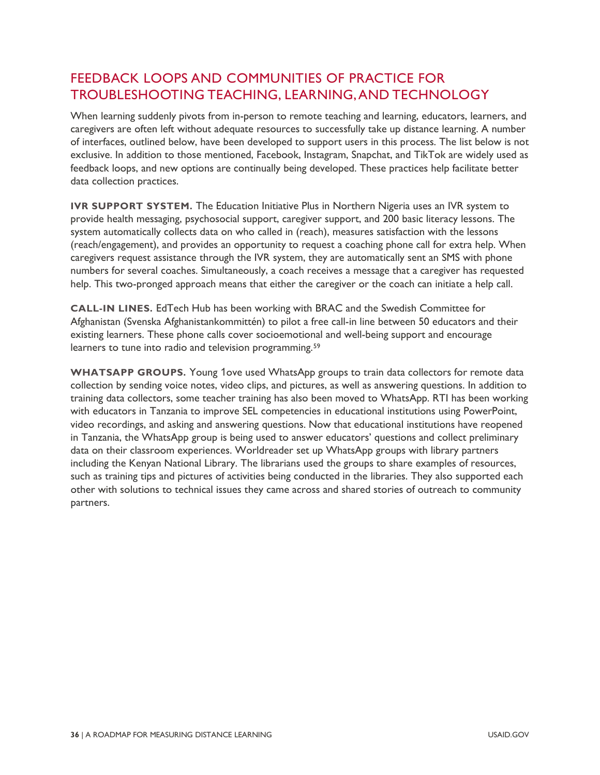### FEEDBACK LOOPS AND COMMUNITIES OF PRACTICE FOR TROUBLESHOOTING TEACHING, LEARNING, AND TECHNOLOGY

When learning suddenly pivots from in-person to remote teaching and learning, educators, learners, and caregivers are often left without adequate resources to successfully take up distance learning. A number of interfaces, outlined below, have been developed to support users in this process. The list below is not exclusive. In addition to those mentioned, Facebook, Instagram, Snapchat, and TikTok are widely used as feedback loops, and new options are continually being developed. These practices help facilitate better data collection practices.

**IVR SUPPORT SYSTEM.** The Education Initiative Plus in Northern Nigeria uses an IVR system to provide health messaging, psychosocial support, caregiver support, and 200 basic literacy lessons. The system automatically collects data on who called in (reach), measures satisfaction with the lessons (reach/engagement), and provides an opportunity to request a coaching phone call for extra help. When caregivers request assistance through the IVR system, they are automatically sent an SMS with phone numbers for several coaches. Simultaneously, a coach receives a message that a caregiver has requested help. This two-pronged approach means that either the caregiver or the coach can initiate a help call.

**CALL-IN LINES.** EdTech Hub has been working with BRAC and the Swedish Committee for Afghanistan (Svenska Afghanistankommittén) to pilot a free call-in line between 50 educators and their existing learners. These phone calls cover socioemotional and well-being support and encourage learners to tune into radio and television programming.<sup>59</sup>

**WHATSAPP GROUPS.** Young 1ove used WhatsApp groups to train data collectors for remote data collection by sending voice notes, video clips, and pictures, as well as answering questions. In addition to training data collectors, some teacher training has also been moved to WhatsApp. RTI has been working with educators in Tanzania to improve SEL competencies in educational institutions using PowerPoint, video recordings, and asking and answering questions. Now that educational institutions have reopened in Tanzania, the WhatsApp group is being used to answer educators' questions and collect preliminary data on their classroom experiences. Worldreader set up WhatsApp groups with library partners including the Kenyan National Library. The librarians used the groups to share examples of resources, such as training tips and pictures of activities being conducted in the libraries. They also supported each other with solutions to technical issues they came across and shared stories of outreach to community partners.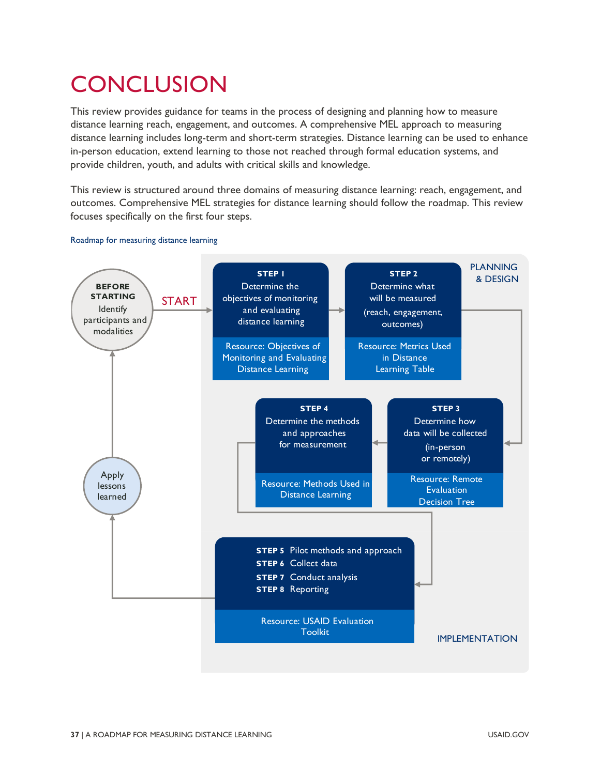# **CONCLUSION**

This review provides guidance for teams in the process of designing and planning how to measure distance learning reach, engagement, and outcomes. A comprehensive MEL approach to measuring distance learning includes long-term and short-term strategies. Distance learning can be used to enhance in-person education, extend learning to those not reached through formal education systems, and provide children, youth, and adults with critical skills and knowledge.

This review is structured around three domains of measuring distance learning: reach, engagement, and outcomes. Comprehensive MEL strategies for distance learning should follow the roadmap. This review focuses specifically on the first four steps.



#### Roadmap for measuring distance learning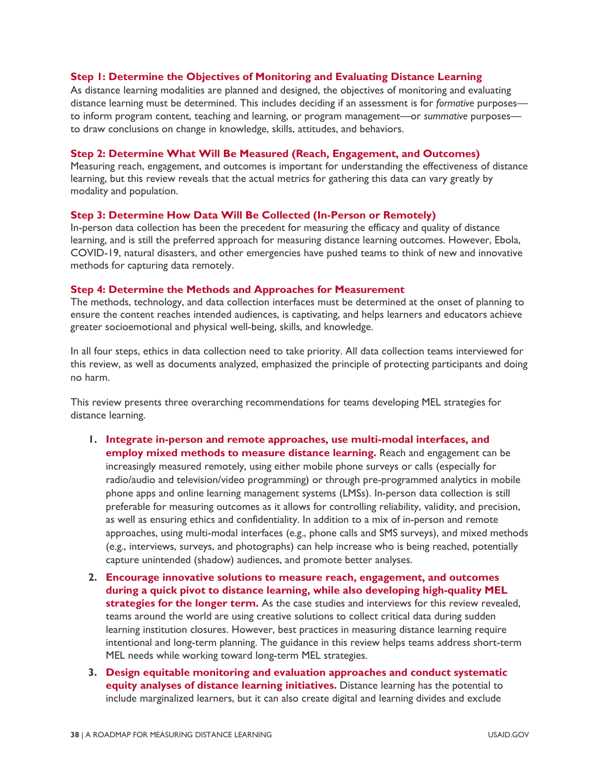#### **Step 1: Determine the Objectives of Monitoring and Evaluating Distance Learning**

As distance learning modalities are planned and designed, the objectives of monitoring and evaluating distance learning must be determined. This includes deciding if an assessment is for *formative* purposes to inform program content, teaching and learning, or program management—or *summative* purposes to draw conclusions on change in knowledge, skills, attitudes, and behaviors.

#### **Step 2: Determine What Will Be Measured (Reach, Engagement, and Outcomes)**

Measuring reach, engagement, and outcomes is important for understanding the effectiveness of distance learning, but this review reveals that the actual metrics for gathering this data can vary greatly by modality and population.

#### **Step 3: Determine How Data Will Be Collected (In-Person or Remotely)**

In-person data collection has been the precedent for measuring the efficacy and quality of distance learning, and is still the preferred approach for measuring distance learning outcomes. However, Ebola, COVID-19, natural disasters, and other emergencies have pushed teams to think of new and innovative methods for capturing data remotely.

#### **Step 4: Determine the Methods and Approaches for Measurement**

The methods, technology, and data collection interfaces must be determined at the onset of planning to ensure the content reaches intended audiences, is captivating, and helps learners and educators achieve greater socioemotional and physical well-being, skills, and knowledge.

In all four steps, ethics in data collection need to take priority. All data collection teams interviewed for this review, as well as documents analyzed, emphasized the principle of protecting participants and doing no harm.

This review presents three overarching recommendations for teams developing MEL strategies for distance learning.

- **1. Integrate in-person and remote approaches, use multi-modal interfaces, and employ mixed methods to measure distance learning.** Reach and engagement can be increasingly measured remotely, using either mobile phone surveys or calls (especially for radio/audio and television/video programming) or through pre-programmed analytics in mobile phone apps and online learning management systems (LMSs). In-person data collection is still preferable for measuring outcomes as it allows for controlling reliability, validity, and precision, as well as ensuring ethics and confidentiality. In addition to a mix of in-person and remote approaches, using multi-modal interfaces (e.g., phone calls and SMS surveys), and mixed methods (e.g., interviews, surveys, and photographs) can help increase who is being reached, potentially capture unintended (shadow) audiences, and promote better analyses.
- **2. Encourage innovative solutions to measure reach, engagement, and outcomes during a quick pivot to distance learning, while also developing high-quality MEL strategies for the longer term.** As the case studies and interviews for this review revealed, teams around the world are using creative solutions to collect critical data during sudden learning institution closures. However, best practices in measuring distance learning require intentional and long-term planning. The guidance in this review helps teams address short-term MEL needs while working toward long-term MEL strategies.
- **3. Design equitable monitoring and evaluation approaches and conduct systematic equity analyses of distance learning initiatives.** Distance learning has the potential to include marginalized learners, but it can also create digital and learning divides and exclude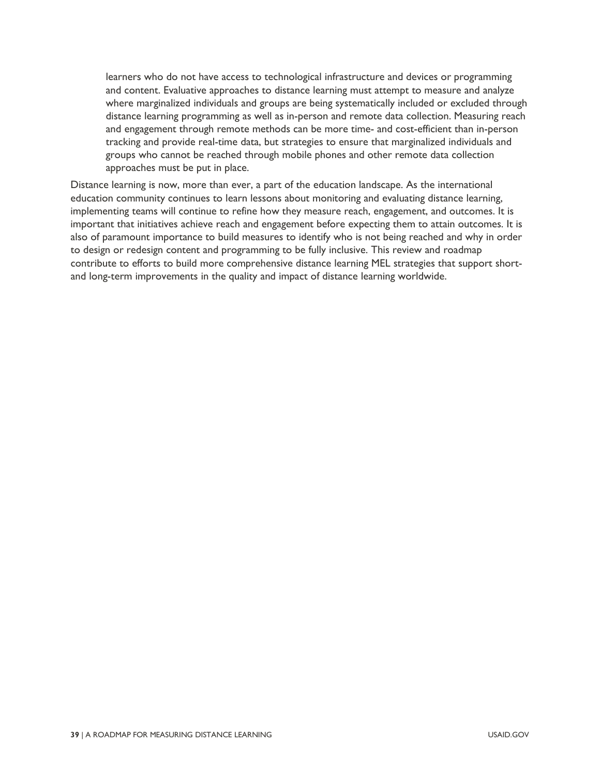learners who do not have access to technological infrastructure and devices or programming and content. Evaluative approaches to distance learning must attempt to measure and analyze where marginalized individuals and groups are being systematically included or excluded through distance learning programming as well as in-person and remote data collection. Measuring reach and engagement through remote methods can be more time- and cost-efficient than in-person tracking and provide real-time data, but strategies to ensure that marginalized individuals and groups who cannot be reached through mobile phones and other remote data collection approaches must be put in place.

Distance learning is now, more than ever, a part of the education landscape. As the international education community continues to learn lessons about monitoring and evaluating distance learning, implementing teams will continue to refine how they measure reach, engagement, and outcomes. It is important that initiatives achieve reach and engagement before expecting them to attain outcomes. It is also of paramount importance to build measures to identify who is not being reached and why in order to design or redesign content and programming to be fully inclusive. This review and roadmap contribute to efforts to build more comprehensive distance learning MEL strategies that support shortand long-term improvements in the quality and impact of distance learning worldwide.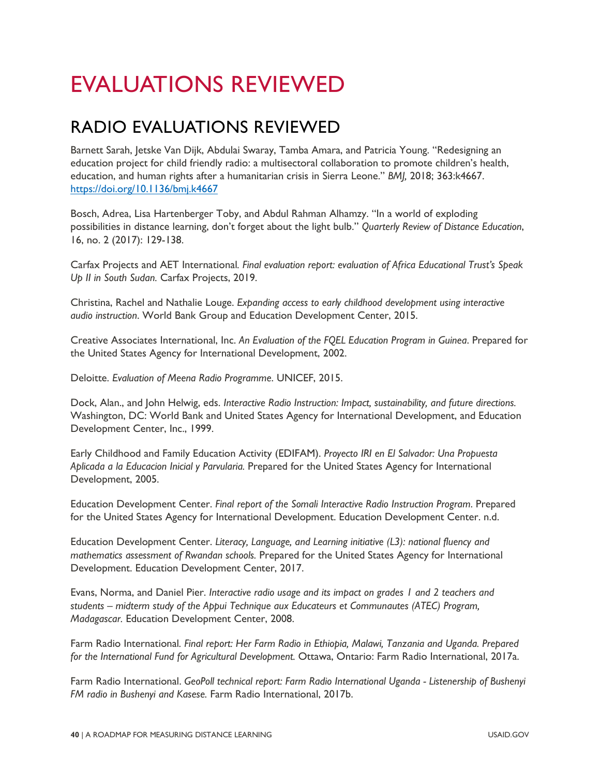# EVALUATIONS REVIEWED

## RADIO EVALUATIONS REVIEWED

Barnett Sarah, Jetske Van Dijk, Abdulai Swaray, Tamba Amara, and Patricia Young. "Redesigning an education project for child friendly radio: a multisectoral collaboration to promote children's health, education, and human rights after a humanitarian crisis in Sierra Leone." *BMJ,* 2018; 363:k4667. <https://doi.org/10.1136/bmj.k4667>

Bosch, Adrea, Lisa Hartenberger Toby, and Abdul Rahman Alhamzy. "In a world of exploding possibilities in distance learning, don't forget about the light bulb." *Quarterly Review of Distance Education*, 16, no. 2 (2017): 129-138.

Carfax Projects and AET International*. Final evaluation report: evaluation of Africa Educational Trust's Speak Up II in South Sudan.* Carfax Projects, 2019.

Christina, Rachel and Nathalie Louge. *Expanding access to early childhood development using interactive audio instruction*. World Bank Group and Education Development Center, 2015.

Creative Associates International, Inc. *An Evaluation of the FQEL Education Program in Guinea*. Prepared for the United States Agency for International Development, 2002.

Deloitte. *Evaluation of Meena Radio Programme*. UNICEF, 2015.

Dock, Alan., and John Helwig, eds. *Interactive Radio Instruction: Impact, sustainability, and future directions.* Washington, DC: World Bank and United States Agency for International Development, and Education Development Center, Inc., 1999.

Early Childhood and Family Education Activity (EDIFAM). *Proyecto IRI en El Salvador: Una Propuesta Aplicada a la Educacion Inicial y Parvularia.* Prepared for the United States Agency for International Development, 2005.

Education Development Center. *Final report of the Somali Interactive Radio Instruction Program*. Prepared for the United States Agency for International Development. Education Development Center. n.d.

Education Development Center. *Literacy, Language, and Learning initiative (L3): national fluency and mathematics assessment of Rwandan schools.* Prepared for the United States Agency for International Development. Education Development Center, 2017.

Evans, Norma, and Daniel Pier. *Interactive radio usage and its impact on grades 1 and 2 teachers and students – midterm study of the Appui Technique aux Educateurs et Communautes (ATEC) Program, Madagascar.* Education Development Center, 2008.

Farm Radio International*. Final report: Her Farm Radio in Ethiopia, Malawi, Tanzania and Uganda. Prepared for the International Fund for Agricultural Development.* Ottawa, Ontario: Farm Radio International, 2017a.

Farm Radio International. *GeoPoll technical report: Farm Radio International Uganda - Listenership of Bushenyi FM radio in Bushenyi and Kasese.* Farm Radio International, 2017b.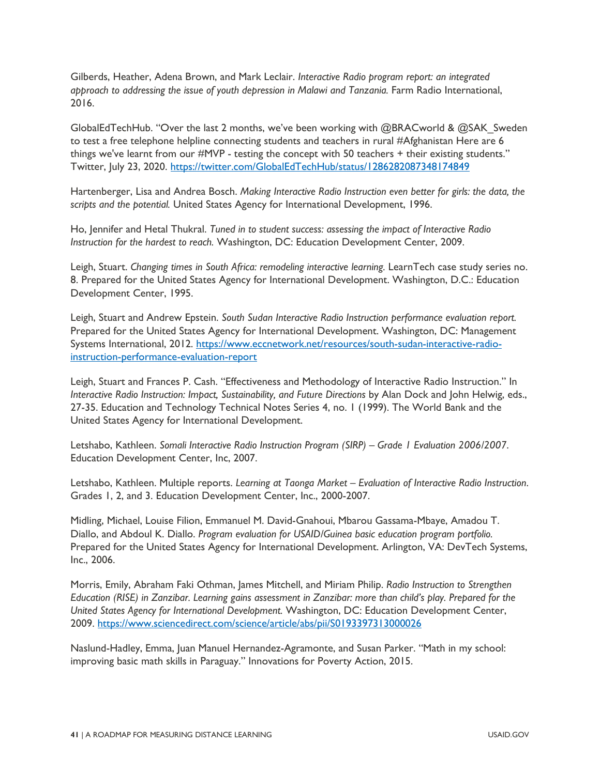Gilberds, Heather, Adena Brown, and Mark Leclair. *Interactive Radio program report: an integrated approach to addressing the issue of youth depression in Malawi and Tanzania.* Farm Radio International, 2016.

GlobalEdTechHub. "Over the last 2 months, we've been working with @BRACworld & @SAK\_Sweden to test a free telephone helpline connecting students and teachers in rural #Afghanistan Here are 6 things we've learnt from our #MVP - testing the concept with 50 teachers + their existing students." Twitter, July 23, 2020. <https://twitter.com/GlobalEdTechHub/status/1286282087348174849>

Hartenberger, Lisa and Andrea Bosch. *Making Interactive Radio Instruction even better for girls: the data, the scripts and the potential.* United States Agency for International Development, 1996.

Ho, Jennifer and Hetal Thukral. *Tuned in to student success: assessing the impact of Interactive Radio Instruction for the hardest to reach.* Washington, DC: Education Development Center, 2009.

Leigh, Stuart. *Changing times in South Africa: remodeling interactive learning.* LearnTech case study series no. 8. Prepared for the United States Agency for International Development. Washington, D.C.: Education Development Center, 1995.

Leigh, Stuart and Andrew Epstein. *South Sudan Interactive Radio Instruction performance evaluation report.*  Prepared for the United States Agency for International Development. Washington, DC: Management Systems International, 2012. [https://www.eccnetwork.net/resources/south-sudan-interactive-radio](https://www.eccnetwork.net/resources/south-sudan-interactive-radio-instruction-performance-evaluation-report)[instruction-performance-evaluation-report](https://www.eccnetwork.net/resources/south-sudan-interactive-radio-instruction-performance-evaluation-report) 

Leigh, Stuart and Frances P. Cash. "Effectiveness and Methodology of Interactive Radio Instruction." In *Interactive Radio Instruction: Impact, Sustainability, and Future Directions* by Alan Dock and John Helwig, eds., 27-35. Education and Technology Technical Notes Series 4, no. 1 (1999). The World Bank and the United States Agency for International Development.

Letshabo, Kathleen. *Somali Interactive Radio Instruction Program (SIRP) – Grade 1 Evaluation 2006/2007*. Education Development Center, Inc, 2007.

Letshabo, Kathleen. Multiple reports. *Learning at Taonga Market – Evaluation of Interactive Radio Instruction*. Grades 1, 2, and 3. Education Development Center, Inc., 2000-2007.

Midling, Michael, Louise Filion, Emmanuel M. David-Gnahoui, Mbarou Gassama-Mbaye, Amadou T. Diallo, and Abdoul K. Diallo. *Program evaluation for USAID/Guinea basic education program portfolio.*  Prepared for the United States Agency for International Development. Arlington, VA: DevTech Systems, Inc., 2006.

Morris, Emily, Abraham Faki Othman, James Mitchell, and Miriam Philip. *Radio Instruction to Strengthen Education (RISE) in Zanzibar. Learning gains assessment in Zanzibar: more than child's play. Prepared for the United States Agency for International Development.* Washington, DC: Education Development Center, 2009.<https://www.sciencedirect.com/science/article/abs/pii/S0193397313000026>

Naslund-Hadley, Emma, Juan Manuel Hernandez-Agramonte, and Susan Parker. "Math in my school: improving basic math skills in Paraguay." Innovations for Poverty Action, 2015.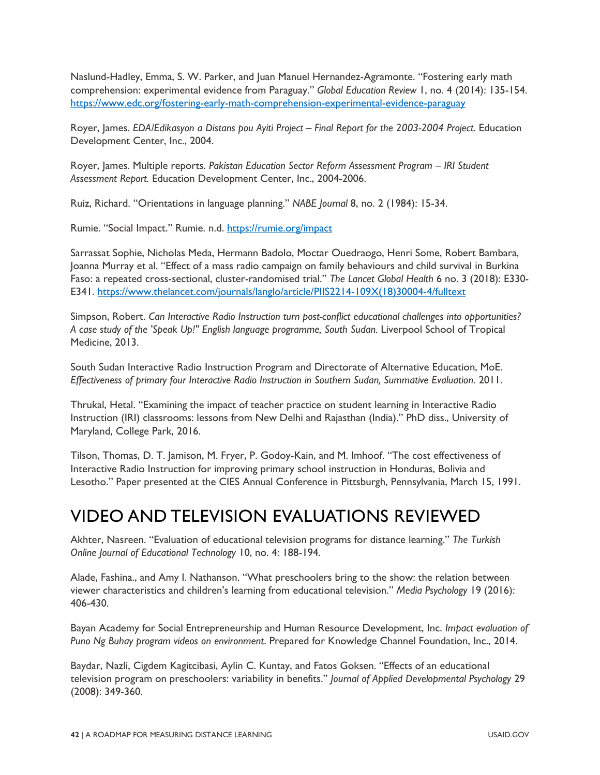Naslund-Hadley, Emma, S. W. Parker, and Juan Manuel Hernandez-Agramonte. "Fostering early math comprehension: experimental evidence from Paraguay." *Global Education Review* 1, no. 4 (2014): 135-154. <https://www.edc.org/fostering-early-math-comprehension-experimental-evidence-paraguay>

Royer, James. *EDA/Edikasyon a Distans pou Ayiti Project – Final Report for the 2003-2004 Project.* Education Development Center, Inc., 2004.

Royer, James. Multiple reports. *Pakistan Education Sector Reform Assessment Program – IRI Student Assessment Report.* Education Development Center, Inc., 2004-2006.

Ruiz, Richard. "Orientations in language planning." *NABE Journal* 8, no. 2 (1984): 15-34.

Rumie. "Social Impact." Rumie. n.d.<https://rumie.org/impact>

Sarrassat Sophie, Nicholas Meda, Hermann Badolo, Moctar Ouedraogo, Henri Some, Robert Bambara, Joanna Murray et al. "Effect of a mass radio campaign on family behaviours and child survival in Burkina Faso: a repeated cross-sectional, cluster-randomised trial." *The Lancet Global Health* 6 no. 3 (2018): E330- E341. [https://www.thelancet.com/journals/langlo/article/PIIS2214-109X\(18\)30004-4/fulltext](https://www.thelancet.com/journals/langlo/article/PIIS2214-109X(18)30004-4/fulltext) 

Simpson, Robert. *Can Interactive Radio Instruction turn post-conflict educational challenges into opportunities? A case study of the 'Speak Up!" English language programme, South Sudan.* Liverpool School of Tropical Medicine, 2013.

South Sudan Interactive Radio Instruction Program and Directorate of Alternative Education, MoE. *Effectiveness of primary four Interactive Radio Instruction in Southern Sudan, Summative Evaluation*. 2011.

Thrukal, Hetal. "Examining the impact of teacher practice on student learning in Interactive Radio Instruction (IRI) classrooms: lessons from New Delhi and Rajasthan (India)." PhD diss., University of Maryland, College Park, 2016.

Tilson, Thomas, D. T. Jamison, M. Fryer, P. Godoy-Kain, and M. Imhoof. "The cost effectiveness of Interactive Radio Instruction for improving primary school instruction in Honduras, Bolivia and Lesotho." Paper presented at the CIES Annual Conference in Pittsburgh, Pennsylvania, March 15, 1991.

## VIDEO AND TELEVISION EVALUATIONS REVIEWED

Akhter, Nasreen. "Evaluation of educational television programs for distance learning." *The Turkish Online Journal of Educational Technology* 10, no. 4: 188-194.

Alade, Fashina., and Amy I. Nathanson. "What preschoolers bring to the show: the relation between viewer characteristics and children's learning from educational television." *Media Psychology* 19 (2016): 406-430.

Bayan Academy for Social Entrepreneurship and Human Resource Development, Inc. *Impact evaluation of Puno Ng Buhay program videos on environment*. Prepared for Knowledge Channel Foundation, Inc., 2014.

Baydar, Nazli, Cigdem Kagitcibasi, Aylin C. Kuntay, and Fatos Goksen. "Effects of an educational television program on preschoolers: variability in benefits." *Journal of Applied Developmental Psychology* 29 (2008): 349-360.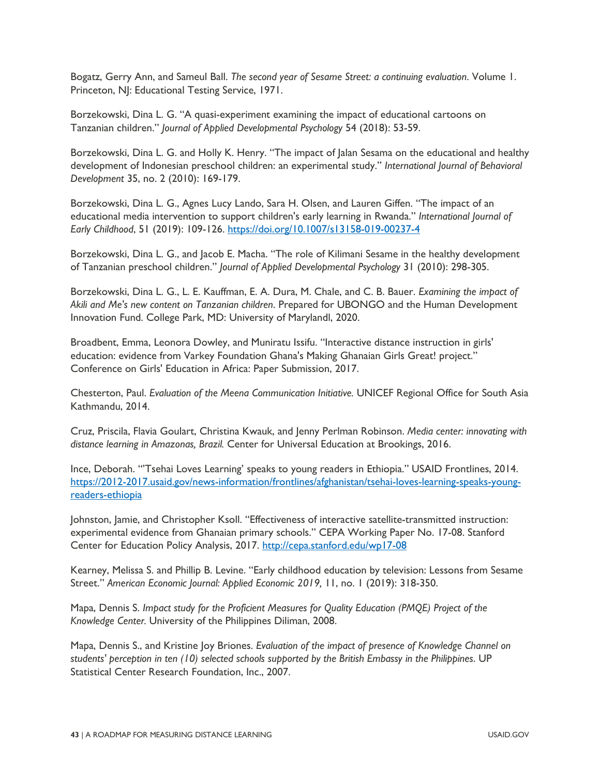Bogatz, Gerry Ann, and Sameul Ball. *The second year of Sesame Street: a continuing evaluation*. Volume 1. Princeton, NJ: Educational Testing Service, 1971.

Borzekowski, Dina L. G. "A quasi-experiment examining the impact of educational cartoons on Tanzanian children." *Journal of Applied Developmental Psychology* 54 (2018): 53-59.

Borzekowski, Dina L. G. and Holly K. Henry. "The impact of Jalan Sesama on the educational and healthy development of Indonesian preschool children: an experimental study." *International Journal of Behavioral Development* 35, no. 2 (2010): 169-179.

Borzekowski, Dina L. G., Agnes Lucy Lando, Sara H. Olsen, and Lauren Giffen. "The impact of an educational media intervention to support children's early learning in Rwanda." *International Journal of Early Childhood*, 51 (2019): 109-126.<https://doi.org/10.1007/s13158-019-00237-4>

Borzekowski, Dina L. G., and Jacob E. Macha. "The role of Kilimani Sesame in the healthy development of Tanzanian preschool children." *Journal of Applied Developmental Psychology* 31 (2010): 298-305.

Borzekowski, Dina L. G., L. E. Kauffman, E. A. Dura, M. Chale, and C. B. Bauer. *Examining the impact of Akili and Me's new content on Tanzanian children*. Prepared for UBONGO and the Human Development Innovation Fund. College Park, MD: University of Marylandl, 2020.

Broadbent, Emma, Leonora Dowley, and Muniratu Issifu. "Interactive distance instruction in girls' education: evidence from Varkey Foundation Ghana's Making Ghanaian Girls Great! project." Conference on Girls' Education in Africa: Paper Submission, 2017.

Chesterton, Paul. *Evaluation of the Meena Communication Initiative.* UNICEF Regional Office for South Asia Kathmandu, 2014.

Cruz, Priscila, Flavia Goulart, Christina Kwauk, and Jenny Perlman Robinson. *Media center: innovating with distance learning in Amazonas, Brazil.* Center for Universal Education at Brookings, 2016.

Ince, Deborah. "'Tsehai Loves Learning' speaks to young readers in Ethiopia." USAID Frontlines, 2014. [https://2012-2017.usaid.gov/news-information/frontlines/afghanistan/tsehai-loves-learning-speaks-young](https://2012-2017.usaid.gov/news-information/frontlines/afghanistan/tsehai-loves-learning-speaks-young-readers-ethiopia)[readers-ethiopia](https://2012-2017.usaid.gov/news-information/frontlines/afghanistan/tsehai-loves-learning-speaks-young-readers-ethiopia)

Johnston, Jamie, and Christopher Ksoll. "Effectiveness of interactive satellite-transmitted instruction: experimental evidence from Ghanaian primary schools." CEPA Working Paper No. 17-08. Stanford Center for Education Policy Analysis, 2017.<http://cepa.stanford.edu/wp17-08>

Kearney, Melissa S. and Phillip B. Levine. "Early childhood education by television: Lessons from Sesame Street." *American Economic Journal: Applied Economic 2019,* 11, no. 1 (2019): 318-350.

Mapa, Dennis S. *Impact study for the Proficient Measures for Quality Education (PMQE) Project of the Knowledge Center.* University of the Philippines Diliman, 2008.

Mapa, Dennis S., and Kristine Joy Briones. *Evaluation of the impact of presence of Knowledge Channel on students' perception in ten (10) selected schools supported by the British Embassy in the Philippines*. UP Statistical Center Research Foundation, Inc., 2007.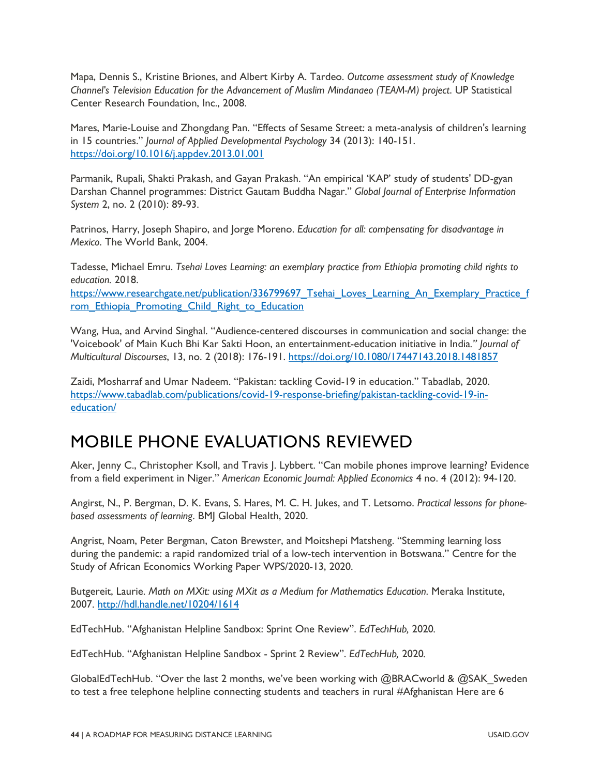Mapa, Dennis S., Kristine Briones, and Albert Kirby A. Tardeo. *Outcome assessment study of Knowledge Channel's Television Education for the Advancement of Muslim Mindanaeo (TEAM-M) project*. UP Statistical Center Research Foundation, Inc., 2008.

Mares, Marie-Louise and Zhongdang Pan. "Effects of Sesame Street: a meta-analysis of children's learning in 15 countries." *Journal of Applied Developmental Psychology* 34 (2013): 140-151. <https://doi.org/10.1016/j.appdev.2013.01.001>

Parmanik, Rupali, Shakti Prakash, and Gayan Prakash. "An empirical 'KAP' study of students' DD-gyan Darshan Channel programmes: District Gautam Buddha Nagar." *Global Journal of Enterprise Information System* 2, no. 2 (2010): 89-93.

Patrinos, Harry, Joseph Shapiro, and Jorge Moreno. *Education for all: compensating for disadvantage in Mexico*. The World Bank, 2004.

Tadesse, Michael Emru. *Tsehai Loves Learning: an exemplary practice from Ethiopia promoting child rights to education.* 2018. https://www.researchgate.net/publication/336799697 Tsehai Loves Learning An Exemplary Practice f [rom\\_Ethiopia\\_Promoting\\_Child\\_Right\\_to\\_Education](https://www.researchgate.net/publication/336799697_Tsehai_Loves_Learning_An_Exemplary_Practice_from_Ethiopia_Promoting_Child_Right_to_Education)

Wang, Hua, and Arvind Singhal. "Audience-centered discourses in communication and social change: the 'Voicebook' of Main Kuch Bhi Kar Sakti Hoon, an entertainment-education initiative in India*." Journal of Multicultural Discourses*, 13, no. 2 (2018): 176-191.<https://doi.org/10.1080/17447143.2018.1481857>

Zaidi, Mosharraf and Umar Nadeem. "Pakistan: tackling Covid-19 in education." Tabadlab, 2020. [https://www.tabadlab.com/publications/covid-19-response-briefing/pakistan-tackling-covid-19-in](https://www.tabadlab.com/publications/covid-19-response-briefing/pakistan-tackling-covid-19-in-education/)[education/](https://www.tabadlab.com/publications/covid-19-response-briefing/pakistan-tackling-covid-19-in-education/) 

## MOBILE PHONE EVALUATIONS REVIEWED

Aker, Jenny C., Christopher Ksoll, and Travis J. Lybbert. "Can mobile phones improve learning? Evidence from a field experiment in Niger." *American Economic Journal: Applied Economics* 4 no. 4 (2012): 94-120.

Angirst, N., P. Bergman, D. K. Evans, S. Hares, M. C. H. Jukes, and T. Letsomo. *Practical lessons for phonebased assessments of learning*. BMJ Global Health, 2020.

Angrist, Noam, Peter Bergman, Caton Brewster, and Moitshepi Matsheng. "Stemming learning loss during the pandemic: a rapid randomized trial of a low-tech intervention in Botswana." Centre for the Study of African Economics Working Paper WPS/2020-13, 2020.

Butgereit, Laurie. *Math on MXit: using MXit as a Medium for Mathematics Education*. Meraka Institute, 2007.<http://hdl.handle.net/10204/1614>

EdTechHub. "Afghanistan Helpline Sandbox: Sprint One Review". *EdTechHub,* 2020*.* 

EdTechHub. "Afghanistan Helpline Sandbox - Sprint 2 Review". *EdTechHub,* 2020*.* 

GlobalEdTechHub. "Over the last 2 months, we've been working with @BRACworld & @SAK\_Sweden to test a free telephone helpline connecting students and teachers in rural #Afghanistan Here are 6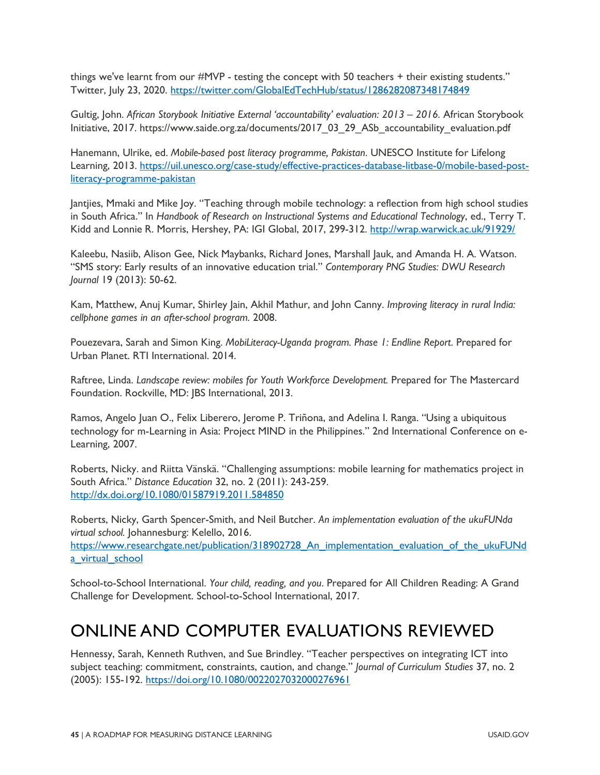things we've learnt from our #MVP - testing the concept with 50 teachers + their existing students." Twitter, July 23, 2020. <https://twitter.com/GlobalEdTechHub/status/1286282087348174849>

Gultig, John. *African Storybook Initiative External 'accountability' evaluation: 2013 – 2016.* African Storybook Initiative, 2017. https://www.saide.org.za/documents/2017\_03\_29\_ASb\_accountability\_evaluation.pdf

Hanemann, Ulrike, ed. *Mobile-based post literacy programme, Pakistan*. UNESCO Institute for Lifelong Learning, 2013. [https://uil.unesco.org/case-study/effective-practices-database-litbase-0/mobile-based-post](https://uil.unesco.org/case-study/effective-practices-database-litbase-0/mobile-based-post-literacy-programme-pakistan)[literacy-programme-pakistan](https://uil.unesco.org/case-study/effective-practices-database-litbase-0/mobile-based-post-literacy-programme-pakistan) 

Jantjies, Mmaki and Mike Joy. "Teaching through mobile technology: a reflection from high school studies in South Africa." In *Handbook of Research on Instructional Systems and Educational Technology*, ed., Terry T. Kidd and Lonnie R. Morris, Hershey, PA: IGI Global, 2017, 299-312.<http://wrap.warwick.ac.uk/91929/>

Kaleebu, Nasiib, Alison Gee, Nick Maybanks, Richard Jones, Marshall Jauk, and Amanda H. A. Watson. "SMS story: Early results of an innovative education trial." *Contemporary PNG Studies: DWU Research Journal* 19 (2013): 50-62.

Kam, Matthew, Anuj Kumar, Shirley Jain, Akhil Mathur, and John Canny. *Improving literacy in rural India: cellphone games in an after-school program.* 2008.

Pouezevara, Sarah and Simon King. *MobiLiteracy-Uganda program. Phase 1: Endline Report*. Prepared for Urban Planet. RTI International. 2014.

Raftree, Linda. *Landscape review: mobiles for Youth Workforce Development.* Prepared for The Mastercard Foundation. Rockville, MD: JBS International, 2013.

Ramos, Angelo Juan O., Felix Liberero, Jerome P. Triñona, and Adelina I. Ranga. "Using a ubiquitous technology for m-Learning in Asia: Project MIND in the Philippines." 2nd International Conference on e-Learning, 2007.

Roberts, Nicky. and Riitta Vänskä. "Challenging assumptions: mobile learning for mathematics project in South Africa." *Distance Education* 32, no. 2 (2011): 243-259. <http://dx.doi.org/10.1080/01587919.2011.584850>

Roberts, Nicky, Garth Spencer-Smith, and Neil Butcher. *An implementation evaluation of the ukuFUNda virtual school.* Johannesburg: Kelello, 2016.

https://www.researchgate.net/publication/318902728 An\_implementation\_evaluation\_of\_the\_ukuFUNd a virtual school

School-to-School International. *Your child, reading, and you*. Prepared for All Children Reading: A Grand Challenge for Development. School-to-School International, 2017.

## ONLINE AND COMPUTER EVALUATIONS REVIEWED

Hennessy, Sarah, Kenneth Ruthven, and Sue Brindley. "Teacher perspectives on integrating ICT into subject teaching: commitment, constraints, caution, and change." *Journal of Curriculum Studies* 37, no. 2 (2005): 155-192.<https://doi.org/10.1080/0022027032000276961>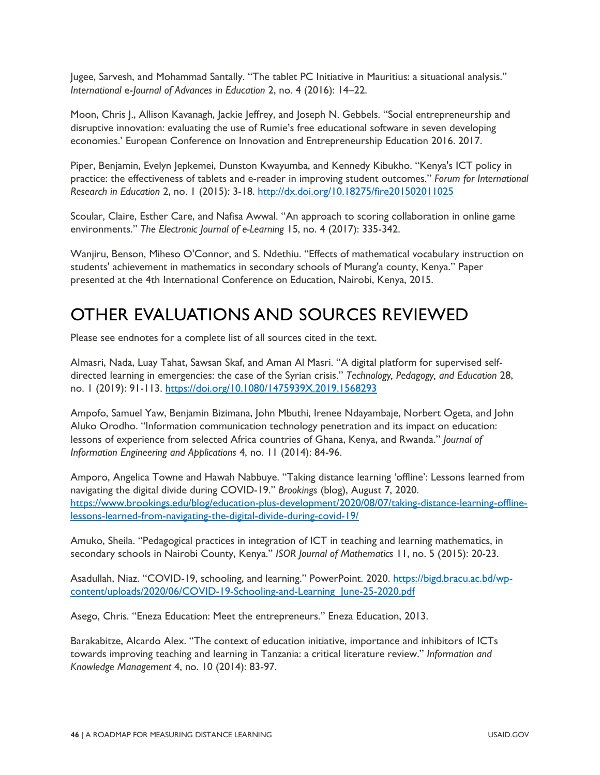Jugee, Sarvesh, and Mohammad Santally. "The tablet PC Initiative in Mauritius: a situational analysis." *International* e-*Journal of Advances in Education* 2, no. 4 (2016): 14–22.

Moon, Chris J., Allison Kavanagh, Jackie Jeffrey, and Joseph N. Gebbels. "Social entrepreneurship and disruptive innovation: evaluating the use of Rumie's free educational software in seven developing economies.' European Conference on Innovation and Entrepreneurship Education 2016. 2017.

Piper, Benjamin, Evelyn Jepkemei, Dunston Kwayumba, and Kennedy Kibukho. "Kenya's ICT policy in practice: the effectiveness of tablets and e-reader in improving student outcomes." *Forum for International Research in Education* 2, no. 1 (2015): 3-18.<http://dx.doi.org/10.18275/fire201502011025>

Scoular, Claire, Esther Care, and Nafisa Awwal. "An approach to scoring collaboration in online game environments." *The Electronic Journal of e-Learning* 15, no. 4 (2017): 335-342.

Wanjiru, Benson, Miheso O'Connor, and S. Ndethiu. "Effects of mathematical vocabulary instruction on students' achievement in mathematics in secondary schools of Murang'a county, Kenya." Paper presented at the 4th International Conference on Education, Nairobi, Kenya, 2015.

## OTHER EVALUATIONS AND SOURCES REVIEWED

Please see endnotes for a complete list of all sources cited in the text.

Almasri, Nada, Luay Tahat, Sawsan Skaf, and Aman Al Masri. "A digital platform for supervised selfdirected learning in emergencies: the case of the Syrian crisis." *Technology, Pedagogy, and Education* 28, no. 1 (2019): 91-113.<https://doi.org/10.1080/1475939X.2019.1568293>

Ampofo, Samuel Yaw, Benjamin Bizimana, John Mbuthi, Irenee Ndayambaje, Norbert Ogeta, and John Aluko Orodho. "Information communication technology penetration and its impact on education: lessons of experience from selected Africa countries of Ghana, Kenya, and Rwanda." *Journal of Information Engineering and Applications* 4, no. 11 (2014): 84-96.

Amporo, Angelica Towne and Hawah Nabbuye. "Taking distance learning 'offline': Lessons learned from navigating the digital divide during COVID-19." *Brookings* (blog), August 7, 2020. [https://www.brookings.edu/blog/education-plus-development/2020/08/07/taking-distance-learning-offline](https://www.brookings.edu/blog/education-plus-development/2020/08/07/taking-distance-learning-offline-lessons-learned-from-navigating-the-digital-divide-during-covid-19/)[lessons-learned-from-navigating-the-digital-divide-during-covid-19/](https://www.brookings.edu/blog/education-plus-development/2020/08/07/taking-distance-learning-offline-lessons-learned-from-navigating-the-digital-divide-during-covid-19/) 

Amuko, Sheila. "Pedagogical practices in integration of ICT in teaching and learning mathematics, in secondary schools in Nairobi County, Kenya." *ISOR Journal of Mathematics* 11, no. 5 (2015): 20-23.

Asadullah, Niaz. "COVID-19, schooling, and learning." PowerPoint. 2020. [https://bigd.bracu.ac.bd/wp](https://bigd.bracu.ac.bd/wp-content/uploads/2020/06/COVID-19-Schooling-and-Learning_June-25-2020.pdf)content/uploads/2020/06/COVID-19-Schooling-and-Learning June-25-2020.pdf

Asego, Chris. "Eneza Education: Meet the entrepreneurs." Eneza Education, 2013.

Barakabitze, Alcardo Alex. "The context of education initiative, importance and inhibitors of ICTs towards improving teaching and learning in Tanzania: a critical literature review." *Information and Knowledge Management* 4, no. 10 (2014): 83-97.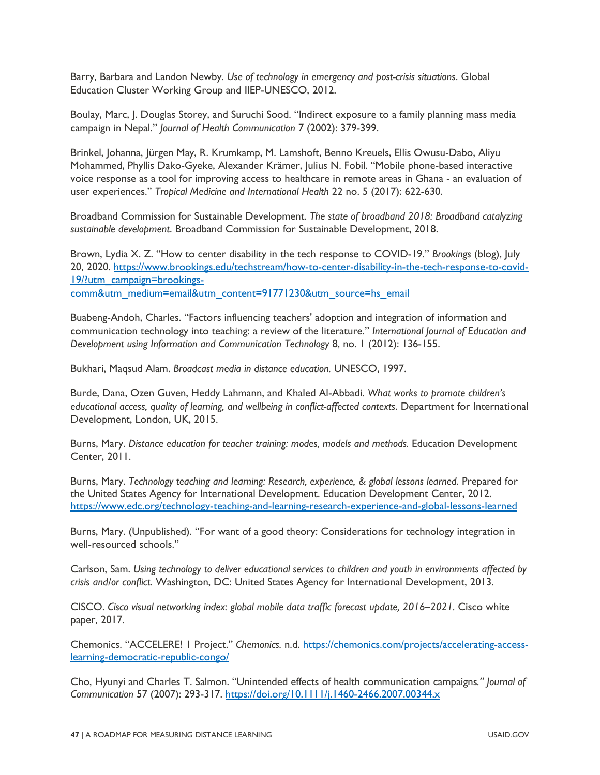Barry, Barbara and Landon Newby. *Use of technology in emergency and post-crisis situations*. Global Education Cluster Working Group and IIEP-UNESCO, 2012.

Boulay, Marc, J. Douglas Storey, and Suruchi Sood. "Indirect exposure to a family planning mass media campaign in Nepal." *Journal of Health Communication* 7 (2002): 379-399.

Brinkel, Johanna, Jürgen May, R. Krumkamp, M. Lamshoft, Benno Kreuels, Ellis Owusu-Dabo, Aliyu Mohammed, Phyllis Dako-Gyeke, Alexander Krämer, Julius N. Fobil. "Mobile phone-based interactive voice response as a tool for improving access to healthcare in remote areas in Ghana - an evaluation of user experiences." *Tropical Medicine and International Health* 22 no. 5 (2017): 622-630.

Broadband Commission for Sustainable Development. *The state of broadband 2018: Broadband catalyzing sustainable development*. Broadband Commission for Sustainable Development, 2018.

Brown, Lydia X. Z. "How to center disability in the tech response to COVID-19." *Brookings* (blog), July 20, 2020. [https://www.brookings.edu/techstream/how-to-center-disability-in-the-tech-response-to-covid-](https://www.brookings.edu/techstream/how-to-center-disability-in-the-tech-response-to-covid-19/?utm_campaign=brookings-comm&utm_medium=email&utm_content=91771230&utm_source=hs_email)[19/?utm\\_campaign=brookings](https://www.brookings.edu/techstream/how-to-center-disability-in-the-tech-response-to-covid-19/?utm_campaign=brookings-comm&utm_medium=email&utm_content=91771230&utm_source=hs_email)[comm&utm\\_medium=email&utm\\_content=91771230&utm\\_source=hs\\_email](https://www.brookings.edu/techstream/how-to-center-disability-in-the-tech-response-to-covid-19/?utm_campaign=brookings-comm&utm_medium=email&utm_content=91771230&utm_source=hs_email)

Buabeng-Andoh, Charles. "Factors influencing teachers' adoption and integration of information and communication technology into teaching: a review of the literature." *International Journal of Education and Development using Information and Communication Technology* 8, no. 1 (2012): 136-155.

Bukhari, Maqsud Alam. *Broadcast media in distance education.* UNESCO, 1997.

Burde, Dana, Ozen Guven, Heddy Lahmann, and Khaled Al-Abbadi. *What works to promote children's educational access, quality of learning, and wellbeing in conflict-affected contexts*. Department for International Development, London, UK, 2015.

Burns, Mary. *Distance education for teacher training: modes, models and methods.* Education Development Center, 2011.

Burns, Mary. *Technology teaching and learning: Research, experience, & global lessons learned*. Prepared for the United States Agency for International Development. Education Development Center, 2012. <https://www.edc.org/technology-teaching-and-learning-research-experience-and-global-lessons-learned>

Burns, Mary. (Unpublished). "For want of a good theory: Considerations for technology integration in well-resourced schools."

Carlson, Sam. *Using technology to deliver educational services to children and youth in environments affected by crisis and/or conflict*. Washington, DC: United States Agency for International Development, 2013.

CISCO. *Cisco visual networking index: global mobile data traffic forecast update, 2016–2021.* Cisco white paper, 2017.

Chemonics. "ACCELERE! 1 Project." *Chemonics.* n.d. [https://chemonics.com/projects/accelerating-access](https://chemonics.com/projects/accelerating-access-learning-democratic-republic-congo/)[learning-democratic-republic-congo/](https://chemonics.com/projects/accelerating-access-learning-democratic-republic-congo/)

Cho, Hyunyi and Charles T. Salmon. "Unintended effects of health communication campaigns*." Journal of Communication* 57 (2007): 293-317.<https://doi.org/10.1111/j.1460-2466.2007.00344.x>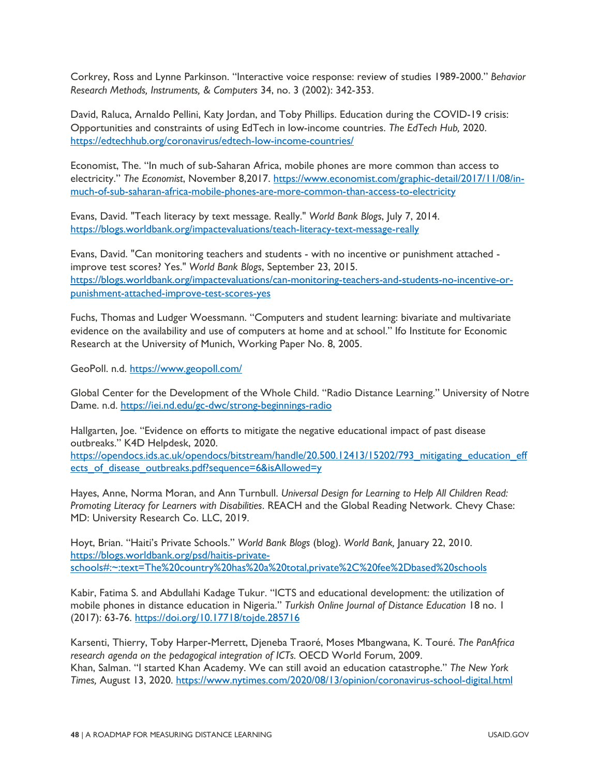Corkrey, Ross and Lynne Parkinson. "Interactive voice response: review of studies 1989-2000." *Behavior Research Methods, Instruments, & Computers* 34, no. 3 (2002): 342-353.

David, Raluca, Arnaldo Pellini, Katy Jordan, and Toby Phillips. Education during the COVID-19 crisis: Opportunities and constraints of using EdTech in low-income countries. *The EdTech Hub,* 2020. <https://edtechhub.org/coronavirus/edtech-low-income-countries/>

Economist, The. "In much of sub-Saharan Africa, mobile phones are more common than access to electricity." *The Economist*, November 8,2017. [https://www.economist.com/graphic-detail/2017/11/08/in](https://www.economist.com/graphic-detail/2017/11/08/in-much-of-sub-saharan-africa-mobile-phones-are-more-common-than-access-to-electricity)[much-of-sub-saharan-africa-mobile-phones-are-more-common-than-access-to-electricity](https://www.economist.com/graphic-detail/2017/11/08/in-much-of-sub-saharan-africa-mobile-phones-are-more-common-than-access-to-electricity)

Evans, David. "Teach literacy by text message. Really." *World Bank Blogs*, July 7, 2014. <https://blogs.worldbank.org/impactevaluations/teach-literacy-text-message-really>

Evans, David. "Can monitoring teachers and students - with no incentive or punishment attached improve test scores? Yes." *World Bank Blogs*, September 23, 2015. [https://blogs.worldbank.org/impactevaluations/can-monitoring-teachers-and-students-no-incentive-or](https://blogs.worldbank.org/impactevaluations/can-monitoring-teachers-and-students-no-incentive-or-punishment-attached-improve-test-scores-yes)[punishment-attached-improve-test-scores-yes](https://blogs.worldbank.org/impactevaluations/can-monitoring-teachers-and-students-no-incentive-or-punishment-attached-improve-test-scores-yes)

Fuchs, Thomas and Ludger Woessmann. "Computers and student learning: bivariate and multivariate evidence on the availability and use of computers at home and at school." Ifo Institute for Economic Research at the University of Munich, Working Paper No. 8, 2005.

GeoPoll. n.d.<https://www.geopoll.com/>

Global Center for the Development of the Whole Child. "Radio Distance Learning." University of Notre Dame. n.d.<https://iei.nd.edu/gc-dwc/strong-beginnings-radio>

Hallgarten, Joe. "Evidence on efforts to mitigate the negative educational impact of past disease outbreaks." K4D Helpdesk, 2020.

https://opendocs.ids.ac.uk/opendocs/bitstream/handle/20.500.12413/15202/793 mitigating education eff [ects\\_of\\_disease\\_outbreaks.pdf?sequence=6&isAllowed=y](https://opendocs.ids.ac.uk/opendocs/bitstream/handle/20.500.12413/15202/793_mitigating_education_effects_of_disease_outbreaks.pdf?sequence=6&isAllowed=y)

Hayes, Anne, Norma Moran, and Ann Turnbull. *Universal Design for Learning to Help All Children Read: Promoting Literacy for Learners with Disabilities*. REACH and the Global Reading Network. Chevy Chase: MD: University Research Co. LLC, 2019.

Hoyt, Brian. "Haiti's Private Schools." *World Bank Blogs* (blog). *World Bank,* January 22, 2010. [https://blogs.worldbank.org/psd/haitis-private](https://blogs.worldbank.org/psd/haitis-private-schools%23:%7E:text=The%20country%20has%20a%20total,private%2C%20fee-based%20schools.)[schools#:~:text=The%20country%20has%20a%20total,private%2C%20fee%2Dbased%20schools](https://blogs.worldbank.org/psd/haitis-private-schools%23:%7E:text=The%20country%20has%20a%20total,private%2C%20fee-based%20schools.)

Kabir, Fatima S. and Abdullahi Kadage Tukur. "ICTS and educational development: the utilization of mobile phones in distance education in Nigeria." *Turkish Online Journal of Distance Education* 18 no. 1 (2017): 63-76.<https://doi.org/10.17718/tojde.285716>

Karsenti, Thierry, Toby Harper-Merrett, Djeneba Traoré, Moses Mbangwana, K. Touré. *The PanAfrica research agenda on the pedagogical integration of ICTs.* OECD World Forum, 2009. Khan, Salman. "I started Khan Academy. We can still avoid an education catastrophe." *The New York Times,* August 13, 2020.<https://www.nytimes.com/2020/08/13/opinion/coronavirus-school-digital.html>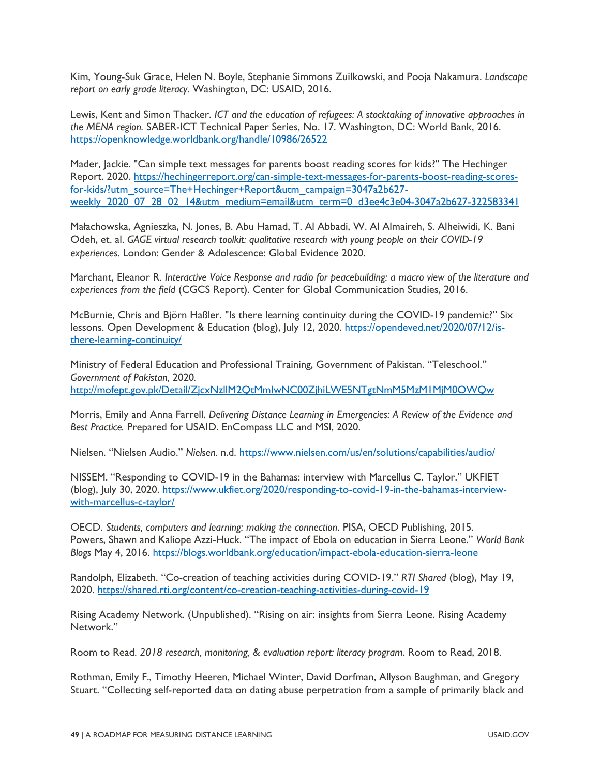Kim, Young-Suk Grace, Helen N. Boyle, Stephanie Simmons Zuilkowski, and Pooja Nakamura. *Landscape report on early grade literacy.* Washington, DC: USAID, 2016.

Lewis, Kent and Simon Thacker. *ICT and the education of refugees: A stocktaking of innovative approaches in the MENA region.* SABER-ICT Technical Paper Series, No. 17. Washington, DC: World Bank, 2016. <https://openknowledge.worldbank.org/handle/10986/26522>

Mader, Jackie. "Can simple text messages for parents boost reading scores for kids?" The Hechinger Report. 2020. [https://hechingerreport.org/can-simple-text-messages-for-parents-boost-reading-scores](https://hechingerreport.org/can-simple-text-messages-for-parents-boost-reading-scores-for-kids/?utm_source=The+Hechinger+Report&utm_campaign=3047a2b627-weekly_2020_07_28_02_14&utm_medium=email&utm_term=0_d3ee4c3e04-3047a2b627-322583341)[for-kids/?utm\\_source=The+Hechinger+Report&utm\\_campaign=3047a2b627](https://hechingerreport.org/can-simple-text-messages-for-parents-boost-reading-scores-for-kids/?utm_source=The+Hechinger+Report&utm_campaign=3047a2b627-weekly_2020_07_28_02_14&utm_medium=email&utm_term=0_d3ee4c3e04-3047a2b627-322583341) [weekly\\_2020\\_07\\_28\\_02\\_14&utm\\_medium=email&utm\\_term=0\\_d3ee4c3e04-3047a2b627-322583341](https://hechingerreport.org/can-simple-text-messages-for-parents-boost-reading-scores-for-kids/?utm_source=The+Hechinger+Report&utm_campaign=3047a2b627-weekly_2020_07_28_02_14&utm_medium=email&utm_term=0_d3ee4c3e04-3047a2b627-322583341)

Małachowska, Agnieszka, N. Jones, B. Abu Hamad, T. Al Abbadi, W. Al Almaireh, S. Alheiwidi, K. Bani Odeh, et. al. *GAGE virtual research toolkit: qualitative research with young people on their COVID-19 experiences.* London: Gender & Adolescence: Global Evidence 2020.

Marchant, Eleanor R. *Interactive Voice Response and radio for peacebuilding: a macro view of the literature and experiences from the field* (CGCS Report). Center for Global Communication Studies, 2016.

McBurnie, Chris and Björn Haßler. "Is there learning continuity during the COVID-19 pandemic?" Six lessons. Open Development & Education (blog), July 12, 2020. [https://opendeved.net/2020/07/12/is](https://opendeved.net/2020/07/12/is-there-learning-continuity/)[there-learning-continuity/](https://opendeved.net/2020/07/12/is-there-learning-continuity/)

Ministry of Federal Education and Professional Training, Government of Pakistan. "Teleschool." *Government of Pakistan,* 2020*.*  <http://mofept.gov.pk/Detail/ZjcxNzllM2QtMmIwNC00ZjhiLWE5NTgtNmM5MzM1MjM0OWQw>

Morris, Emily and Anna Farrell. *Delivering Distance Learning in Emergencies: A Review of the Evidence and Best Practice.* Prepared for USAID. EnCompass LLC and MSI, 2020.

Nielsen. "Nielsen Audio." *Nielsen.* n.d.<https://www.nielsen.com/us/en/solutions/capabilities/audio/>

NISSEM. "Responding to COVID-19 in the Bahamas: interview with Marcellus C. Taylor." UKFIET (blog), July 30, 2020. [https://www.ukfiet.org/2020/responding-to-covid-19-in-the-bahamas-interview](https://www.ukfiet.org/2020/responding-to-covid-19-in-the-bahamas-interview-with-marcellus-c-taylor/)[with-marcellus-c-taylor/](https://www.ukfiet.org/2020/responding-to-covid-19-in-the-bahamas-interview-with-marcellus-c-taylor/)

OECD. *Students, computers and learning: making the connection*. PISA, OECD Publishing, 2015. Powers, Shawn and Kaliope Azzi-Huck. "The impact of Ebola on education in Sierra Leone." *World Bank Blogs* May 4, 2016.<https://blogs.worldbank.org/education/impact-ebola-education-sierra-leone>

Randolph, Elizabeth. "Co-creation of teaching activities during COVID-19." *RTI Shared* (blog), May 19, 2020.<https://shared.rti.org/content/co-creation-teaching-activities-during-covid-19>

Rising Academy Network. (Unpublished). "Rising on air: insights from Sierra Leone. Rising Academy Network."

Room to Read. *2018 research, monitoring, & evaluation report: literacy program*. Room to Read, 2018.

Rothman, Emily F., Timothy Heeren, Michael Winter, David Dorfman, Allyson Baughman, and Gregory Stuart. "Collecting self-reported data on dating abuse perpetration from a sample of primarily black and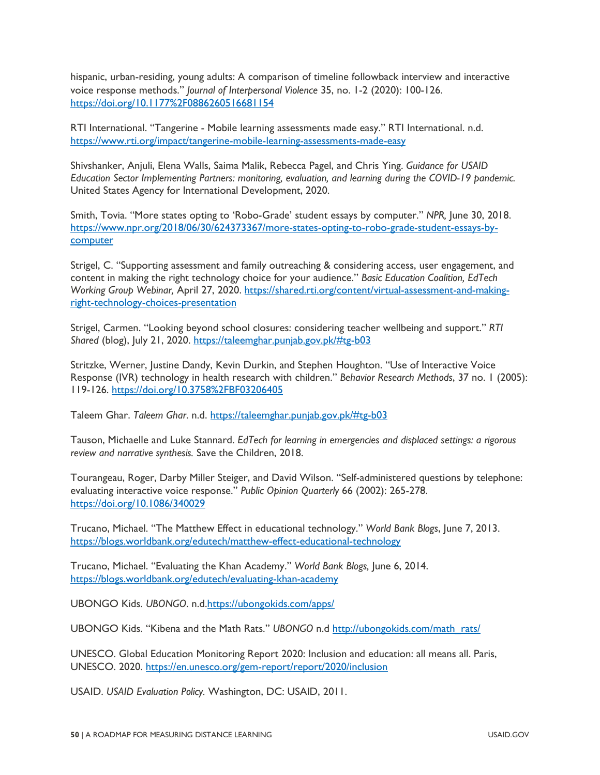hispanic, urban-residing, young adults: A comparison of timeline followback interview and interactive voice response methods." *Journal of Interpersonal Violence* 35, no. 1-2 (2020): 100-126. <https://doi.org/10.1177%2F0886260516681154>

RTI International. "Tangerine - Mobile learning assessments made easy." RTI International. n.d. <https://www.rti.org/impact/tangerine-mobile-learning-assessments-made-easy>

Shivshanker, Anjuli, Elena Walls, Saima Malik, Rebecca Pagel, and Chris Ying. *Guidance for USAID Education Sector Implementing Partners: monitoring, evaluation, and learning during the COVID-19 pandemic.*  United States Agency for International Development, 2020.

Smith, Tovia. "More states opting to 'Robo-Grade' student essays by computer." *NPR,* June 30, 2018. [https://www.npr.org/2018/06/30/624373367/more-states-opting-to-robo-grade-student-essays-by](https://www.npr.org/2018/06/30/624373367/more-states-opting-to-robo-grade-student-essays-by-computer)**computer** 

Strigel, C. "Supporting assessment and family outreaching & considering access, user engagement, and content in making the right technology choice for your audience." *Basic Education Coalition, EdTech Working Group Webinar,* April 27, 2020. [https://shared.rti.org/content/virtual-assessment-and-making](https://shared.rti.org/content/virtual-assessment-and-making-right-technology-choices-presentation)[right-technology-choices-presentation](https://shared.rti.org/content/virtual-assessment-and-making-right-technology-choices-presentation)

Strigel, Carmen. "Looking beyond school closures: considering teacher wellbeing and support." *RTI Shared* (blog), July 21, 2020.<https://taleemghar.punjab.gov.pk/#tg-b03>

Stritzke, Werner, Justine Dandy, Kevin Durkin, and Stephen Houghton. "Use of Interactive Voice Response (IVR) technology in health research with children." *Behavior Research Methods*, 37 no. 1 (2005): 119-126.<https://doi.org/10.3758%2FBF03206405>

Taleem Ghar. *Taleem Ghar*. n.d.<https://taleemghar.punjab.gov.pk/#tg-b03>

Tauson, Michaelle and Luke Stannard. *EdTech for learning in emergencies and displaced settings: a rigorous review and narrative synthesis.* Save the Children, 2018.

Tourangeau, Roger, Darby Miller Steiger, and David Wilson. "Self-administered questions by telephone: evaluating interactive voice response." *Public Opinion Quarterly* 66 (2002): 265-278. <https://doi.org/10.1086/340029>

Trucano, Michael. "The Matthew Effect in educational technology." *World Bank Blogs*, June 7, 2013. <https://blogs.worldbank.org/edutech/matthew-effect-educational-technology>

Trucano, Michael. "Evaluating the Khan Academy." *World Bank Blogs,* June 6, 2014. <https://blogs.worldbank.org/edutech/evaluating-khan-academy>

UBONGO Kids. *UBONGO*. n.[d.https://ubongokids.com/apps/](https://ubongokids.com/apps/) 

UBONGO Kids. "Kibena and the Math Rats." *UBONGO* n.d [http://ubongokids.com/math\\_rats/](http://ubongokids.com/math_rats/)

UNESCO. Global Education Monitoring Report 2020: Inclusion and education: all means all. Paris, UNESCO. 2020.<https://en.unesco.org/gem-report/report/2020/inclusion>

USAID. *USAID Evaluation Policy.* Washington, DC: USAID, 2011.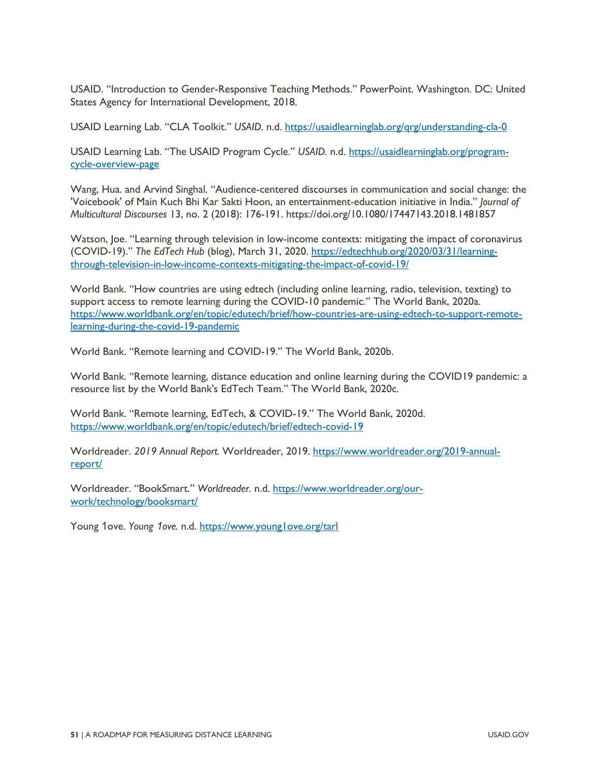USAID. "Introduction to Gender-Responsive Teaching Methods." PowerPoint. Washington. DC: United States Agency for International Development, 2018.

USAID Learning Lab. "CLA Toolkit." *USAID.* n.d.<https://usaidlearninglab.org/qrg/understanding-cla-0>

USAID Learning Lab. "The USAID Program Cycle." *USAID.* n.d. [https://usaidlearninglab.org/program](https://usaidlearninglab.org/program-cycle-overview-page)[cycle-overview-page](https://usaidlearninglab.org/program-cycle-overview-page)

Wang, Hua. and Arvind Singhal. "Audience-centered discourses in communication and social change: the 'Voicebook' of Main Kuch Bhi Kar Sakti Hoon, an entertainment-education initiative in India." *Journal of Multicultural Discourses* 13, no. 2 (2018): 176-191. https://doi.org/10.1080/17447143.2018.1481857

Watson, Joe. "Learning through television in low-income contexts: mitigating the impact of coronavirus (COVID-19)." *The EdTech Hub* (blog), March 31, 2020. [https://edtechhub.org/2020/03/31/learning](https://edtechhub.org/2020/03/31/learning-through-television-in-low-income-contexts-mitigating-the-impact-of-covid-19/)[through-television-in-low-income-contexts-mitigating-the-impact-of-covid-19/](https://edtechhub.org/2020/03/31/learning-through-television-in-low-income-contexts-mitigating-the-impact-of-covid-19/)

World Bank. "How countries are using edtech (including online learning, radio, television, texting) to support access to remote learning during the COVID-10 pandemic." The World Bank, 2020a. [https://www.worldbank.org/en/topic/edutech/brief/how-countries-are-using-edtech-to-support-remote](https://www.worldbank.org/en/topic/edutech/brief/how-countries-are-using-edtech-to-support-remote-learning-during-the-covid-19-pandemic)[learning-during-the-covid-19-pandemic](https://www.worldbank.org/en/topic/edutech/brief/how-countries-are-using-edtech-to-support-remote-learning-during-the-covid-19-pandemic)

World Bank. "Remote learning and COVID-19." The World Bank, 2020b.

World Bank. "Remote learning, distance education and online learning during the COVID19 pandemic: a resource list by the World Bank's EdTech Team." The World Bank, 2020c.

World Bank. "Remote learning, EdTech, & COVID-19." The World Bank, 2020d. <https://www.worldbank.org/en/topic/edutech/brief/edtech-covid-19>

Worldreader. *2019 Annual Report.* Worldreader, 2019. [https://www.worldreader.org/2019-annual](https://www.worldreader.org/2019-annual-report/)[report/](https://www.worldreader.org/2019-annual-report/)

Worldreader. "BookSmart." *Worldreader.* n.d. [https://www.worldreader.org/our](https://www.worldreader.org/our-work/technology/booksmart/)[work/technology/booksmart/](https://www.worldreader.org/our-work/technology/booksmart/)

Young 1ove. *Young 1ove.* n.d.<https://www.young1ove.org/tarl>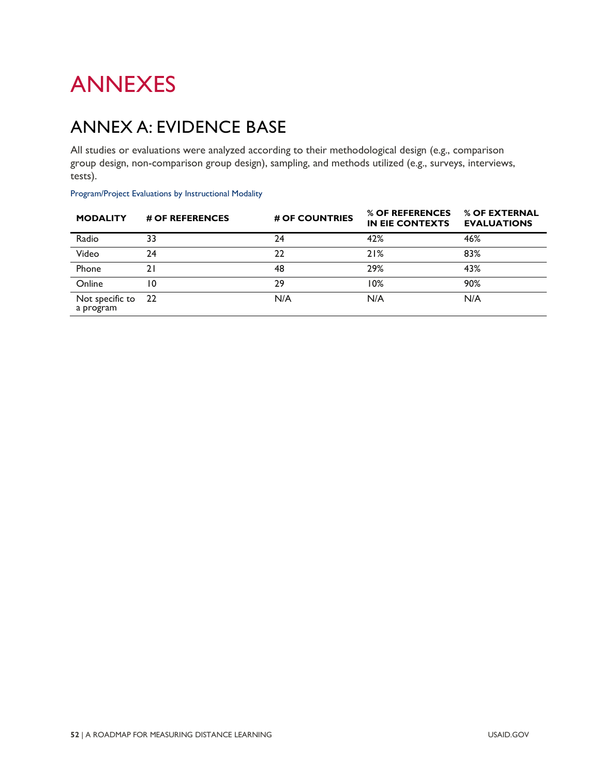# ANNEXES

## ANNEX A: EVIDENCE BASE

All studies or evaluations were analyzed according to their methodological design (e.g., comparison group design, non-comparison group design), sampling, and methods utilized (e.g., surveys, interviews, tests).

| Program/Project Evaluations by Instructional Modality |  |  |  |
|-------------------------------------------------------|--|--|--|
|-------------------------------------------------------|--|--|--|

| <b>MODALITY</b>              | # OF REFERENCES | # OF COUNTRIES | % OF REFERENCES<br><b>IN EIE CONTEXTS</b> | % OF EXTERNAL<br><b>EVALUATIONS</b> |
|------------------------------|-----------------|----------------|-------------------------------------------|-------------------------------------|
| Radio                        | 33              | 24             | 42%                                       | 46%                                 |
| Video                        | 24              | 22             | 21%                                       | 83%                                 |
| Phone                        | 21              | 48             | 29%                                       | 43%                                 |
| Online                       | 10              | 29             | 10%                                       | 90%                                 |
| Not specific to<br>a program | - 22            | N/A            | N/A                                       | N/A                                 |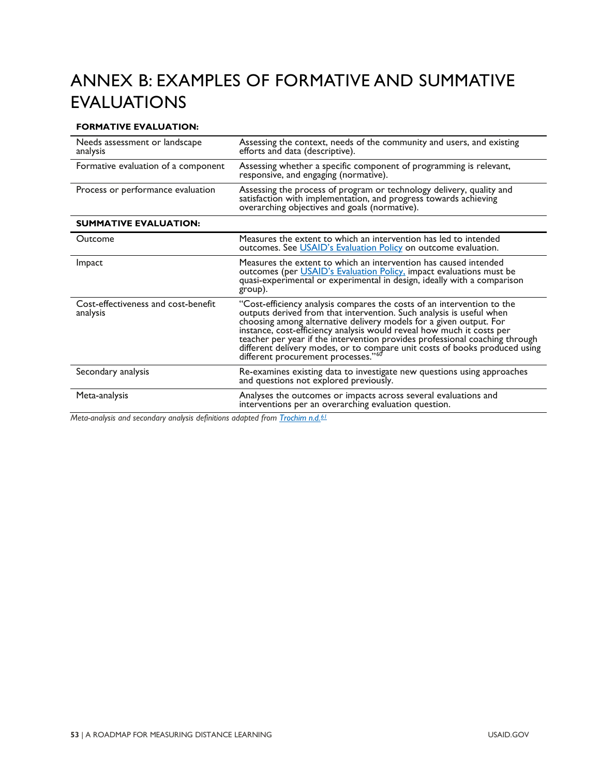## ANNEX B: EXAMPLES OF FORMATIVE AND SUMMATIVE EVALUATIONS

### **FORMATIVE EVALUATION:**

| Needs assessment or landscape<br>analysis       | Assessing the context, needs of the community and users, and existing<br>efforts and data (descriptive).                                                                                                                                                                                                                                                                                                                                                                                                      |  |
|-------------------------------------------------|---------------------------------------------------------------------------------------------------------------------------------------------------------------------------------------------------------------------------------------------------------------------------------------------------------------------------------------------------------------------------------------------------------------------------------------------------------------------------------------------------------------|--|
| Formative evaluation of a component             | Assessing whether a specific component of programming is relevant,<br>responsive, and engaging (normative).                                                                                                                                                                                                                                                                                                                                                                                                   |  |
| Process or performance evaluation               | Assessing the process of program or technology delivery, quality and<br>satisfaction with implementation, and progress towards achieving<br>overarching objectives and goals (normative).                                                                                                                                                                                                                                                                                                                     |  |
| <b>SUMMATIVE EVALUATION:</b>                    |                                                                                                                                                                                                                                                                                                                                                                                                                                                                                                               |  |
| Outcome                                         | Measures the extent to which an intervention has led to intended<br>outcomes. See USAID's Evaluation Policy on outcome evaluation.                                                                                                                                                                                                                                                                                                                                                                            |  |
| Impact                                          | Measures the extent to which an intervention has caused intended<br>outcomes (per <i>USAID's Evaluation Policy</i> , impact evaluations must be<br>quasi-experimental or experimental in design, ideally with a comparison<br>group).                                                                                                                                                                                                                                                                         |  |
| Cost-effectiveness and cost-benefit<br>analysis | "Cost-efficiency analysis compares the costs of an intervention to the<br>outputs derived from that intervention. Such analysis is useful when<br>choosing among alternative delivery models for a given output. For<br>instance, cost-efficiency analysis would reveal how much it costs per<br>teacher per year if the intervention provides professional coaching through<br>different delivery modes, or to compare unit costs of books produced using<br>different procurement processes." <sup>60</sup> |  |
| Secondary analysis                              | Re-examines existing data to investigate new questions using approaches<br>and questions not explored previously.                                                                                                                                                                                                                                                                                                                                                                                             |  |
| Meta-analysis                                   | Analyses the outcomes or impacts across several evaluations and<br>interventions per an overarching evaluation question.                                                                                                                                                                                                                                                                                                                                                                                      |  |

*Meta-analysis and secondary analysis definitions adapted from [Trochim n.d.](https://conjointly.com/kb/introduction-to-evaluation/)[61](#page-84-2)*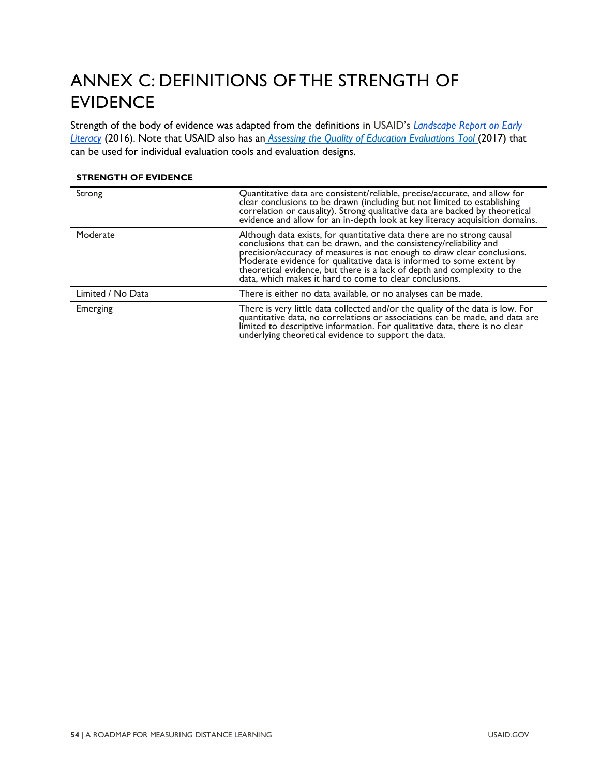## <span id="page-59-0"></span>ANNEX C: DEFINITIONS OF THE STRENGTH OF EVIDENCE

Strength of the body of evidence was adapted from the definitions in USAID's *[Landscape Report on Early](https://allchildrenreading.org/wp-content/uploads/2019/07/USAID-Landscape-Report-on-Early-Grade-Literacy.pdf)  [Literacy](https://allchildrenreading.org/wp-content/uploads/2019/07/USAID-Landscape-Report-on-Early-Grade-Literacy.pdf)* (2016). Note that USAID also has an *Assessing [the Quality of Education Evaluations Tool](https://www.edu-links.org/resources/assessing-quality-education-evaluations-tool)* (2017) that can be used for individual evaluation tools and evaluation designs.

#### **STRENGTH OF EVIDENCE**

| Strong            | Quantitative data are consistent/reliable, precise/accurate, and allow for<br>clear conclusions to be drawn (including but not limited to establishing<br>correlation or causality). Strong qualitative data are backed by theoretical evidence and allow for an in-depth look at key literacy acquisition domains.                                                                                                                    |
|-------------------|----------------------------------------------------------------------------------------------------------------------------------------------------------------------------------------------------------------------------------------------------------------------------------------------------------------------------------------------------------------------------------------------------------------------------------------|
| Moderate          | Although data exists, for quantitative data there are no strong causal<br>conclusions that can be drawn, and the consistency/reliability and<br>precision/accuracy of measures is not enough to draw clear conclusions.<br>Moderate evidence for qualitative data is informed to some extent by<br>theoretical evidence, but there is a lack of depth and complexity to the<br>data, which makes it hard to come to clear conclusions. |
| Limited / No Data | There is either no data available, or no analyses can be made.                                                                                                                                                                                                                                                                                                                                                                         |
| Emerging          | There is very little data collected and/or the quality of the data is low. For<br>quantitative data, no correlations or associations can be made, and data are<br>limited to descriptive information. For qualitative data, there is no clear<br>underlying theoretical evidence to support the data.                                                                                                                                  |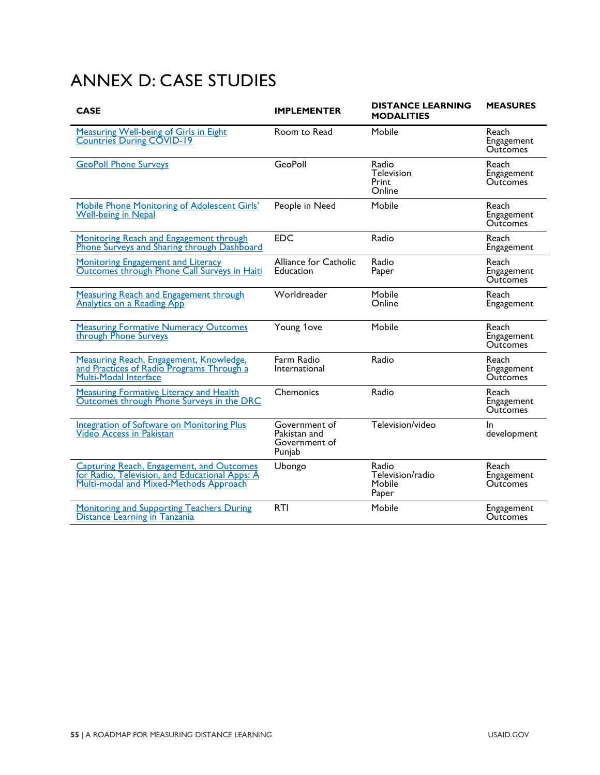## <span id="page-60-0"></span>ANNEX D: CASE STUDIES

| <b>CASE</b>                                                                                                                                  | <b>IMPLEMENTER</b>                                       | <b>DISTANCE LEARNING</b><br><b>MODALITIES</b> | <b>MEASURES</b>                        |
|----------------------------------------------------------------------------------------------------------------------------------------------|----------------------------------------------------------|-----------------------------------------------|----------------------------------------|
| <b>Measuring Well-being of Girls in Eight</b><br><b>Countries During COVID-19</b>                                                            | Room to Read                                             | Mobile                                        | Reach<br>Engagement<br><b>Outcomes</b> |
| <b>GeoPoll Phone Surveys</b>                                                                                                                 | <b>GeoPoll</b>                                           | Radio<br><b>Television</b><br>Print<br>Online | Reach<br>Engagement<br><b>Outcomes</b> |
| Mobile Phone Monitoring of Adolescent Girls'<br><b>Well-being in Nepal</b>                                                                   | People in Need                                           | Mobile                                        | Reach<br>Engagement<br><b>Outcomes</b> |
| Monitoring Reach and Engagement through<br>Phone Surveys and Sharing through Dashboard                                                       | <b>EDC</b>                                               | Radio                                         | Reach<br>Engagement                    |
| <b>Monitoring Engagement and Literacy</b><br>Outcomes through Phone Call Surveys in Haiti                                                    | Alliance for Catholic<br>Education                       | Radio<br>Paper                                | Reach<br>Engagement<br><b>Outcomes</b> |
| <b>Measuring Reach and Engagement through</b><br><b>Analytics on a Reading App</b>                                                           | Worldreader                                              | Mobile<br>Online                              | Reach<br>Engagement                    |
| <b>Measuring Formative Numeracy Outcomes</b><br>through Phone Surveys                                                                        | Young 1ove                                               | Mobile                                        | Reach<br>Engagement<br><b>Outcomes</b> |
| Measuring Reach, Engagement, Knowledge,<br>and Practices of Radio Programs Through a<br>Multi-Modal Interface                                | Farm Radio<br>International                              | Radio                                         | Reach<br>Engagement<br><b>Outcomes</b> |
| <b>Measuring Formative Literacy and Health</b><br>Outcomes through Phone Surveys in the DRC                                                  | Chemonics                                                | Radio                                         | Reach<br>Engagement<br><b>Outcomes</b> |
| <b>Integration of Software on Monitoring Plus</b><br><b>Video Access in Pakistan</b>                                                         | Government of<br>Pakistan and<br>Government of<br>Punjab | Television/video                              | In.<br>development                     |
| <b>Capturing Reach, Engagement, and Outcomes</b><br>for Radio, Television, and Educational Apps: A<br>Multi-modal and Mixed-Methods Approach | Ubongo                                                   | Radio<br>Television/radio<br>Mobile<br>Paper  | Reach<br>Engagement<br><b>Outcomes</b> |
| Monitoring and Supporting Teachers During<br>Distance Learning in Tanzania                                                                   | <b>RTI</b>                                               | Mobile                                        | Engagement<br><b>Outcomes</b>          |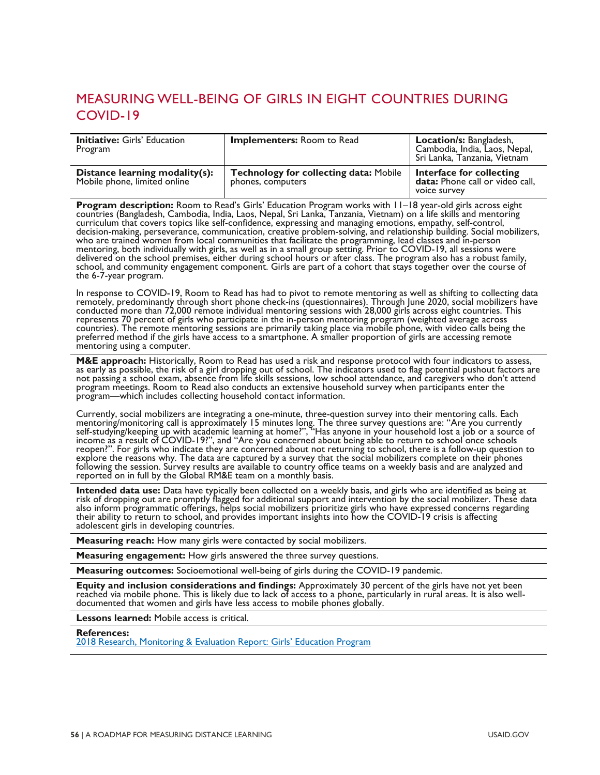## <span id="page-61-0"></span>MEASURING WELL-BEING OF GIRLS IN EIGHT COUNTRIES DURING COVID-19

| <b>Initiative: Girls' Education</b><br>Program                 | <b>Implementers:</b> Room to Read                                  | Location/s: Bangladesh,<br>Cambodia, India, Laos, Nepal,<br>Sri Lanka, Tanzania, Vietnam |
|----------------------------------------------------------------|--------------------------------------------------------------------|------------------------------------------------------------------------------------------|
| Distance learning modality(s):<br>Mobile phone, limited online | <b>Technology for collecting data: Mobile</b><br>phones, computers | Interface for collecting<br>data: Phone call or video call,<br>voice survey              |

Program description: Room to Read's Girls' Education Program works with 11-18 year-old girls across eight countries (Bangladesh, Cambodia, India, Laos, Nepal, Sri Lanka, Tanzania, Vietnam) on a life skills and mentoring curriculum that covers topics like self-confidence, expressing and managing emotions, empathy, self-control, decision-making, perseverance, communication, creative problem-solving, and relationship building. Social mobilizers,<br>who are trained women from local communities that facilitate the programming, lead classes and in-person delivered on the school premises, either during school hours or after class. The program also has a robust family, school, and community engagement component. Girls are part of a cohort that stays together over the course of<br>the 6-7-year program.

In response to COVID-19, Room to Read has had to pivot to remote mentoring as well as shifting to collecting data remotely, predominantly through short phone check-ins (questionnaires). Through June 2020, social mobilizers represents 70 percent of girls who participate in the in-person mentoring program (weighted average across countries). The remote mentoring sessions are primarily taking place via mobile phone, with video calls being the preferred method if the girls have access to a smartphone. A smaller proportion of girls are accessing remote mentoring using a computer.

M&E approach: Historically, Room to Read has used a risk and response protocol with four indicators to assess, as early as possible, the risk of a girl dropping out of school. The indicators used to flag potential pushout program meetings. Room to Read also conducts an extensive household survey when participants enter the program—which includes collecting household contact information.

Currently, social mobilizers are integrating a one-minute, three-question survey into their mentoring calls. Each mentoring/monitoring call is approximately 15 minutes long. The three survey questions are: "Are you current

Intended data use: Data have typically been collected on a weekly basis, and girls who are identified as being at risk of dropping out are promptly flagged for additional support and intervention by the social mobilizer. T also inform programmatic offerings, helps social mobilizers prioritize girls who have expressed concerns regarding their ability to return to school, and provides important insights into how the COVID-19 crisis is affecting adolescent girls in developing countries.

**Measuring reach:** How many girls were contacted by social mobilizers.

**Measuring engagement:** How girls answered the three survey questions.

**Measuring outcomes:** Socioemotional well-being of girls during the COVID-19 pandemic.

Equity and inclusion considerations and findings: Approximately 30 percent of the girls have not yet been reached via mobile phone. This is likely due to lack of access to a phone, particularly in rural areas. It is also w

**Lessons learned:** Mobile access is critical.

**References:**

[2018 Research, Monitoring & Evaluation Report: Girls' Education Program](https://www.roomtoread.org/media/kdvp5jzn/room-to-read-2018-girls-education-rme-report.pdf)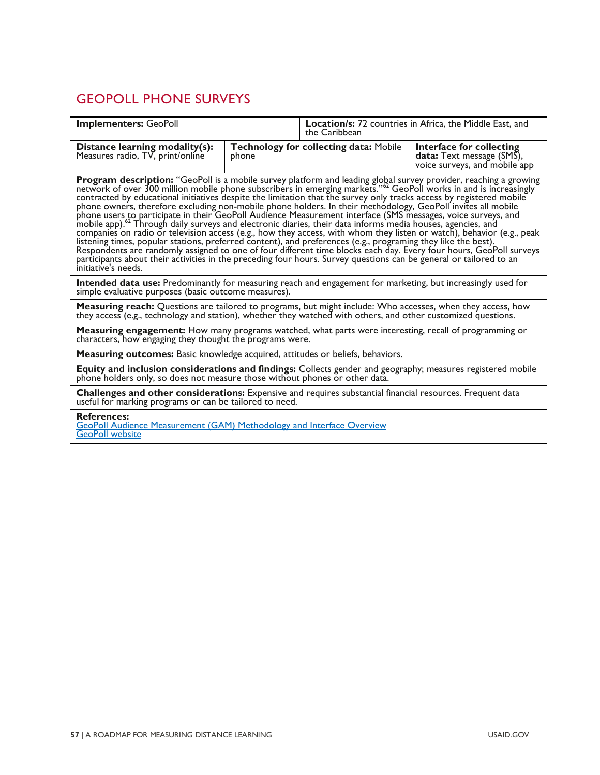## <span id="page-62-1"></span><span id="page-62-0"></span>GEOPOLL PHONE SURVEYS

| <b>Implementers: GeoPoll</b>                                                                                                                                                                                                                                                                                                                                                                                                                                                                                                                                                                                                                                                                                                                                                                                                                                                                                                                                                                                                                                                                                          |       | <b>Location/s:</b> 72 countries in Africa, the Middle East, and<br>the Caribbean |                                                                                        |  |
|-----------------------------------------------------------------------------------------------------------------------------------------------------------------------------------------------------------------------------------------------------------------------------------------------------------------------------------------------------------------------------------------------------------------------------------------------------------------------------------------------------------------------------------------------------------------------------------------------------------------------------------------------------------------------------------------------------------------------------------------------------------------------------------------------------------------------------------------------------------------------------------------------------------------------------------------------------------------------------------------------------------------------------------------------------------------------------------------------------------------------|-------|----------------------------------------------------------------------------------|----------------------------------------------------------------------------------------|--|
| Distance learning modality(s):<br>Measures radio, TV, print/online                                                                                                                                                                                                                                                                                                                                                                                                                                                                                                                                                                                                                                                                                                                                                                                                                                                                                                                                                                                                                                                    | phone | Technology for collecting data: Mobile                                           | Interface for collecting<br>data: Text message (SMS),<br>voice surveys, and mobile app |  |
| <b>Program description:</b> "GeoPoll is a mobile survey platform and leading global survey provider, reaching a growing network of over 300 million mobile phone subscribers in emerging markets." <sup>52</sup> GeoPoll works in and is incr<br>phone owners, therefore excluding non-mobile phone holders. In their methodology, GeoPoll invites all mobile<br>phone users to participate in their GeoPoll Audience Measurement interface (SMS messages, voice surveys, and<br>mobile app). <sup>62</sup> Through daily surveys and electronic diaries, their data informs media houses, agencies, and<br>companies on radio or television access (e.g., how they access, with whom they listen or watch), behavior (e.g., peak<br>listening times, popular stations, preferred content), and preferences (e.g., programing they like the best).<br>Respondents are randomly assigned to one of four different time blocks each day. Every four hours, GeoPoll surveys<br>participants about their activities in the preceding four hours. Survey questions can be general or tailored to an<br>initiative's needs. |       |                                                                                  |                                                                                        |  |
| <b>Intended data use:</b> Predominantly for measuring reach and engagement for marketing, but increasingly used for<br>simple evaluative purposes (basic outcome measures).                                                                                                                                                                                                                                                                                                                                                                                                                                                                                                                                                                                                                                                                                                                                                                                                                                                                                                                                           |       |                                                                                  |                                                                                        |  |
| Measuring reach: Questions are tailored to programs, but might include: Who accesses, when they access, how<br>they access (e.g., technology and station), whether they watched with others, and other customized questions.                                                                                                                                                                                                                                                                                                                                                                                                                                                                                                                                                                                                                                                                                                                                                                                                                                                                                          |       |                                                                                  |                                                                                        |  |
| Measuring engagement: How many programs watched, what parts were interesting, recall of programming or<br>characters, how engaging they thought the programs were.                                                                                                                                                                                                                                                                                                                                                                                                                                                                                                                                                                                                                                                                                                                                                                                                                                                                                                                                                    |       |                                                                                  |                                                                                        |  |
| <b>Measuring outcomes:</b> Basic knowledge acquired, attitudes or beliefs, behaviors.                                                                                                                                                                                                                                                                                                                                                                                                                                                                                                                                                                                                                                                                                                                                                                                                                                                                                                                                                                                                                                 |       |                                                                                  |                                                                                        |  |
| Equity and inclusion considerations and findings: Collects gender and geography; measures registered mobile<br>phone holders only, so does not measure those without phones or other data.                                                                                                                                                                                                                                                                                                                                                                                                                                                                                                                                                                                                                                                                                                                                                                                                                                                                                                                            |       |                                                                                  |                                                                                        |  |
| Challenges and other considerations: Expensive and requires substantial financial resources. Frequent data<br>useful for marking programs or can be tailored to need.                                                                                                                                                                                                                                                                                                                                                                                                                                                                                                                                                                                                                                                                                                                                                                                                                                                                                                                                                 |       |                                                                                  |                                                                                        |  |
| <b>References:</b><br><b>GeoPoll Audience Measurement (GAM) Methodology and Interface Overview</b><br><b>GeoPoll website</b>                                                                                                                                                                                                                                                                                                                                                                                                                                                                                                                                                                                                                                                                                                                                                                                                                                                                                                                                                                                          |       |                                                                                  |                                                                                        |  |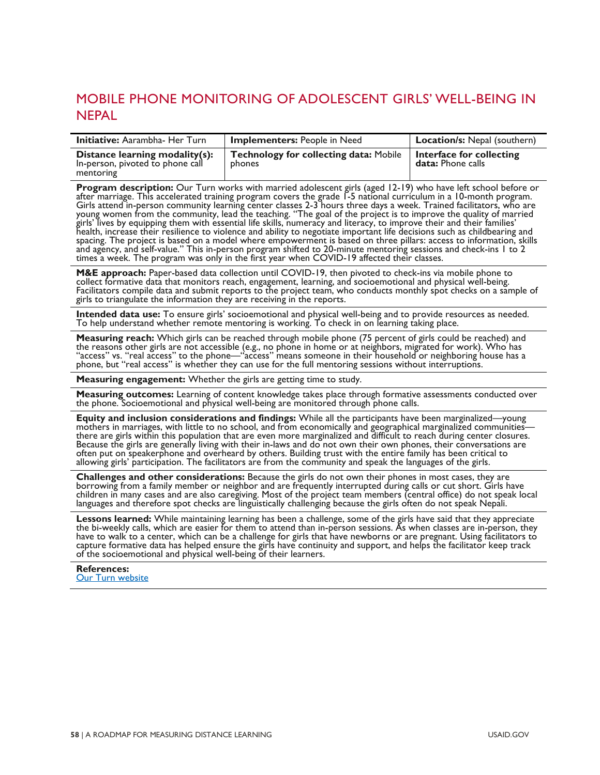## <span id="page-63-0"></span>MOBILE PHONE MONITORING OF ADOLESCENT GIRLS' WELL-BEING IN NEPAL

| <b>Initiative:</b> Aarambha- Her Turn                                           | <b>Implementers: People in Need</b>                            | <b>Location/s:</b> Nepal (southern)                  |
|---------------------------------------------------------------------------------|----------------------------------------------------------------|------------------------------------------------------|
| Distance learning modality(s):<br>In-person, pivoted to phone call<br>mentoring | <b>Technology for collecting data: Mobile</b><br><b>phones</b> | Interface for collecting<br><b>data:</b> Phone calls |

**Program description:** Our Turn works with married adolescent girls (aged 12-19) who have left school before or after marriage. This accelerated training program covers the grade 1-5 national curriculum in a 10-month progr bealth, increase their resilience to violence and ability to negotiate important life decisions such as childbearing and girls' lives by equipping them with essential life skills, numeracy and literacy, to improve their an spacing. The project is based on a model where empowerment is based on three pillars: access to information, skills and agency, and self-value." This in-person program shifted to 20-minute mentoring sessions and check-ins 1 to 2 times a week. The program was only in the first year when COVID-19 affected their classes.

M&E approach: Paper-based data collection until COVID-19, then pivoted to check-ins via mobile phone to<br>collect formative data that monitors reach, engagement, learning, and socioemotional and physical well-being.<br>Facilita girls to triangulate the information they are receiving in the reports.

**Intended data use:** To ensure girls' socioemotional and physical well-being and to provide resources as needed.<br>To help understand whether remote mentoring is working. To check in on learning taking place.

**Measuring reach:** Which girls can be reached through mobile phone (75 percent of girls could be reached) and<br>the reasons other girls are not accessible (e.g., no phone in home or at neighbors, migrated for work). Who has<br> phone, but "real access" is whether they can use for the full mentoring sessions without interruptions.

**Measuring engagement:** Whether the girls are getting time to study.

**Measuring outcomes:** Learning of content knowledge takes place through formative assessments conducted over the phone. Socioemotional and physical well-being are monitored through phone calls.

Equity and inclusion considerations and findings: While all the participants have been marginalized—young<br>mothers in marriages, with little to no school, and from economically and geographical marginalized communities—<br>the Because the girls are generally living with their in-laws and do not own their own phones, their conversations are often put on speakerphone and overheard by others. Building trust with the entire family has been critical to allowing girls' participation. The facilitators are from the community and speak the languages of the girls.

**Challenges and other considerations:** Because the girls do not own their phones in most cases, they are borrowing from a family member or neighbor and are frequently interrupted during calls or cut short. Girls have children in many cases and are also caregiving. Most of the project team members (central office) do not speak local<br>languages and therefore spot checks are linguistically challenging because the girls often do not speak N

**Lessons learned:** While maintaining learning has been a challenge, some of the girls have said that they appreciate the bi-weekly calls, which are easier for them to attend than in-person sessions. As when classes are in-

#### **References:** [Our Turn website](https://www.clovekvtisni.cz/en/what-we-do/humanitarian-aid-and-development/nepal/social-inclusion-and-protection)

**58** | A ROADMAP FOR MEASURING DISTANCE LEARNING USAID.GOV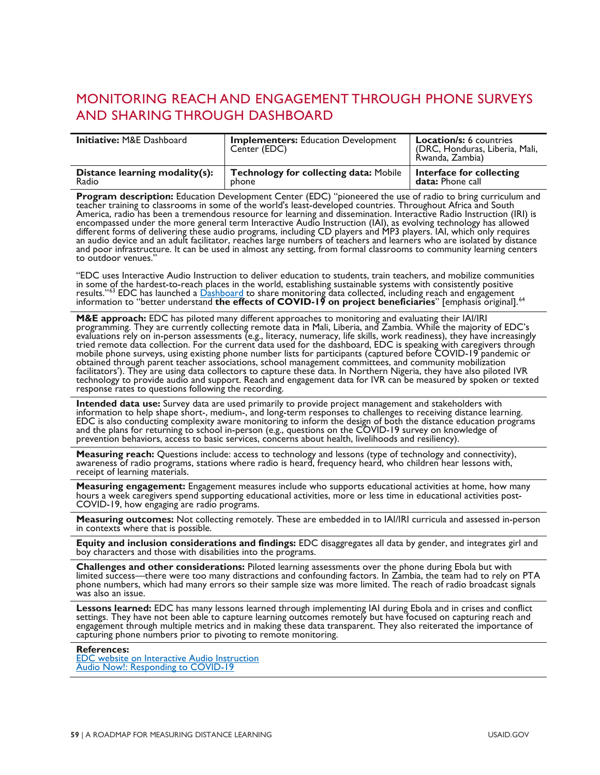## <span id="page-64-0"></span>MONITORING REACH AND ENGAGEMENT THROUGH PHONE SURVEYS AND SHARING THROUGH DASHBOARD

| <b>Initiative: M&amp;E Dashboard</b> | <b>Implementers: Education Development</b><br>Center (EDC) | <b>Location/s: 6 countries</b><br>(DRC, Honduras, Liberia, Mali,<br>Rwanda, Zambia) |
|--------------------------------------|------------------------------------------------------------|-------------------------------------------------------------------------------------|
| Distance learning modality(s):       | <b>Technology for collecting data: Mobile</b>              | Interface for collecting                                                            |
| Radio                                | phone                                                      | <b>data:</b> Phone call                                                             |

**Program description:** Education Development Center (EDC) "pioneered the use of radio to bring curriculum and teacher training to classrooms in some of the world's least-developed countries. Throughout Africa and South Ame encompassed under the more general term Interactive Audio Instruction (IAI), as evolving technology has allowed different forms of delivering these audio programs, including CD players and MP3 players. IAI, which only requires<br>an audio device and an adult facilitator, reaches large numbers of teachers and learners who are isolated b and poor infrastructure. It can be used in almost any setting, from formal classrooms to community learning centers to outdoor venues."

"EDC uses Interactive Audio Instruction to deliver education to students, train teachers, and mobilize communities in some [of](#page-84-4) the hardest-to-rea[ch places in th](http://covid19research.edc.org/)e world, establishing sustainable systems with consistently positive<br>results."<sup>33</sup> EDC has launched a <u>Dashboard</u> to share monitoring data collected, including reach and engageme

**M&E approach:** EDC has piloted many different approaches to monitoring and evaluating their IAI/IRI<br>programming. They are currently collecting remote data in Mali, Liberia, and Zambia. While the majority of EDC's<br>evaluati mobile phone surveys, using existing phone number lists for participants (captured before COVID-19 pandemic or<br>obtained through parent teacher associations, school management committees, and community mobilization obtained through parent teacher associations, school management committees, and community mobilization<br>facilitators'). They are using data collectors to capture these data. In Northern Nigeria, they have also piloted IVR technology to provide audio and support. Reach and engagement data for IVR can be measured by spoken or texted response rates to questions following the recording.

**Intended data use:** Survey data are used primarily to provide project management and stakeholders with information to help shape short-, medium-, and long-term responses to challenges to receiving distance learning. EDC is also conducting complexity aware monitoring to inform the design of both the distance education programs and the plans for returning to school in-person (e.g., questions on the COVID-19 survey on knowledge of prevention behaviors, access to basic services, concerns about health, livelihoods and resiliency).

**Measuring reach:** Questions include: access to technology and lessons (type of technology and connectivity), awareness of radio programs, stations where radio is heard, frequency heard, who children hear lessons with, receipt of learning materials.

**Measuring engagement:** Engagement measures include who supports educational activities at home, how many hours a week caregivers spend supporting educational activities, more or less time in educational activities post-CO

**Measuring outcomes:** Not collecting remotely. These are embedded in to IAI/IRI curricula and assessed in-person in contexts where that is possible.

**Equity and inclusion considerations and findings:** EDC disaggregates all data by gender, and integrates girl and boy characters and those with disabilities into the programs.

**Challenges and other considerations:** Piloted learning assessments over the phone during Ebola but with<br>limited success—there were too many distractions and confounding factors. In Zambia, the team had to rely on PTA<br>phon was also an issue.

Lessons learned: EDC has many lessons learned through implementing IAI during Ebola and in crises and conflict<br>settings. They have not been able to capture learning outcomes remotely but have focused on capturing reach and

#### **References:**

[EDC website on Interactive Audio Instruction](http://idd.edc.org/our_work/interactive-radio-instruction-iri) [Audio Now!: Responding to COVID-19](https://www.edc.org/audio-now)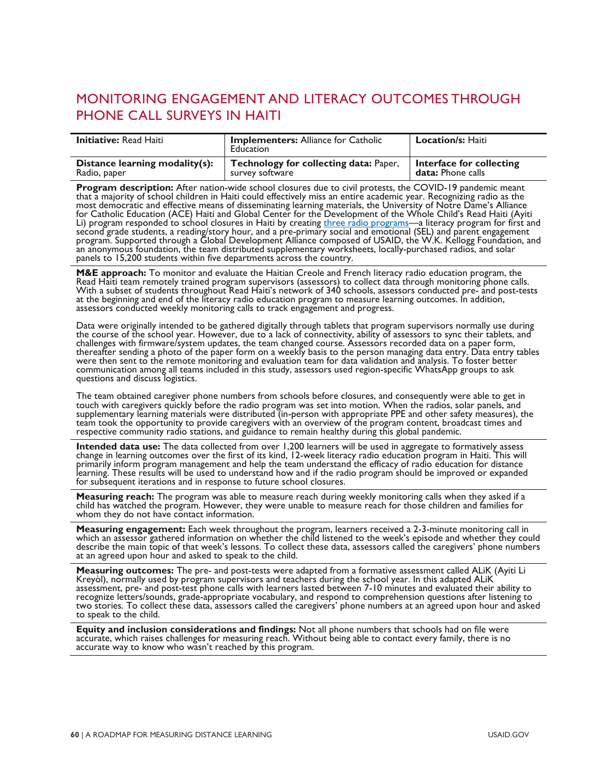## <span id="page-65-0"></span>MONITORING ENGAGEMENT AND LITERACY OUTCOMES THROUGH PHONE CALL SURVEYS IN HAITI

| <b>Initiative:</b> Read Haiti  | <b>Implementers: Alliance for Catholic</b><br>Education | <b>Location/s: Haiti</b> |
|--------------------------------|---------------------------------------------------------|--------------------------|
| Distance learning modality(s): | Technology for collecting data: Paper,                  | Interface for collecting |
| Radio, paper                   | survey software                                         | <b>data:</b> Phone calls |

**Program description:** After nation-wide school closures due to civil protests, the COVID-19 pandemic meant<br>that a majority of school children in Haiti could effectively miss an entire academic year. Recognizing radio as t most democratic and effective means of disseminating learning materials, the University of Notre Dame's Alliance for Catholic Education (ACE) Haiti and Global Center for the Development of the Whole Child's Read Haiti (Ayiti Li) program responded to school closures in Haiti by creating [three radio programs—](https://iei.nd.edu/gc-dwc/strong-beginnings-radio)a literacy program for first and<br>second grade students, a reading/sto[ry](https://iei.nd.edu/gc-dwc/strong-beginnings-radio) hour, and a pre-primary social and emotional (SEL) and parent engag an anonymous foundation, the team distributed supplementary worksheets, locally-purchased radios, and solar panels to 15,200 students within five departments across the country.

M&E approach: To monitor and evaluate the Haitian Creole and French literacy radio education program, the Read Haiti team remotely trained program supervisors (assessors) to collect data through monitoring phone calls. With a subset of students throughout Read Haiti's network of 340 schools, assessors conducted pre- and post-tests at the beginning and end of the literacy radio education program to measure learning outcomes. In addition, assessors conducted weekly monitoring calls to track engagement and progress.

Data were originally intended to be gathered digitally through tablets that program supervisors normally use during<br>the course of the school year. However, due to a lack of connectivity, ability of assessors to sync their challenges with firmware/system updates, the team changed course. Assessors recorded data on a paper form,<br>thereafter sending a photo of the paper form on a weekly basis to the person managing data entry. Data entry tables were then sent to the remote monitoring and evaluation team for data validation and analysis. To foster better<br>communication among all teams included in this study, assessors used region-specific WhatsApp groups to ask<br>que

The team obtained caregiver phone numbers from schools before closures, and consequently were able to get in<br>touch with caregivers quickly before the radio program was set into motion. When the radios, solar panels, and supplementary learning materials were distributed (in-person with appropriate PPE and other safety measures), the team took the opportunity to provide caregivers with an overview of the program content, broadcast times and respective community radio stations, and guidance to remain healthy during this global pandemic.

Intended data use: The data collected from over 1,200 learners will be used in aggregate to formatively assess<br>change in learning outcomes over the first of its kind, 12-week literacy radio education program in Haiti. This primarily inform program management and help the team understand the efficacy of radio education for distance<br>learning. These results will be used to understand how and if the radio program should be improved or expanded for subsequent iterations and in response to future school closures.

**Measuring reach:** The program was able to measure reach during weekly monitoring calls when they asked if a child has watched the program. However, they were unable to measure reach for those children and families for whom they do not have contact information.

Measuring engagement: Each week throughout the program, learners received a 2-3-minute monitoring call in which an assessor gathered information on whether the child listened to the week's episode and whether they could describe the main topic of that week's lessons. To collect these data, assessors called the caregivers' phone numbers<br>at an agreed upon hour and asked to speak to the child.

**Measuring outcomes:** The pre- and post-tests were adapted from a formative assessment called ALiK (Ayiti Li Kreyòl), normally used by program supervisors and teachers during the school year. In this adapted ALiK assessmen recognize letters/sounds, grade-appropriate vocabulary, and respond to comprehension questions after listening to two stories. To collect these data, assessors called the caregivers' phone numbers at an agreed upon hour and asked to speak to the child.

**Equity and inclusion considerations and findings:** Not all phone numbers that schools had on file were accurate, which raises challenges for measuring reach. Without being able to contact every family, there is no accurate way to know who wasn't reached by this program.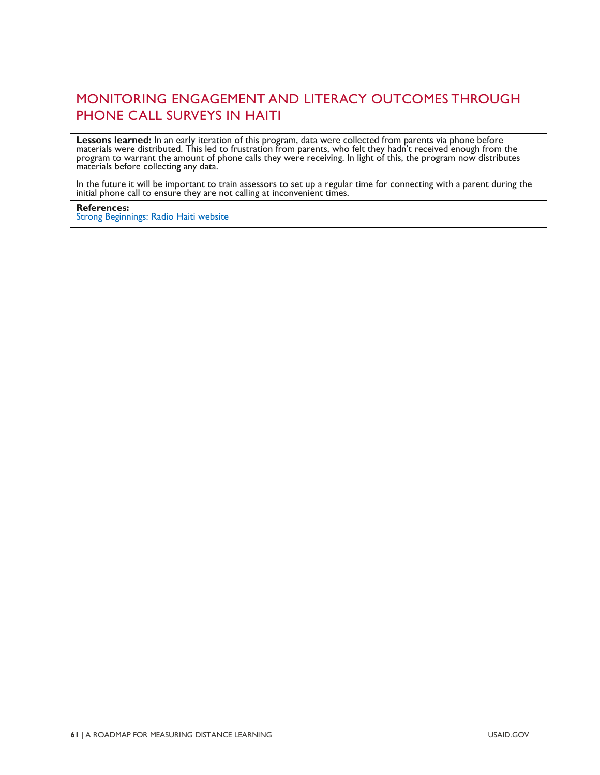## MONITORING ENGAGEMENT AND LITERACY OUTCOMES THROUGH PHONE CALL SURVEYS IN HAITI

**Lessons learned:** In an early iteration of this program, data were collected from parents via phone before<br>materials were distributed. This led to frustration from parents, who felt they hadn't received enough from the program to warrant the amount of phone calls they were receiving. In light of this, the program now distributes<br>materials before collecting any data.

In the future it will be important to train assessors to set up a regular time for connecting with a parent during the initial phone call to ensure they are not calling at inconvenient times.

**References:** [Strong Beginnings: Radio Haiti website](https://iei.nd.edu/gc-dwc/strong-beginnings-radio)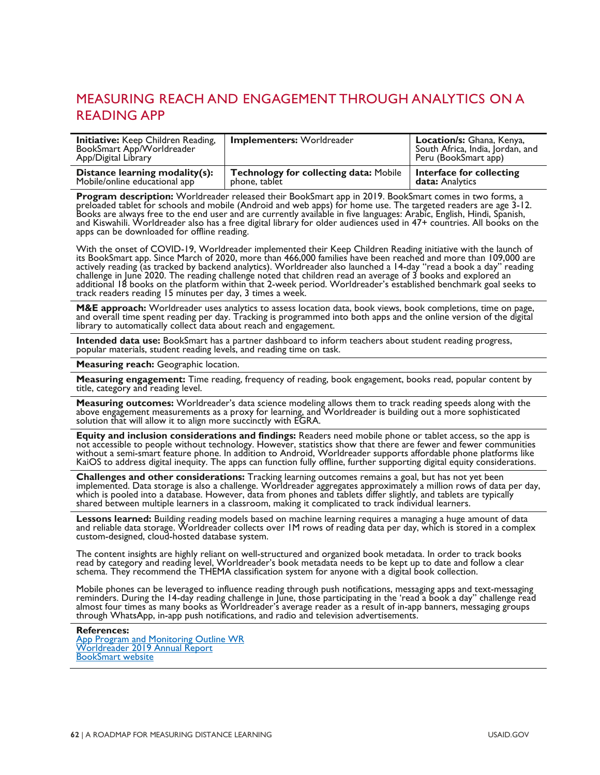## <span id="page-67-0"></span>MEASURING REACH AND ENGAGEMENT THROUGH ANALYTICS ON A READING APP

| <b>Initiative:</b> Keep Children Reading,<br>BookSmart App/Worldreader<br>App/Digital Library | <b>Implementers: Worldreader</b>              | Location/s: Ghana, Kenya,<br>South Africa, India, Jordan, and<br>Peru (BookSmart app) |
|-----------------------------------------------------------------------------------------------|-----------------------------------------------|---------------------------------------------------------------------------------------|
| Distance learning modality(s):                                                                | <b>Technology for collecting data: Mobile</b> | Interface for collecting                                                              |
| Mobile/online educational app                                                                 | phone, tablet                                 | data: Analytics                                                                       |

**Program description:** Worldreader released their BookSmart app in 2019. BookSmart comes in two forms, a<br>preloaded tablet for schools and mobile (Android and web apps) for home use. The targeted readers are age 3-12. Books are always free to the end user and are currently available in five languages: Arabic, English, Hindi, Spanish,<br>and Kiswahili. Worldreader also has a free digital library for older audiences used in 47+ countries. Al and Kiswahili. Worldreader also has a free digital library for older audiences used in 47+ countries. All books on the apps can be downloaded for offline reading.

With the onset of COVID-19, Worldreader implemented their Keep Children Reading initiative with the launch of<br>its BookSmart app. Since March of 2020, more than 466,000 families have been reached and more than 109,000 are<br>a

**M&E approach:** Worldreader uses analytics to assess location data, book views, book completions, time on page,<br>and overall time spent reading per day. Tracking is programmed into both apps and the online version of the di library to automatically collect data about reach and engagement.

**Intended data use:** BookSmart has a partner dashboard to inform teachers about student reading progress, popular materials, student reading levels, and reading time on task.

**Measuring reach:** Geographic location.

**Measuring engagement:** Time reading, frequency of reading, book engagement, books read, popular content by title, category and reading level.

**Measuring outcomes:** Worldreader's data science modeling allows them to track reading speeds along with the above engagement measurements as a proxy for learning, and Worldreader is building out a more sophisticated solution that will allow it to align more succinctly with EGRA.

**Equity and inclusion considerations and findings:** Readers need mobile phone or tablet access, so the app is<br>not accessible to people without technology. However, statistics show that there are fewer and fewer communities without a semi-smart feature phone. In addition to Android, Worldreader supports affordable phone platforms like<br>KaiOS to address digital inequity. The apps can function fully offline, further supporting digital equity con

**Challenges and other considerations:** Tracking learning outcomes remains a goal, but has not yet been<br>implemented. Data storage is also a challenge. Worldreader aggregates approximately a million rows of data per day,<br>whi

Lessons learned: Building reading models based on machine learning requires a managing a huge amount of data<br>and reliable data storage. Worldreader collects over IM rows of reading data per day, which is stored in a comple custom-designed, cloud-hosted database system.

The content insights are highly reliant on well-structured and organized book metadata. In order to track books<br>read by category and reading level, Worldreader's book metadata needs to be kept up to date and follow a clear

Mobile phones can be leveraged to influence reading through push notifications, messaging apps and text-messaging<br>reminders. During the 14-day reading challenge in June, those participating in the 'read a book a day'' chal

**References:**

<span id="page-67-1"></span>[App Program and Monitoring Outline WR](https://drive.google.com/file/d/1z-IFgG6K0Th-3PYPfk9FFdVhzH4B0X8c/view) [Worldreader 2019 Annual Report](https://www.worldreader.org/2019-annual-report/) [BookSmart website](https://www.worldreader.org/our-work/technology/booksmart/)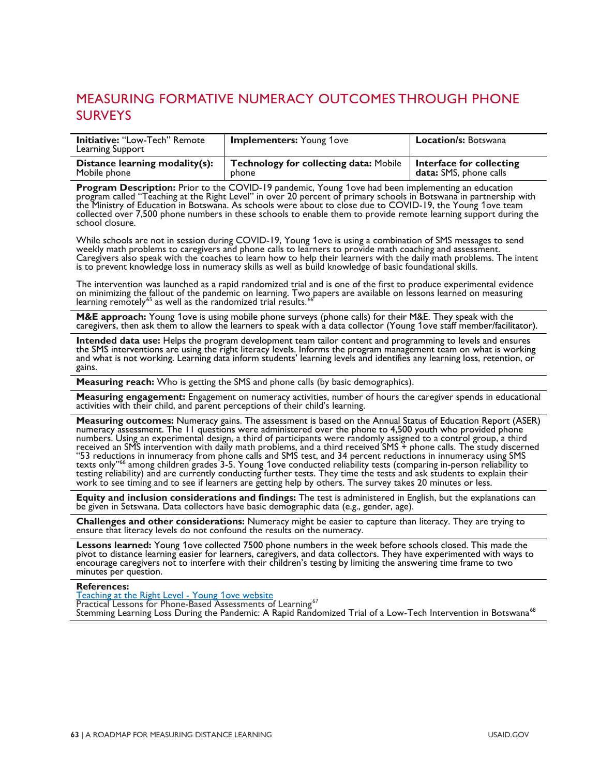## MEASURING FORMATIVE NUMERACY OUTCOMES THROUGH PHONE SURVEYS

| <b>Initiative: "Low-Tech" Remote</b><br>Learning Support | <b>Implementers:</b> Young 1ove               | <b>Location/s: Botswana</b> |
|----------------------------------------------------------|-----------------------------------------------|-----------------------------|
| Distance learning modality(s):                           | <b>Technology for collecting data: Mobile</b> | Interface for collecting    |
| Mobile phone                                             | <b>phone</b>                                  | data: SMS, phone calls      |

**Program Description:** Prior to the COVID-19 pandemic, Young 1ove had been implementing an education program called "Teaching at the Right Level" in over 20 percent of primary schools in Botswana in partnership with the Mi collected over 7,500 phone numbers in these schools to enable them to provide remote learning support during the<br>school closure.

While schools are not in session during COVID-19, Young 1ove is using a combination of SMS messages to send weekly math problems to caregivers and phone calls to learners to provide math coaching and assessment. Caregivers also speak with the coaches to learn how to help their learners with the daily math problems. The intent is to prevent knowledge loss in numeracy skills as well as build knowledge of basic foundational skills.

<span id="page-68-0"></span>The intervention was launched as a rapid randomized trial and is one of the first to produce experimental evidence<br>on minimizing the fallout of the pandemic on learning. Two papers are available on lessons learned on measu

M&E approach: Young 1ove is using mobile phone surveys (phone calls) for their M&E. They speak with the<br>caregivers, then ask them to allow the learners to speak with a data collector (Young 1ove staff member/facilitator).

**Intended data use:** Helps the program development team tailor content and programming to levels and ensures the SMS interventions are using the right literacy levels. Informs the program management team on what is working<br>and what is not working. Learning data inform students' learning levels and identifies any learning loss, re gains.

**Measuring reach:** Who is getting the SMS and phone calls (by basic demographics).

**Measuring engagement:** Engagement on numeracy activities, number of hours the caregiver spends in educational activities with their child, and parent perceptions of their child, and parent perceptions of their child's lea

**Measuring outcomes:** Numeracy gains. The assessment is based on the Annual Status of Education Report (ASER) numeracy assessment. The 11 questions were administered over the phone to 4,500 youth who provided phone numeracy assessment. The 11 questions were administered over the phone to 4,500 youth who provided phone<br>numbers. Using an experimental design, a third of participants were randomly assigned to a control group, a third received an SMS intervention with daily math problems, and a third received SMS + phone calls. The study discerned "53 reductions in innumeracy from phone calls and SMS test, and 34 percent reductions in innumeracy using SMS texts only"<sup>66</sup> among children grades 3-5. Young 1ove conducted rel[iabi](#page-68-0)lity tests (comparing in-person reliability to<br>testing reliability) and are currently conducting further tests. They time the tests and ask students to

**Equity and inclusion considerations and findings:** The test is administered in English, but the explanations can<br>be given in Setswana. Data collectors have basic demographic data (e.g., gender, age).

**Challenges and other considerations:** Numeracy might be easier to capture than literacy. They are trying to ensure that literacy levels do not confound the results on the numeracy.

**Lessons learned:** Young 1ove collected 7500 phone numbers in the week before schools closed. This made the pivot to distance learning easier for learners, caregivers, and data collectors. They have experimented with ways to encourage caregivers not to interfere with their children's testing by limiting the answering time frame to two minutes per question.

#### **References:**

[Teaching at the Right Level - Young](https://www.young1ove.org/tarl) 1ove website

Practical Lessons for Phone-Based Assessments of Learning<sup>[67](#page-84-8)</sup>

Stemming Learning Loss During the Pandemic: A Rapid Randomized Trial of a Low-Tech Intervention in Botswana<sup>[68](#page-84-9)</sup>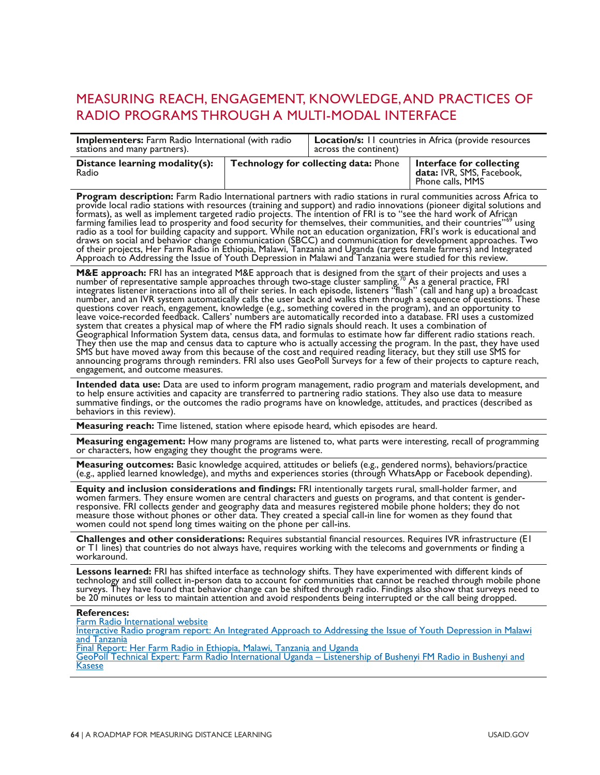## <span id="page-69-0"></span>MEASURING REACH, ENGAGEMENT, KNOWLEDGE, AND PRACTICES OF RADIO PROGRAMS THROUGH A MULTI-MODAL INTERFACE

| <b>Implementers:</b> Farm Radio International (with radio |  | <b>Location/s:</b> II countries in Africa (provide resources |                                                                           |
|-----------------------------------------------------------|--|--------------------------------------------------------------|---------------------------------------------------------------------------|
| stations and many partners).                              |  | across the continent)                                        |                                                                           |
| Distance learning modality(s):<br>Radio                   |  | <b>Technology for collecting data: Phone</b>                 | Interface for collecting<br>data: IVR, SMS, Facebook,<br>Phone calls, MMS |

**Program description:** Farm Radio International partners with radio stations in rural communities across Afri[ca](#page-84-10) to provide local radio stations with resources (training and support) and radio innovations (pioneer digital s of their projects, Her Farm Radio in Ethiopia, Malawi, Tanzania and Uganda (targets female farmers) and Integrated<br>Approach to Addressing the Issue of Youth Depression in Malawi and Tanzania were studied for this review.

**M&E approach:** FRI has an integrated M&E approach that is designed from the [sta](#page-84-11)rt of their projects and uses a<br>number of representative sample approaches through two-stage cluster sampling.<sup>70</sup> As a general practice, FRI integrates listener interactions into all of their series. In each episode, listeners "flash" (call and hang up) a broadcast number, and an IVR system automatically calls the user back and walks them through a`sequence of questions. These<br>questions cover reach, engagement, knowledge (e.g., something covered in the program), and an opportunity to Geographical Information System data, census data, and formulas to estimate how far different radio stations reach. They then use the map and census data to capture who is actually accessing the program. In the past, they have used<br>SMS but have moved away from this because of the cost and required reading literacy, but they still use SM announcing programs through reminders. FRI also uses GeoPoll Surveys for a few of their projects to capture reach,<br>engagement, and outcome measures.

Intended data use: Data are used to inform program management, radio program and materials development, and<br>to help ensure activities and capacity are transferred to partnering radio stations. They also use data to measure behaviors in this review).

**Measuring reach:** Time listened, station where episode heard, which episodes are heard.

**Measuring engagement:** How many programs are listened to, what parts were interesting, recall of programming or characters, how engaging they thought the programs were.

Measuring outcomes: Basic knowledge acquired, attitudes or beliefs (e.g., gendered norms), behaviors/practice<br>(e.g., applied learned knowledge), and myths and experiences stories (through WhatsApp or Facebook depending).

**Equity and inclusion considerations and findings:** FRI intentionally targets rural, small-holder farmer, and women farmers. They ensure women are central characters and guests on programs, and that content is gender-<br>responsive. FRI collects gender and geography data and measures registered mobile phone holders; they do not measure those without phones or other data. They created a special call-in line for women as they found that<br>women could not spend long times waiting on the phone per call-ins.

**Challenges and other considerations:** Requires substantial financial resources. Requires IVR infrastructure (EI or T1 lines) that countries do not always have, requires working with the telecoms and governments or finding

Lessons learned: FRI has shifted interface as technology shifts. They have experimented with different kinds of<br>technology and still collect in-person data to account for communities that cannot be reached through mobile p

**References:**<br>**Farm Radio International website** 

Interactive Radio program report: An Integrated Approach to Addressing the Issue of Youth Depression in Malawi<br>and Tanzania<br>Final Report: Her Farm Radio in Ethiopia, Malawi, Tanzania and Uganda

GeoPoll Technical Expert: Farm Radio International Uganda – Listenership of Bushenyi FM Radio in Bushenyi and<br>Kasese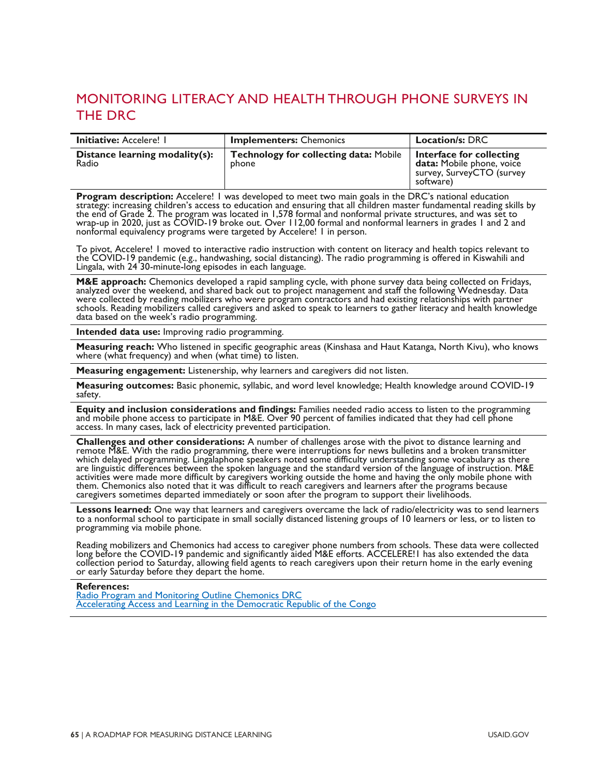## <span id="page-70-0"></span>MONITORING LITERACY AND HEALTH THROUGH PHONE SURVEYS IN THE DRC

| <b>Initiative: Accelere!  </b>          | <b>Implementers: Chemonics</b>                         | <b>Location/s: DRC</b>                                                                          |
|-----------------------------------------|--------------------------------------------------------|-------------------------------------------------------------------------------------------------|
| Distance learning modality(s):<br>Radio | <b>Technology for collecting data: Mobile</b><br>phone | Interface for collecting<br>data: Mobile phone, voice<br>survey, SurveyCTO (survey<br>software) |

**Program description:** Accelere! I was developed to meet two main goals in the DRC's national education<br>strategy: increasing children's access to education and ensuring that all children master fundamental reading skills b the end of Grade 2. The program was located in 1,578 formal and nonformal private structures, and was set to wrap-up in 2020, just as COVID-19 broke out. Over 112,00 formal and nonformal learners in grades 1 and 2 and<br>nonformal equivalency programs were targeted by Accelere! 1 in person.

To pivot, Accelere! I moved to interactive radio instruction with content on literacy and health topics relevant to<br>the COVID-19 pandemic (e.g., handwashing, social distancing). The radio programming is offered in Kiswahil

**M&E approach:** Chemonics developed a rapid sampling cycle, with phone survey data being collected on Fridays, analyzed over the weekend, and shared back out to project management and staff the following Wednesday. Data were collected by reading mobilizers who were program contractors and had existing relationships with partner<br>schools. Reading mobilizers called caregivers and asked to speak to learners to gather literacy and health knowl data based on the week's radio programming.

**Intended data use:** Improving radio programming.

**Measuring reach:** Who listened in specific geographic areas (Kinshasa and Haut Katanga, North Kivu), who knows<br>where (what frequency) and when (what time) to listen.

**Measuring engagement:** Listenership, why learners and caregivers did not listen.

**Measuring outcomes:** Basic phonemic, syllabic, and word level knowledge; Health knowledge around COVID-19 safety.

Equity and inclusion considerations and findings: Families needed radio access to listen to the programming<br>and mobile phone access to participate in M&E. Over 90 percent of families indicated that they had cell phone<br>acce

**Challenges and other considerations:** A number of challenges arose with the pivot to distance learning and<br>remote M&E. With the radio programming, there were interruptions for news bulletins and a broken transmitter<br>which are linguistic differences between the spoken language and the standard version of the language of instruction. M&E<br>activities were made more difficult by caregivers working outside the home and having the only mobile phon activities were made more difficult by caregivers working outside the home and having the only mobile phone with<br>them. Chemonics also noted that it was difficult to reach caregivers and learners after the programs because caregivers sometimes departed immediately or soon after the program to support their livelihoods.

**Lessons learned:** One way that learners and caregivers overcame the lack of radio/electricity was to send learners to a nonformal school to participate in small socially distanced listening groups of 10 learners or less, or to listen to programming via mobile phone.

Reading mobilizers and Chemonics had access to caregiver phone numbers from schools. These data were collected long before the COVID-19 pandemic and significantly aided M&E efforts. ACCELERE! I has also extended the data collection period to Saturday, allowing field agents to reach caregivers upon their return home in the early eve

**References:**<br>Radio Program and Monitoring Outline Chemonics DRC [Accelerating Access and Learning in the Democratic Republic of the Congo](https://chemonics.com/projects/accelerating-access-learning-democratic-republic-congo/)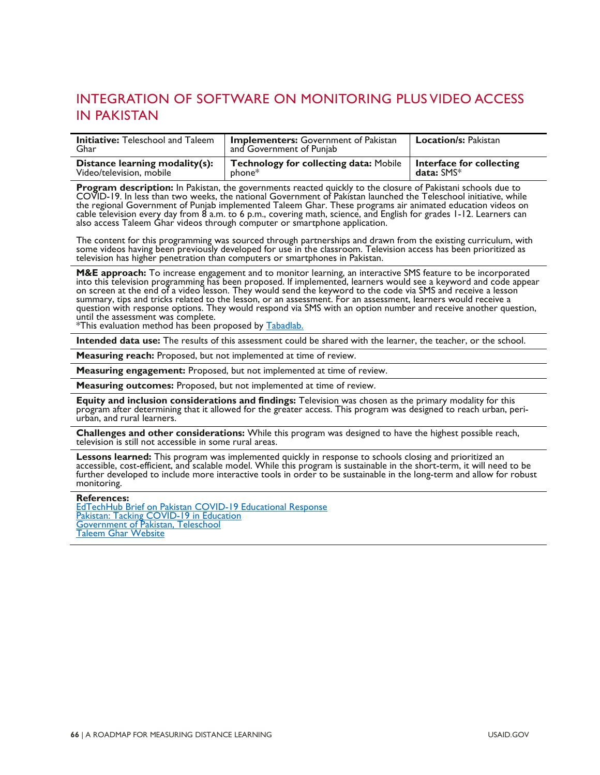## <span id="page-71-0"></span>INTEGRATION OF SOFTWARE ON MONITORING PLUS VIDEO ACCESS IN PAKISTAN

| <b>Initiative:</b> Teleschool and Taleem<br>Ghar | <b>Implementers:</b> Government of Pakistan<br>and Government of Punjab | <b>Location/s: Pakistan</b> |
|--------------------------------------------------|-------------------------------------------------------------------------|-----------------------------|
| Distance learning modality(s):                   | <b>Technology for collecting data: Mobile</b>                           | Interface for collecting    |
| Video/television, mobile                         | $phone^*$                                                               | data: $SMS*$                |

**Program description:** In Pakistan, the governments reacted quickly to the closure of Pakistani schools due to<br>COVID-19. In less than two weeks, the national Government of Pakistan launched the Teleschool initiative, while the regional Government of Punjab implemented Taleem Ghar. These programs air animated education videos on cable television every day from 8 a.m. to 6 p.m., covering math, science, and English for grades 1-12. Learners can also access Taleem Ghar videos through computer or smartphone application.

The content for this programming was sourced through partnerships and drawn from the existing curriculum, with some videos having been previously developed for use in the classroom. Television access has been prioritized as television has higher penetration than computers or smartphones in Pakistan.

M&E approach: To increase engagement and to monitor learning, an interactive SMS feature to be incorporated<br>into this television programming has been proposed. If implemented, learners would see a keyword and code appear on screen at the end of a video lesson. They would send the keyword to the code via SMS and receive a lesson summary, tips and tricks related to the lesson, or an assessment. For an assessment, learners would receive a question with response options. They would respond via SMS with an option number and receive another question, until the assessment was complete.

\*This evaluation method has been proposed by [Tabadlab.](https://www.tabadlab.com/wp-content/uploads/2020/04/Tabadlab-Covid-19-Response-Briefing-01-Education-April-17-2020.pdf)

**Intended data use:** The results of this assessment could be shared with the learner, the teacher, or the school.

**Measuring reach:** Proposed, but not implemented at time of review.

**Measuring engagement:** Proposed, but not implemented at time of review.

**Measuring outcomes:** Proposed, but not implemented at time of review.

Equity and inclusion considerations and findings: Television was chosen as the primary modality for this<br>program after determining that it allowed for the greater access. This program was designed to reach urban, peri-<br>urb

**Challenges and other considerations:** While this program was designed to have the highest possible reach, television is still not accessible in some rural areas.

Lessons learned: This program was implemented quickly in response to schools closing and prioritized an<br>accessible, cost-efficient, and scalable model. While this program is sustainable in the short-term, it will need to b further developed to include more interactive tools in order to be sustainable in the long-term and allow for robust monitoring.

#### **References:**

[EdTechHub Brief on Pakistan COVID-19 Educational Response](https://docs.edtechhub.org/lib/9TKV7H6E/download/DM9EEMBH/HDR017%20Pakistan%20Topic%20Brief_%20Providing%20Distance%20Learning%20to%20Hard-to-reach%20Children%20in%20Urban%20Slums%20and%20Remote%20Areas%20%28DOI_%2010.5281_zenodo.3885606%29.pdf) [Pakistan: Tacking COVID-19 in Education](https://www.tabadlab.com/wp-content/uploads/2020/04/Tabadlab-Covid-19-Response-Briefing-01-Education-April-17-2020.pdf) [Government of Pakistan, Teleschool](http://mofept.gov.pk/Detail/ZjcxNzllM2QtMmIwNC00ZjhiLWE5NTgtNmM5MzM1MjM0OWQw) **[Taleem Ghar Website](https://taleemghar.punjab.gov.pk/#tg-b03)**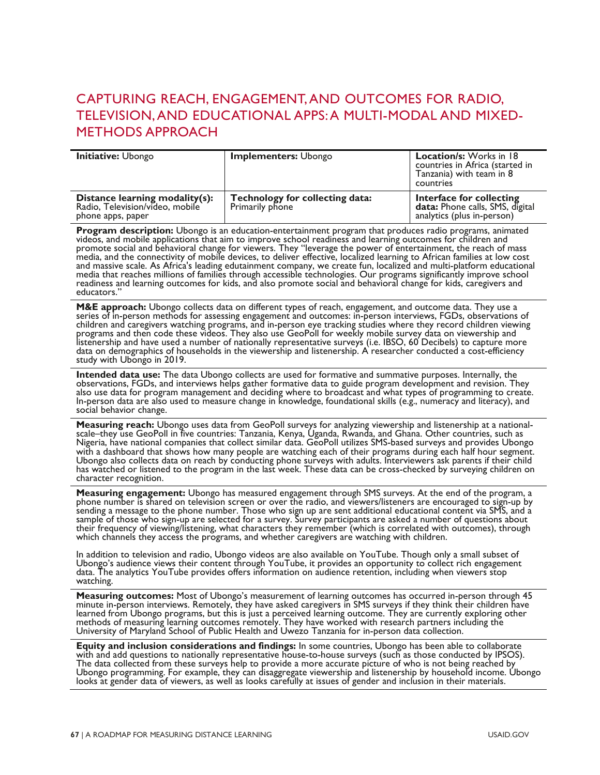### CAPTURING REACH, ENGAGEMENT, AND OUTCOMES FOR RADIO, TELEVISION, AND EDUCATIONAL APPS: A MULTI-MODAL AND MIXED-METHODS APPROACH

| Initiative: Ubongo                                                                     | <b>Implementers: Ubongo</b>                        | <b>Location/s:</b> Works in 18<br>countries in Africa (started in<br>Tanzania) with team in 8<br>countries |
|----------------------------------------------------------------------------------------|----------------------------------------------------|------------------------------------------------------------------------------------------------------------|
| Distance learning modality(s):<br>Radio, Television/video, mobile<br>phone apps, paper | Technology for collecting data:<br>Primarily phone | Interface for collecting<br><b>data:</b> Phone calls, SMS, digital<br>analytics (plus in-person)           |

**Program description:** Ubongo is an education-entertainment program that produces radio programs, animated<br>videos, and mobile applications that aim to improve school readiness and learning outcomes for children and promote social and behavioral change for viewers. They "leverage the power of entertainment, the reach of mass media, and the connectivity of mobile devices, to deliver effective, localized learning to African families at low cost and massive scale. As Afrića's leading edutainment company, we create fun, localized and multi-platform educational<br>media that reaches millions of families through accessible technologies. Our programs significantly improv readiness and learning outcomes for kids, and also promote social and behavioral change for kids, caregivers and educators.'

**M&E approach:** Ubongo collects data on different types of reach, engagement, and outcome data. They use a<br>series of in-person methods for assessing engagement and outcomes: in-person interviews, FGDs, observations of children and caregivers watching programs, and in-person eye tracking studies where they record children viewing<br>programs and then code these videos. They also use GeoPoll for weekly mobile survey data on viewership and listenership and have used a number of nationally representative surveys (i.e. IBSO, 60 Decibels) to capture more<br>data on demographics of households in the viewership and listenership. A researcher conducted a cost-efficie

**Intended data use:** The data Ubongo collects are used for formative and summative purposes. Internally, the observations, FGDs, and interviews helps gather formative data to guide program development and revision. They also use data for program management and deciding where to broadcast and what types of programming to create.<br>In-person data are also used to measure change in knowledge, foundational skills (e.g., numeracy and literacy), social behavior change.

Measuring reach: Ubongo uses data from GeoPoll surveys for analyzing viewership and listenership at a national-<br>scale–they use GeoPoll in five countries: Tanzania, Kenya, Uganda, Rwanda, and Ghana. Other countries, such as Ubongo also collects data on reach by conducting phone surveys with adults. Interviewers ask parents if their child has watched or listened to the program in the last week. These data can be cross-checked by surveying children on<br>character recognition.

**Measuring engagement:** Ubongo has measured engagement through SMS surveys. At the end of the program, a<br>phone number is shared on television screen or over the radio, and viewers/listeners are encouraged to sign-up by<br>sen their frequency of viewing/listening, what characters they remember (which is correlated with outcomes), through which channels they access the programs, and whether caregivers are watching with children.

In addition to television and radio, Ubongo videos are also available on YouTube. Though only a small subset of Ubongo's audience views their content through YouTube, it provides an opportunity to collect rich engagement data. The analytics YouTube provides offers information on audience retention, including when viewers stop<br>watching.

**Measuring outcomes:** Most of Ubongo's measurement of learning outcomes has occurred in-person through 45 minute in-person interviews. Remotely, they have asked caregivers in SMS surveys if they think their children have<br>Iearned from Ubongo programs, but this is just a perceived learning outcome. They are currently exploring o methods of measuring learning outcomes remotely. They have worked with research partners including the University of Maryland School of Public Health and Uwezo Tanzania for in-person data collection.

**Equity and inclusion considerations and findings:** In some countries, Ubongo has been able to collaborate with and add questions to nationally representative house-to-house surveys (such as those conducted by IPSOS). The Ubongo programming. For example, they can disaggregate viewership and listenership by household income. Ubongo looks at gender data of viewers, as well as looks carefully at issues of gender and inclusion in their materials.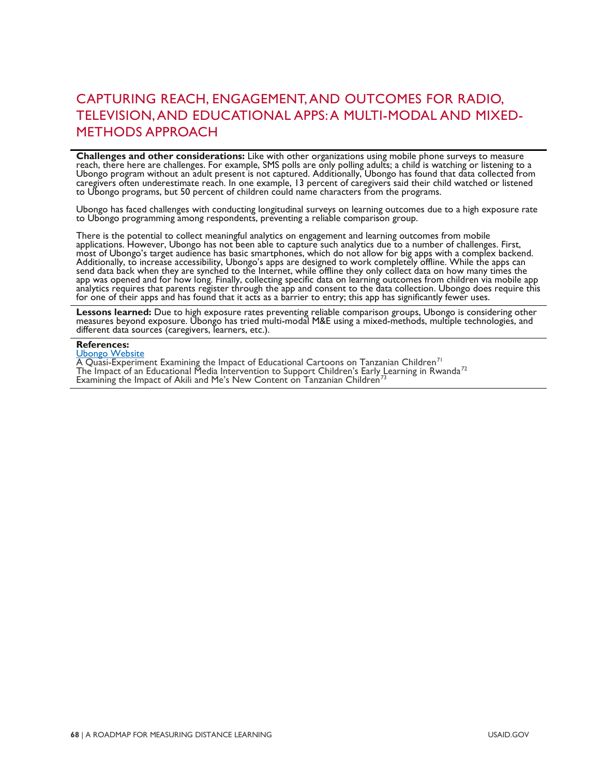#### CAPTURING REACH, ENGAGEMENT, AND OUTCOMES FOR RADIO, TELEVISION, AND EDUCATIONAL APPS: A MULTI-MODAL AND MIXED-METHODS APPROACH

**Challenges and other considerations:** Like with other organizations using mobile phone surveys to measure<br>reach, there here are challenges. For example, SMS polls are only polling adults; a child is watching or listening caregivers often underestimate reach. In one example, 13 percent of caregivers said their child watched or listened<br>to Ubongo programs, but 50 percent of children could name characters from the programs.

Ubongo has faced challenges with conducting longitudinal surveys on learning outcomes due to a high exposure rate<br>to Ubongo programming among respondents, preventing a reliable comparison group.

There is the potential to collect meaningful analytics on engagement and learning outcomes from mobile applications. However, Ubongo has not been able to capture such analytics due to a number of challenges. First, most of Ubongo's target audience has basic smartphones, which do not allow for big apps with a complex backend. Additionally, to increase accessibility, Ubongo's apps are designed to work completely offline. While the apps can send data back when they are synched to the Internet, while offline they only collect data on how many times the<br>app was opened and for how long. Finally, collecting specific data on learning outcomes from children via mob analytics requires that parents register through the app and consent to the data collection. Ubongo does require this for one of their apps and has found that it acts as a barrier to entry; this app has significantly fewer uses.

Lessons learned: Due to high exposure rates preventing reliable comparison groups, Ubongo is considering other<br>measures beyond exposure. Ubongo has tried multi-modal M&E using a mixed-methods, multiple technologies, and<br>di

#### **References:**

[Ubongo Website](https://www.ubongo.org/)

A Quasi-Experiment Examining the Impact of Educational Cartoons on Tanzanian Children<sup>[71](#page-84-0)</sup> The Impact of an Educational Media Intervention to Support Children's Early Learning in Rwanda $^{72}$  $^{72}$  $^{72}$ Examining the Impact of Akili and Me's New Content on Tanzanian Children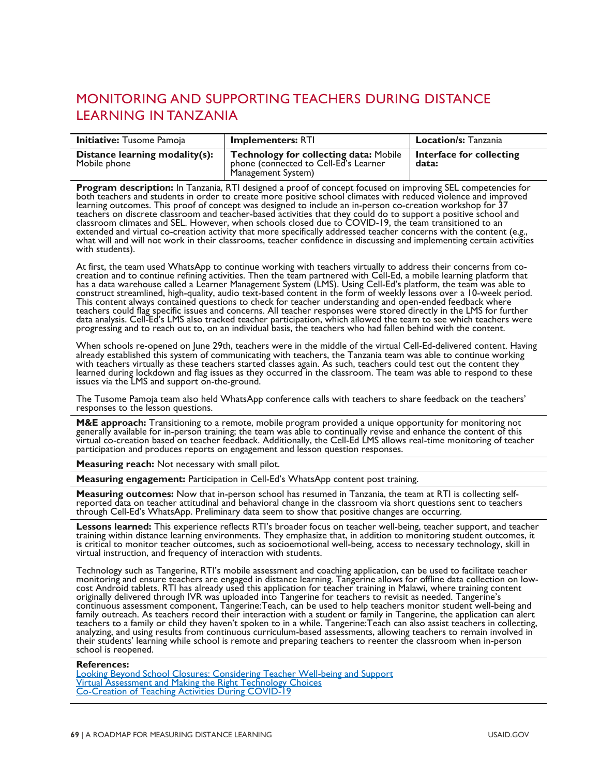## MONITORING AND SUPPORTING TEACHERS DURING DISTANCE LEARNING IN TANZANIA

| <b>Initiative:</b> Tusome Pamoja               | <b>Implementers: RTI</b>                                                                                     | <b>Location/s:</b> Tanzania       |
|------------------------------------------------|--------------------------------------------------------------------------------------------------------------|-----------------------------------|
| Distance learning modality(s):<br>Mobile phone | <b>Technology for collecting data: Mobile</b><br>phone (connected to Cell-Ed's Learner<br>Management System) | Interface for collecting<br>data: |

**Program description:** In Tanzania, RTI designed a proof of concept focused on improving SEL competencies for both teachers and students in order to create more positive school climates with reduced violence and improved l teachers on discrete classroom and teacher-based activities that they could do to support a positive school and classroom climates and SEL. However, when schools closed due to COVID-19, the team transitioned to an extended and virtual co-creation activity that more specifically addressed teacher concerns with the content (e.g., what will and will not work in their classrooms, teacher confidence in discussing and implementing certain with students).

At first, the team used WhatsApp to continue working with teachers virtually to address their concerns from co-<br>creation and to continue refining activities. Then the team partnered with Cell-Ed, a mobile learning platform teachers could flag specific issues and concerns. All teacher responses were stored directly in the LMS for further data analysis. Cell-Ed's LMS also tracked teacher participation, which allowed the team to see which teachers were progressing and to reach out to, on an individual basis, the teachers who had fallen behind with the content.

When schools re-opened on June 29th, teachers were in the middle of the virtual Cell-Ed-delivered content. Having already established this system of communicating with teachers, the Tanzania team was able to continue worki learned during lockdown and flag issues as they occurred in the classroom. The team was able to respond to these issues via the LMS and support on-the-ground.

The Tusome Pamoja team also held WhatsApp conference calls with teachers to share feedback on the teachers' responses to the lesson questions.

**M&E approach:** Transitioning to a remote, mobile program provided a unique opportunity for monitoring not<br>generally available for in-person training; the team was able to continually revise and enhance the content of this virtual co-creation based on teacher feedback. Additionally, the Cell-Ed LMS allows real-time monitoring of teacher<br>participation and produces reports on engagement and lesson question responses.

**Measuring reach:** Not necessary with small pilot.

**Measuring engagement:** Participation in Cell-Ed's WhatsApp content post training.

**Measuring outcomes:** Now that in-person school has resumed in Tanzania, the team at RTI is collecting self-<br>reported data on teacher attitudinal and behavioral change in the classroom via short questions sent to teachers<br>

Lessons learned: This experience reflects RTI's broader focus on teacher well-being, teacher support, and teacher<br>training within distance learning environments. They emphasize that, in addition to monitoring student outco virtual instruction, and frequency of interaction with students.

Technology such as Tangerine, RTI's mobile assessment and coaching application, can be used to facilitate teacher cost Android tablets. RTI has already used this application for teacher training in Malawi, where training content<br>originally delivered through IVR was uploaded into Tangerine for teachers to revisit as needed. Tangerine's family outreach. As teachers record their interaction with a student or family in Tangerine, the application can alert teachers to a family or child they haven't spoken to in a while. Tangerine:Teach can also assist teachers in collecting,<br>analyzing, and using results from continuous curriculum-based assessments, allowing teachers to remai

#### **References:**

[Looking Beyond School Closures: Considering Teacher Well-being and Support](https://shared.rti.org/content/looking-beyond-school-closures-considering-teacher-well-being-and-support) [Virtual Assessment and Making the Right Technology Choices](https://shared.rti.org/content/virtual-assessment-and-making-right-technology-choices-presentation) [Co-Creation of Teaching Activities During COVID-19](https://shared.rti.org/content/co-creation-teaching-activities-during-covid-19)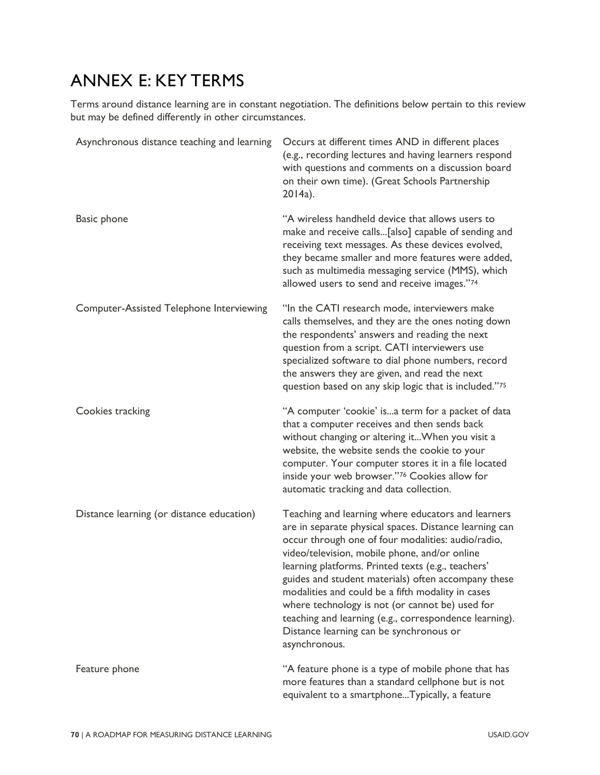## ANNEX E: KEY TERMS

Terms around distance learning are in constant negotiation. The definitions below pertain to this review but may be defined differently in other circumstances.

| Asynchronous distance teaching and learning | Occurs at different times AND in different places<br>(e.g., recording lectures and having learners respond<br>with questions and comments on a discussion board<br>on their own time). (Great Schools Partnership<br>2014a).                                                                                                                                                                                                                                                                                                                                   |
|---------------------------------------------|----------------------------------------------------------------------------------------------------------------------------------------------------------------------------------------------------------------------------------------------------------------------------------------------------------------------------------------------------------------------------------------------------------------------------------------------------------------------------------------------------------------------------------------------------------------|
| <b>Basic phone</b>                          | "A wireless handheld device that allows users to<br>make and receive calls[also] capable of sending and<br>receiving text messages. As these devices evolved,<br>they became smaller and more features were added,<br>such as multimedia messaging service (MMS), which<br>allowed users to send and receive images."74                                                                                                                                                                                                                                        |
| Computer-Assisted Telephone Interviewing    | "In the CATI research mode, interviewers make<br>calls themselves, and they are the ones noting down<br>the respondents' answers and reading the next<br>question from a script. CATI interviewers use<br>specialized software to dial phone numbers, record<br>the answers they are given, and read the next<br>question based on any skip logic that is included."75                                                                                                                                                                                         |
| Cookies tracking                            | "A computer 'cookie' isa term for a packet of data<br>that a computer receives and then sends back<br>without changing or altering it When you visit a<br>website, the website sends the cookie to your<br>computer. Your computer stores it in a file located<br>inside your web browser."76 Cookies allow for<br>automatic tracking and data collection.                                                                                                                                                                                                     |
| Distance learning (or distance education)   | Teaching and learning where educators and learners<br>are in separate physical spaces. Distance learning can<br>occur through one of four modalities: audio/radio,<br>video/television, mobile phone, and/or online<br>learning platforms. Printed texts (e.g., teachers'<br>guides and student materials) often accompany these<br>modalities and could be a fifth modality in cases<br>where technology is not (or cannot be) used for<br>teaching and learning (e.g., correspondence learning).<br>Distance learning can be synchronous or<br>asynchronous. |
| Feature phone                               | "A feature phone is a type of mobile phone that has<br>more features than a standard cellphone but is not<br>equivalent to a smartphoneTypically, a feature                                                                                                                                                                                                                                                                                                                                                                                                    |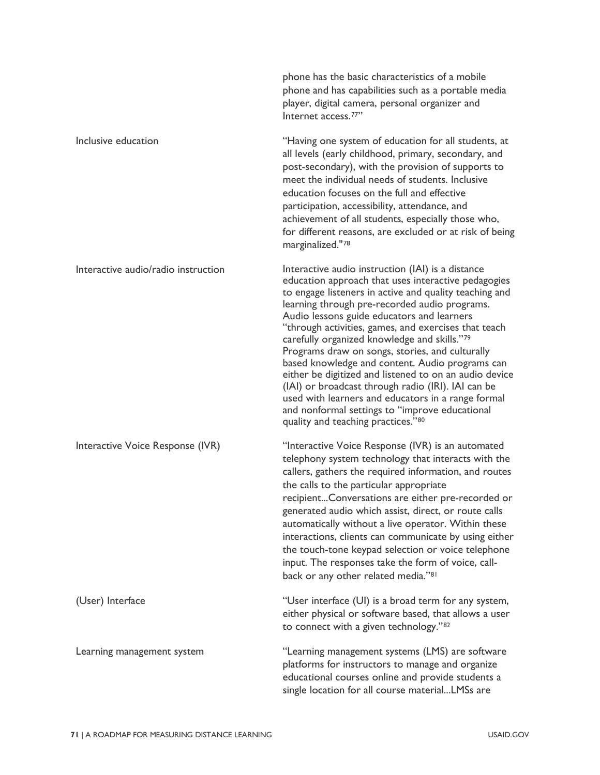|                                     | phone has the basic characteristics of a mobile<br>phone and has capabilities such as a portable media<br>player, digital camera, personal organizer and<br>Internet access. <sup>77"</sup>                                                                                                                                                                                                                                                                                                                                                                                                                                                                                                                                                   |
|-------------------------------------|-----------------------------------------------------------------------------------------------------------------------------------------------------------------------------------------------------------------------------------------------------------------------------------------------------------------------------------------------------------------------------------------------------------------------------------------------------------------------------------------------------------------------------------------------------------------------------------------------------------------------------------------------------------------------------------------------------------------------------------------------|
| Inclusive education                 | "Having one system of education for all students, at<br>all levels (early childhood, primary, secondary, and<br>post-secondary), with the provision of supports to<br>meet the individual needs of students. Inclusive<br>education focuses on the full and effective<br>participation, accessibility, attendance, and<br>achievement of all students, especially those who,<br>for different reasons, are excluded or at risk of being<br>marginalized."78                                                                                                                                                                                                                                                                                   |
| Interactive audio/radio instruction | Interactive audio instruction (IAI) is a distance<br>education approach that uses interactive pedagogies<br>to engage listeners in active and quality teaching and<br>learning through pre-recorded audio programs.<br>Audio lessons guide educators and learners<br>"through activities, games, and exercises that teach<br>carefully organized knowledge and skills."79<br>Programs draw on songs, stories, and culturally<br>based knowledge and content. Audio programs can<br>either be digitized and listened to on an audio device<br>(IAI) or broadcast through radio (IRI). IAI can be<br>used with learners and educators in a range formal<br>and nonformal settings to "improve educational<br>quality and teaching practices."80 |
| Interactive Voice Response (IVR)    | "Interactive Voice Response (IVR) is an automated<br>telephony system technology that interacts with the<br>callers, gathers the required information, and routes<br>the calls to the particular appropriate<br>recipientConversations are either pre-recorded or<br>generated audio which assist, direct, or route calls<br>automatically without a live operator. Within these<br>interactions, clients can communicate by using either<br>the touch-tone keypad selection or voice telephone<br>input. The responses take the form of voice, call-<br>back or any other related media." <sup>81</sup>                                                                                                                                      |
| (User) Interface                    | "User interface (UI) is a broad term for any system,<br>either physical or software based, that allows a user<br>to connect with a given technology."82                                                                                                                                                                                                                                                                                                                                                                                                                                                                                                                                                                                       |
| Learning management system          | "Learning management systems (LMS) are software<br>platforms for instructors to manage and organize<br>educational courses online and provide students a<br>single location for all course materialLMSs are                                                                                                                                                                                                                                                                                                                                                                                                                                                                                                                                   |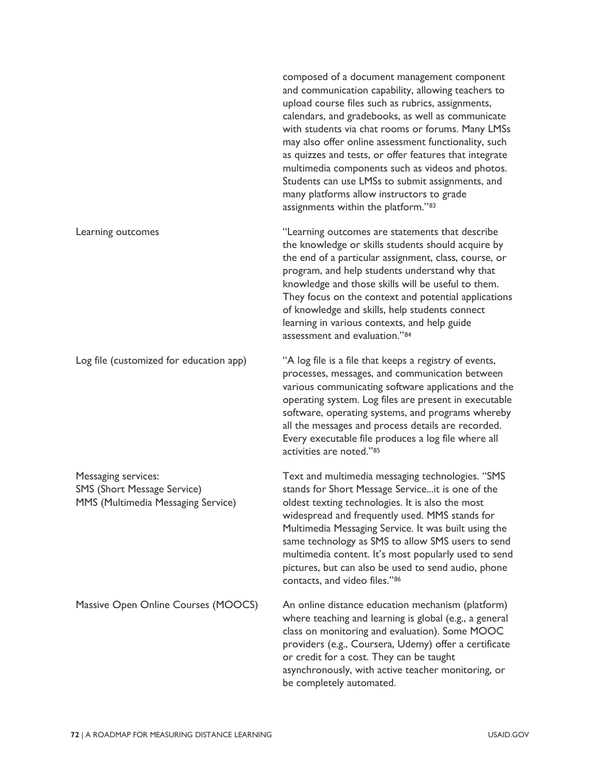|                                                                                                 | composed of a document management component<br>and communication capability, allowing teachers to<br>upload course files such as rubrics, assignments,<br>calendars, and gradebooks, as well as communicate<br>with students via chat rooms or forums. Many LMSs<br>may also offer online assessment functionality, such<br>as quizzes and tests, or offer features that integrate<br>multimedia components such as videos and photos.<br>Students can use LMSs to submit assignments, and<br>many platforms allow instructors to grade<br>assignments within the platform."83 |
|-------------------------------------------------------------------------------------------------|--------------------------------------------------------------------------------------------------------------------------------------------------------------------------------------------------------------------------------------------------------------------------------------------------------------------------------------------------------------------------------------------------------------------------------------------------------------------------------------------------------------------------------------------------------------------------------|
| Learning outcomes                                                                               | "Learning outcomes are statements that describe<br>the knowledge or skills students should acquire by<br>the end of a particular assignment, class, course, or<br>program, and help students understand why that<br>knowledge and those skills will be useful to them.<br>They focus on the context and potential applications<br>of knowledge and skills, help students connect<br>learning in various contexts, and help guide<br>assessment and evaluation."84                                                                                                              |
| Log file (customized for education app)                                                         | "A log file is a file that keeps a registry of events,<br>processes, messages, and communication between<br>various communicating software applications and the<br>operating system. Log files are present in executable<br>software, operating systems, and programs whereby<br>all the messages and process details are recorded.<br>Every executable file produces a log file where all<br>activities are noted."85                                                                                                                                                         |
| Messaging services:<br><b>SMS (Short Message Service)</b><br>MMS (Multimedia Messaging Service) | Text and multimedia messaging technologies. "SMS<br>stands for Short Message Serviceit is one of the<br>oldest texting technologies. It is also the most<br>widespread and frequently used. MMS stands for<br>Multimedia Messaging Service. It was built using the<br>same technology as SMS to allow SMS users to send<br>multimedia content. It's most popularly used to send<br>pictures, but can also be used to send audio, phone<br>contacts, and video files."86                                                                                                        |
| Massive Open Online Courses (MOOCS)                                                             | An online distance education mechanism (platform)<br>where teaching and learning is global (e.g., a general<br>class on monitoring and evaluation). Some MOOC<br>providers (e.g., Coursera, Udemy) offer a certificate<br>or credit for a cost. They can be taught<br>asynchronously, with active teacher monitoring, or<br>be completely automated.                                                                                                                                                                                                                           |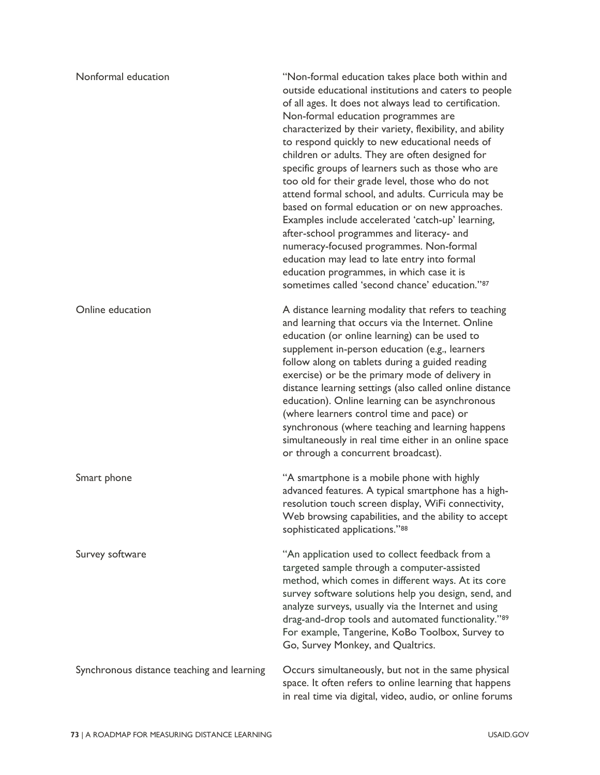| Nonformal education                        | "Non-formal education takes place both within and<br>outside educational institutions and caters to people<br>of all ages. It does not always lead to certification.<br>Non-formal education programmes are<br>characterized by their variety, flexibility, and ability<br>to respond quickly to new educational needs of<br>children or adults. They are often designed for<br>specific groups of learners such as those who are<br>too old for their grade level, those who do not<br>attend formal school, and adults. Curricula may be<br>based on formal education or on new approaches.<br>Examples include accelerated 'catch-up' learning,<br>after-school programmes and literacy- and<br>numeracy-focused programmes. Non-formal<br>education may lead to late entry into formal<br>education programmes, in which case it is<br>sometimes called 'second chance' education."87 |
|--------------------------------------------|-------------------------------------------------------------------------------------------------------------------------------------------------------------------------------------------------------------------------------------------------------------------------------------------------------------------------------------------------------------------------------------------------------------------------------------------------------------------------------------------------------------------------------------------------------------------------------------------------------------------------------------------------------------------------------------------------------------------------------------------------------------------------------------------------------------------------------------------------------------------------------------------|
| Online education                           | A distance learning modality that refers to teaching<br>and learning that occurs via the Internet. Online<br>education (or online learning) can be used to<br>supplement in-person education (e.g., learners<br>follow along on tablets during a guided reading<br>exercise) or be the primary mode of delivery in<br>distance learning settings (also called online distance<br>education). Online learning can be asynchronous<br>(where learners control time and pace) or<br>synchronous (where teaching and learning happens<br>simultaneously in real time either in an online space<br>or through a concurrent broadcast).                                                                                                                                                                                                                                                         |
| Smart phone                                | "A smartphone is a mobile phone with highly<br>advanced features. A typical smartphone has a high-<br>resolution touch screen display, WiFi connectivity,<br>Web browsing capabilities, and the ability to accept<br>sophisticated applications."88                                                                                                                                                                                                                                                                                                                                                                                                                                                                                                                                                                                                                                       |
| Survey software                            | "An application used to collect feedback from a<br>targeted sample through a computer-assisted<br>method, which comes in different ways. At its core<br>survey software solutions help you design, send, and<br>analyze surveys, usually via the Internet and using<br>drag-and-drop tools and automated functionality."89<br>For example, Tangerine, KoBo Toolbox, Survey to<br>Go, Survey Monkey, and Qualtrics.                                                                                                                                                                                                                                                                                                                                                                                                                                                                        |
| Synchronous distance teaching and learning | Occurs simultaneously, but not in the same physical<br>space. It often refers to online learning that happens<br>in real time via digital, video, audio, or online forums                                                                                                                                                                                                                                                                                                                                                                                                                                                                                                                                                                                                                                                                                                                 |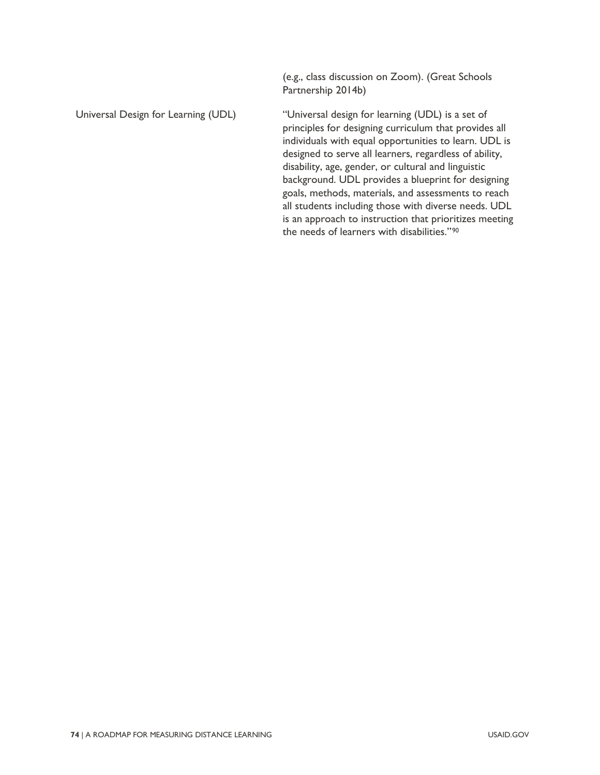Partnership 2014b) Universal Design for Learning (UDL) "Universal design for learning (UDL) is a set of principles for designing curriculum that provides all individuals with equal opportunities to learn. UDL is designed to serve all learners, regardless of ability, disability, age, gender, or cultural and linguistic background. UDL provides a blueprint for designing goals, methods, materials, and assessments to reach all students including those with diverse needs. UDL is an approach to instruction that prioritizes meeting the needs of learners with disabilities."[90](#page-84-19)

(e.g., class discussion on Zoom). (Great Schools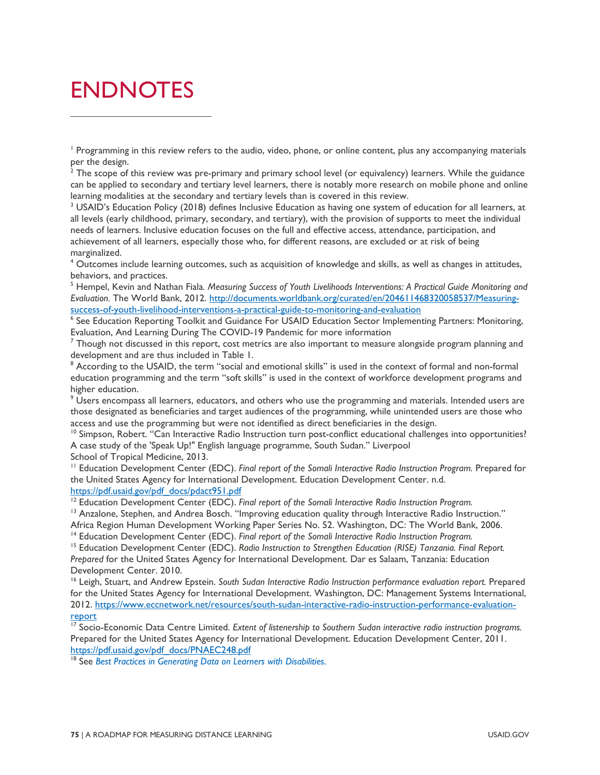# ENDNOTES

 $^2$  The scope of this review was pre-primary and primary school level (or equivalency) learners. While the guidance can be applied to secondary and tertiary level learners, there is notably more research on mobile phone and online learning modalities at the secondary and tertiary levels than is covered in this review.

<sup>3</sup> USAID's Education Policy (2018) defines Inclusive Education as having one system of education for all learners, at all levels (early childhood, primary, secondary, and tertiary), with the provision of supports to meet the individual needs of learners. Inclusive education focuses on the full and effective access, attendance, participation, and achievement of all learners, especially those who, for different reasons, are excluded or at risk of being marginalized.

<sup>4</sup> Outcomes include learning outcomes, such as acquisition of knowledge and skills, as well as changes in attitudes, behaviors, and practices.

<sup>5</sup> Hempel, Kevin and Nathan Fiala*. Measuring Success of Youth Livelihoods Interventions: A Practical Guide Monitoring and*  Evaluation. The World Bank, 2012. http://documents.worldbank.org/curated/en/204611468320058537/Measuring-<br>success-of-youth-livelihood-interventions-a-practical-guide-to-monitoring-and-evaluation

<sup>6</sup> See [Education Reporting Toolkit](https://www.edu-links.org/indicators) and Guidance For USAID Education Sector Implementing Partners: Monitoring, [Evaluation, And Learning During The COVID-19 Pandemic](https://www.edu-links.org/resources/guidance-usaid-education-sector-implementing-partners-monitoring-evaluation-and-learning) for more information

 $<sup>7</sup>$  Though not discussed in this report, cost metrics are also important to measure alongside program planning and</sup> development and are thus included in Table 1.

<sup>8</sup> According to the USAID, the term "social and emotional skills" is used in the context of formal and non-formal education programming and the term "soft skills" is used in the context of workforce development programs and higher education.

<sup>9</sup> Users encompass all learners, educators, and others who use the programming and materials. Intended users are those designated as beneficiaries and target audiences of the programming, while unintended users are those who access and use the programming but were not identified as direct beneficiaries in the design.

 $10$  Simpson, Robert. "Can Interactive Radio Instruction turn post-conflict educational challenges into opportunities? A case study of the 'Speak Up!" English language programme, South Sudan." Liverpool

School of Tropical Medicine, 2013.

<sup>11</sup> Education Development Center (EDC). Final report of the Somali Interactive Radio Instruction Program. Prepared for the United States Agency for International Development. Education Development Center. n.d.

https://pdf.usaid.gov/pdf\_docs/pdact951.pdf<br><sup>12</sup> Education Development Center (EDC). *Final report of the Somali Interactive Radio Instruction Program.* 

<sup>13</sup> Anzalone, Stephen, and Andrea Bosch. "Improving education quality through Interactive Radio Instruction." Africa Region Human Development Working Paper Series No. 52. Washington, DC: The World Bank, 2006.

<sup>14</sup> Education Development Center (EDC). *Final report of the Somali Interactive Radio Instruction Program.* 

<sup>15</sup> Education Development Center (EDC). Radio Instruction to Strengthen Education (RISE) Tanzania. Final Report. *Prepared* for the United States Agency for International Development. Dar es Salaam, Tanzania: Education Development Center. 2010.

<sup>16</sup> Leigh, Stuart, and Andrew Epstein. *South Sudan Interactive Radio Instruction performance evaluation report.* Prepared for the United States Agency for International Development. Washington, DC: Management Systems International, 2012. [https://www.eccnetwork.net/resources/south-sudan-interactive-radio-instruction-performance-evaluation](https://www.eccnetwork.net/resources/south-sudan-interactive-radio-instruction-performance-evaluation-report)report<br><sup>17</sup> Socio-Economic Data Centre Limited. *Extent of listenership to Southern Sudan interactive radio instruction programs.* 

Prepared for the United States Agency for International Development. Education Development Center, 2011. [https://pdf.usaid.gov/pdf\\_docs/PNAEC248.pdf](https://pdf.usaid.gov/pdf_docs/PNAEC248.pdf) 18 See *Best Practices in Generating Data on Learners with Disabilities.*

<sup>&</sup>lt;sup>1</sup> Programming in this review refers to the audio, video, phone, or online content, plus any accompanying materials per the design.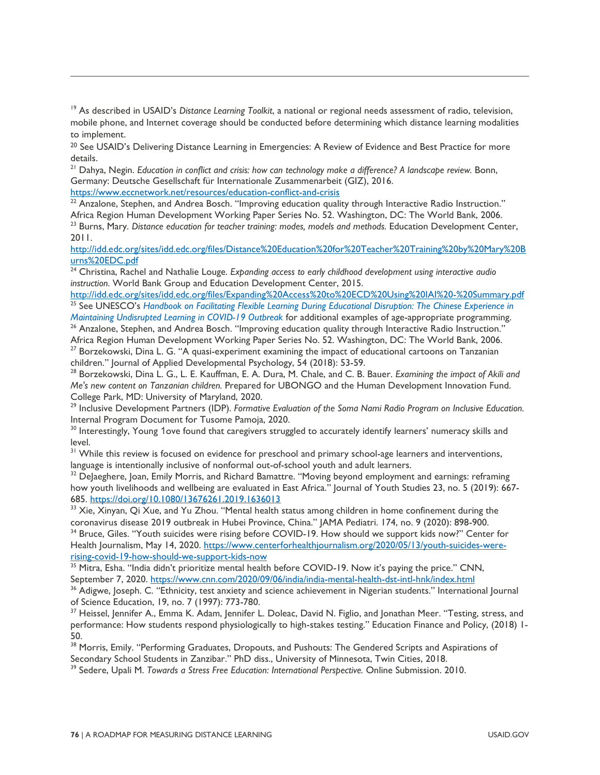<sup>19</sup> As described in USAID's *Distance Learning Toolkit*, a national or regional needs assessment of radio, television, mobile phone, and Internet coverage should be conducted before determining which distance learning modalities to implement.

<sup>20</sup> See USAID's [Delivering Distance Learning in Emergencies: A Review of Evidence and Best Practice](https://www.edu-links.org/resources/delivering-distance-learning-emergencies) for more details.

<sup>21</sup> Dahya, Negin. *Education in conflict and crisis: how can technology make a difference? A landscape review.* Bonn, Germany: Deutsche Gesellschaft für Internationale Zusammenarbeit (GIZ), 2016.

<https://www.eccnetwork.net/resources/education-conflict-and-crisis>22 Anzalone, Stephen, and Andrea Bosch. "<br><sup>22</sup> Anzalone, Stephen, and Andrea Bosch. "Improving education quality through Interactive Radio Instruction." Africa Region Human Development Working Paper Series No. 52. Washington, DC: The World Bank, 2006. <sup>23</sup> Burns, Mary. *Distance education for teacher training: modes, models and methods.* Education Development Center,

2011.

[http://idd.edc.org/sites/idd.edc.org/files/Distance%20Education%20for%20Teacher%20Training%20by%20Mary%20B](http://idd.edc.org/sites/idd.edc.org/files/Distance%20Education%20for%20Teacher%20Training%20by%20Mary%20Burns%20EDC.pdf) urns%20EDC.pdf<br><sup>24</sup> Christina, Rachel and Nathalie Louge. *Expanding access to early childhood development using interactive audio* 

*instruction.* World Bank Group and Education Development Center, 2015.

http://idd.edc.org/sites/idd.edc.org/files/Expanding%20Access%20to%20ECD%20Using%20IAI%20-%20Summary.pdf<br><sup>25</sup> See UNESCO's Handbook on Facilitating Flexible Learning During Educational Disruption: The Chinese Experience in *Maintaining Undisrupted Learning in COVID-19 Outbreak* for additional examples of age-appropriate programming.

<sup>26</sup> Anzalone, Stephen, and Andrea Bosch. "Improving education quality through Interactive Radio Instruction." Africa Region Human Development Working Paper Series No. 52. Washington, DC: The World Bank, 2006.

<sup>27</sup> Borzekowski, Dina L. G. "A quasi-experiment examining the impact of educational cartoons on Tanzanian children." Journal of Applied Developmental Psychology, 54 (2018): 53-59.

<sup>28</sup> Borzekowski, Dina L. G., L. E. Kauffman, E. A. Dura, M. Chale, and C. B. Bauer. *Examining the impact of Akili and Me's new content on Tanzanian children.* Prepared for UBONGO and the Human Development Innovation Fund. College Park, MD: University of Maryland, 2020.

<sup>29</sup> Inclusive Development Partners (IDP). *Formative Evaluation of the Soma Nami Radio Program on Inclusive Education.* Internal Program Document for Tusome Pamoja, 2020.

<sup>30</sup> Interestingly, Young 1ove found that caregivers struggled to accurately identify learners' numeracy skills and level.

<sup>31</sup> While this review is focused on evidence for preschool and primary school-age learners and interventions, language is intentionally inclusive of nonformal out-of-school youth and adult learners.

<sup>32</sup> DeJaeghere, Joan, Emily Morris, and Richard Bamattre. "Moving beyond employment and earnings: reframing how youth livelihoods and wellbeing are evaluated in East Africa." Journal of Youth Studies 23, no. 5 (2019): 667-685. https://doi.org/10.1080/13676261.2019.1636013<br><sup>33</sup> Xie, Xinyan, Qi Xue, and Yu Zhou. "Mental health status among children in home confinement during the

coronavirus disease 2019 outbreak in Hubei Province, China." JAMA Pediatri. 174, no. 9 (2020): 898-900.

<sup>34</sup> Bruce, Giles. "Youth suicides were rising before COVID-19. How should we support kids now?" Center for Health Journalism, May 14, 2020. [https://www.centerforhealthjournalism.org/2020/05/13/youth-suicides-were-](https://www.centerforhealthjournalism.org/2020/05/13/youth-suicides-were-rising-covid-19-how-should-we-support-kids-now)

rising-covid-19-how-should-we-support-kids-now<br><sup>35</sup> Mitra, Esha. "India didn't prioritize mental health before COVID-19. Now it's paying the price." CNN,

September 7, 2020.<https://www.cnn.com/2020/09/06/india/india-mental-health-dst-intl-hnk/index.html>36 Adigwe, Joseph. C. "Ethnicity, test anxiety and science achievement in Nigerian students." International Journal of Science Education, 19, no. 7 (1997): 773-780.

<sup>37</sup> Heissel, Jennifer A., Emma K. Adam, Jennifer L. Doleac, David N. Figlio, and Jonathan Meer. "Testing, stress, and performance: How students respond physiologically to high-stakes testing." Education Finance and Policy, (2018) 1- 50.

38 Morris, Emily. "Performing Graduates, Dropouts, and Pushouts: The Gendered Scripts and Aspirations of Secondary School Students in Zanzibar." PhD diss., University of Minnesota, Twin Cities, 2018.

<sup>39</sup> Sedere, Upali M. *Towards a Stress Free Education: International Perspective.* Online Submission. 2010.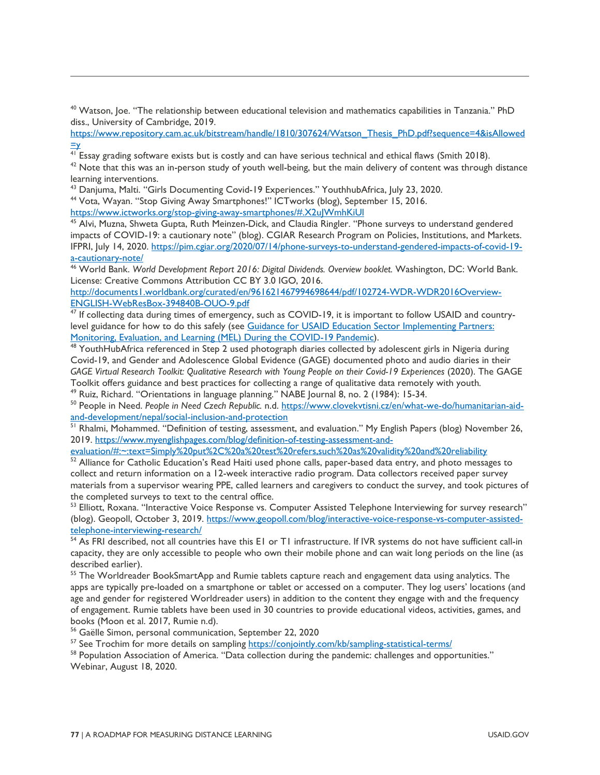<sup>40</sup> Watson, Joe. "The relationship between educational television and mathematics capabilities in Tanzania." PhD diss., University of Cambridge, 2019.

[https://www.repository.cam.ac.uk/bitstream/handle/1810/307624/Watson\\_Thesis\\_PhD.pdf?sequence=4&isAllowed](https://www.repository.cam.ac.uk/bitstream/handle/1810/307624/Watson_Thesis_PhD.pdf?sequence=4&isAllowed=y)

 $\frac{y}{41}$  Essay grading software exists but is costly and can have serious technical and ethical flaws (Smith 2018).

 $42$  Note that this was an in-person study of youth well-being, but the main delivery of content was through distance learning interventions.

<sup>43</sup> Danjuma, Malti. "Girls Documenting Covid-19 Experiences." YouthhubAfrica, July 23, 2020.

<sup>44</sup> Vota, Wayan. "Stop Giving Away Smartphones!" ICTworks (blog), September 15, 2016.

https://www.ictworks.org/stop-giving-away-smartphones/#.X2uJWmhKiUI<br><sup>45</sup> Alvi, Muzna, Shweta Gupta, Ruth Meinzen-Dick, and Claudia Ringler. "Phone surveys to understand gendered impacts of COVID-19: a cautionary note" (blog). CGIAR Research Program on Policies, Institutions, and Markets. IFPRI, July 14, 2020. [https://pim.cgiar.org/2020/07/14/phone-surveys-to-understand-gendered-impacts-of-covid-19](https://pim.cgiar.org/2020/07/14/phone-surveys-to-understand-gendered-impacts-of-covid-19-a-cautionary-note/) [a-cautionary-note/](https://pim.cgiar.org/2020/07/14/phone-surveys-to-understand-gendered-impacts-of-covid-19-a-cautionary-note/) 46 World Bank. *World Development Report 2016: Digital Dividends. Overview booklet.* Washington, DC: World Bank.

License: Creative Commons Attribution CC BY 3.0 IGO, 2016.

http://documents1.worldbank.org/curated/en/961621467994698644/pdf/102724-WDR-WDR2016Overview-<br>ENGLISH-WebResBox-394840B-OUO-9.pdf

 $\frac{47}{17}$  If collecting data during times of emergency, such as COVID-19, it is important to follow USAID and countrylevel guidance for how to do this safely (see [Guidance for USAID Education Sector Implementing Partners:](https://www.edu-links.org/sites/default/files/media/file/Guidance_MELDuringCOVID19_Jun20_final.pdf)  [Monitoring, Evaluation, and Learning \(MEL\) During the COVID-19 Pandemic\)](https://www.edu-links.org/sites/default/files/media/file/Guidance_MELDuringCOVID19_Jun20_final.pdf).

 $48$  YouthHubAfrica referenced in Step 2 used photograph diaries collected by adolescent girls in Nigeria during Covid-19, and Gender and Adolescence Global Evidence (GAGE) documented photo and audio diaries in their GAGE Virtual Research Toolkit: Qualitative Research with Young People on their Covid-19 Experiences (2020). The GAGE Toolkit offers guidance and best practices for collecting a range of qualitative data remotely with youth*.*

<sup>49</sup> Ruiz, Richard. "Orientations in language planning." NABE Journal 8, no. 2 (1984): 15-34.

<sup>50</sup> People in Need. People in Need Czech Republic. n.d. https://www.clovekvtisni.cz/en/what-we-do/humanitarian-aid-<br>and-development/nepal/social-inclusion-and-protection

<sup>51</sup> Rhalmi, Mohammed. "Definition of testing, assessment, and evaluation." My English Papers (blog) November 26, 2019. https://www.myenglishpages.com/blog/definition-of-testing-assessment-and-<br>evaluation/#:~:text=Simply%20put%2C%20a%20test%20refers.such%20as%20validity%20and%20reliability

 $\frac{52}{2}$  Alliance for Catholic Education's Read Haiti used phone calls, paper-based data entry, and photo messages to collect and return information on a 12-week interactive radio program. Data collectors received paper survey materials from a supervisor wearing PPE, called learners and caregivers to conduct the survey, and took pictures of the completed surveys to text to the central office.

<sup>53</sup> Elliott, Roxana. "Interactive Voice Response vs. Computer Assisted Telephone Interviewing for survey research" (blog). Geopoll, October 3, 2019. [https://www.geopoll.com/blog/interactive-voice-response-vs-computer-assisted](https://www.geopoll.com/blog/interactive-voice-response-vs-computer-assisted-telephone-interviewing-research/)telephone-interviewing-research/<br><sup>54</sup> As FRI described, not all countries have this E1 or T1 infrastructure. If IVR systems do not have sufficient call-in

capacity, they are only accessible to people who own their mobile phone and can wait long periods on the line (as described earlier).

<sup>55</sup> The Worldreader BookSmartApp and Rumie tablets capture reach and engagement data using analytics. The apps are typically pre-loaded on a smartphone or tablet or accessed on a computer. They log users' locations (and age and gender for registered Worldreader users) in addition to the content they engage with and the frequency of engagement. Rumie tablets have been used in 30 countries to provide educational videos, activities, games, and books (Moon et al. 2017, Rumie n.d).

<sup>56</sup> Gaëlle Simon, personal communication, September 22, 2020<br><sup>57</sup> See Trochim for more details on sampling https://conjointly.com/kb/sampling-statistical-terms/

<sup>58</sup> Population Association of America. "Data collection during the pandemic: challenges and opportunities." Webinar, August 18, 2020.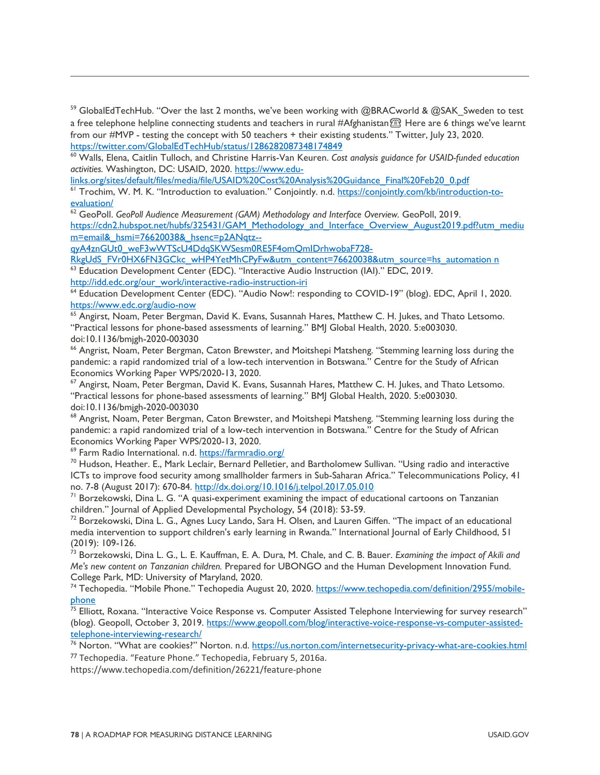$59$  GlobalEdTechHub. "Over the last 2 months, we've been working with @BRACworld & @SAK\_Sweden to test a free telephone helpline connecting students and teachers in rural #Afghanistan <sup></sup> Here are 6 things we've learnt from our #MVP - testing the concept with 50 teachers + their existing students." Twitter, July 23, 2020.<br>https://twitter.com/GlobalEdTechHub/status/1286282087348174849

<sup>60</sup> Walls, Elena, Caitlin Tulloch, and Christine Harris-Van Keuren. Cost analysis guidance for USAID-funded education activities. Washington, DC: USAID, 2020. https://www.edu-<br>links.org/sites/default/files/media/file/USAID%20Cost%20Analysis%20Guidance Final%20Feb20 0.pdf

<sup>61</sup> Trochim, W. M. K. "Introduction to evaluation." Conjointly. n.d. https://conjointly.com/kb/introduction-to-evaluation/

<sup>62</sup> GeoPoll. GeoPoll Audience Measurement (GAM) Methodology and Interface Overview. GeoPoll, 2019.

[https://cdn2.hubspot.net/hubfs/325431/GAM\\_Methodology\\_and\\_Interface\\_Overview\\_August2019.pdf?utm\\_mediu](https://cdn2.hubspot.net/hubfs/325431/GAM_Methodology_and_Interface_Overview_August2019.pdf?utm_medium=email&_hsmi=76620038&_hsenc=p2ANqtz--qyA4znGUt0_weF3wWTScU4DdqSKWSesm0RE5F4omQmIDrhwobaF728-RkgUdS_FVr0HX6FN3GCkc_wHP4YetMhCPyFw&utm_content=76620038&utm_source=hs_automation%20n) [m=email&\\_hsmi=76620038&\\_hsenc=p2ANqtz--](https://cdn2.hubspot.net/hubfs/325431/GAM_Methodology_and_Interface_Overview_August2019.pdf?utm_medium=email&_hsmi=76620038&_hsenc=p2ANqtz--qyA4znGUt0_weF3wWTScU4DdqSKWSesm0RE5F4omQmIDrhwobaF728-RkgUdS_FVr0HX6FN3GCkc_wHP4YetMhCPyFw&utm_content=76620038&utm_source=hs_automation%20n)

[qyA4znGUt0\\_weF3wWTScU4DdqSKWSesm0RE5F4omQmIDrhwobaF728-](https://cdn2.hubspot.net/hubfs/325431/GAM_Methodology_and_Interface_Overview_August2019.pdf?utm_medium=email&_hsmi=76620038&_hsenc=p2ANqtz--qyA4znGUt0_weF3wWTScU4DdqSKWSesm0RE5F4omQmIDrhwobaF728-RkgUdS_FVr0HX6FN3GCkc_wHP4YetMhCPyFw&utm_content=76620038&utm_source=hs_automation%20n)<br>RkgUdS\_FVr0HX6FN3GCkc\_wHP4YetMhCPyFw&utm\_content=76620038&utm\_source=hs\_automation\_n 63 Education Development Center (EDC). "Interactive Audio Instruction (IAI)." EDC, 2019.

[http://idd.edc.org/our\\_work/interactive-radio-instruction-iri](http://idd.edc.org/our_work/interactive-radio-instruction-iri) 64 Education Development Center (EDC). "Audio Now!: responding to COVID-19" (blog). EDC, April 1, 2020.<br>https://www.edc.org/audio-now

 $65$  Angirst, Noam, Peter Bergman, David K. Evans, Susannah Hares, Matthew C. H. Jukes, and Thato Letsomo. "Practical lessons for phone-based assessments of learning." BMJ Global Health, 2020. 5:e003030. doi:10.1136/bmjgh-2020-003030<br><sup>66</sup> Angrist, Noam, Peter Bergman, Caton Brewster, and Moitshepi Matsheng. "Stemming learning loss during the

pandemic: a rapid randomized trial of a low-tech intervention in Botswana." Centre for the Study of African Economics Working Paper WPS/2020-13, 2020.

 $67$  Angirst, Noam, Peter Bergman, David K. Evans, Susannah Hares, Matthew C. H. Jukes, and Thato Letsomo. "Practical lessons for phone-based assessments of learning." BMJ Global Health, 2020. 5:e003030.

doi:10.1136/bmjgh-2020-003030<br><sup>68</sup> Angrist, Noam, Peter Bergman, Caton Brewster, and Moitshepi Matsheng. "Stemming learning loss during the pandemic: a rapid randomized trial of a low-tech intervention in Botswana." Centre for the Study of African Economics Working Paper WPS/2020-13, 2020.

<sup>69</sup> Farm Radio International. n.d. <u>https://farmradio.org/</u><br><sup>70</sup> Hudson, Heather. E., Mark Leclair, Bernard Pelletier, and Bartholomew Sullivan. "Using radio and interactive ICTs to improve food security among smallholder farmers in Sub-Saharan Africa." Telecommunications Policy, 41 no. 7-8 (August 2017): 670-84. <u>http://dx.doi.org/10.1016/j.telpol.2017.05.010</u><br><sup>71</sup> Borzekowski, Dina L. G. "A quasi-experiment examining the impact of educational cartoons on Tanzanian

children." Journal of Applied Developmental Psychology, 54 (2018): 53-59.

 $^{72}$  Borzekowski, Dina L. G., Agnes Lucy Lando, Sara H. Olsen, and Lauren Giffen. "The impact of an educational media intervention to support children's early learning in Rwanda." International Journal of Early Childhood, 51 (2019): 109-126.

<sup>73</sup> Borzekowski, Dina L. G., L. E. Kauffman, E. A. Dura, M. Chale, and C. B. Bauer. *Examining the impact of Akili and Me's new content on Tanzanian children.* Prepared for UBONGO and the Human Development Innovation Fund. College Park, MD: University of Maryland, 2020.

<sup>74</sup> Techopedia. "Mobile Phone." Techopedia August 20, 2020. https://www.techopedia.com/definition/2955/mobile-<br>phone

<sup>75</sup> Elliott, Roxana. "Interactive Voice Response vs. Computer Assisted Tele[phone](https://www.techopedia.com/definition/2955/mobile-phone) Interviewing for survey research" (blog). Geopoll, October 3, 2019. [https://www.geopoll.com/blog/interactive-voice-response-vs-computer-assisted](https://www.geopoll.com/blog/interactive-voice-response-vs-computer-assisted-telephone-interviewing-research/)telephone-interviewing-research/<br><sup>76</sup> Norton. "What are cookies?" Norton. n.d. <u>https://us.norton.com/internetsecurity-privacy-what-are-cookies.html</u>

<sup>77</sup> Techopedia. "Feature Phone." Techopedia, February 5, 2016a.

https://www.techopedia.com/definition/26221/feature-phone